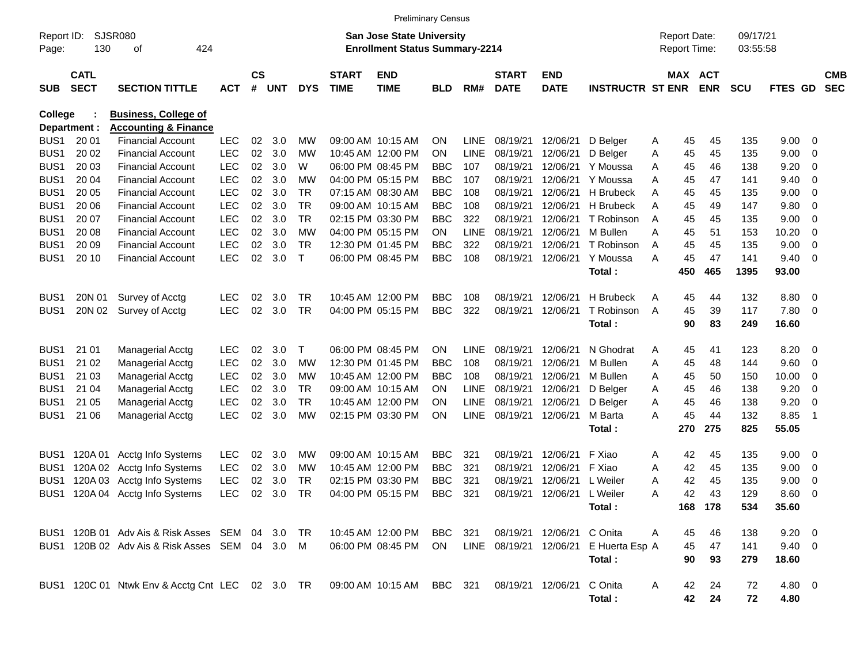|                     |                            |                                                 |            |                    |            |              |                             | <b>Preliminary Census</b>                                                 |            |             |                             |                           |                         |                                     |                       |                      |                |                         |                          |
|---------------------|----------------------------|-------------------------------------------------|------------|--------------------|------------|--------------|-----------------------------|---------------------------------------------------------------------------|------------|-------------|-----------------------------|---------------------------|-------------------------|-------------------------------------|-----------------------|----------------------|----------------|-------------------------|--------------------------|
| Report ID:<br>Page: | 130                        | SJSR080<br>424<br>οf                            |            |                    |            |              |                             | <b>San Jose State University</b><br><b>Enrollment Status Summary-2214</b> |            |             |                             |                           |                         | <b>Report Date:</b><br>Report Time: |                       | 09/17/21<br>03:55:58 |                |                         |                          |
| <b>SUB</b>          | <b>CATL</b><br><b>SECT</b> | <b>SECTION TITTLE</b>                           | ACT        | $\mathsf{cs}$<br># | <b>UNT</b> | <b>DYS</b>   | <b>START</b><br><b>TIME</b> | <b>END</b><br><b>TIME</b>                                                 | <b>BLD</b> | RM#         | <b>START</b><br><b>DATE</b> | <b>END</b><br><b>DATE</b> | <b>INSTRUCTR ST ENR</b> |                                     | MAX ACT<br><b>ENR</b> | <b>SCU</b>           | <b>FTES GD</b> |                         | <b>CMB</b><br><b>SEC</b> |
| <b>College</b>      |                            | <b>Business, College of</b>                     |            |                    |            |              |                             |                                                                           |            |             |                             |                           |                         |                                     |                       |                      |                |                         |                          |
|                     | Department :               | <b>Accounting &amp; Finance</b>                 |            |                    |            |              |                             |                                                                           |            |             |                             |                           |                         |                                     |                       |                      |                |                         |                          |
| BUS <sub>1</sub>    | 20 01                      | <b>Financial Account</b>                        | LEC        | 02                 | 3.0        | МW           |                             | 09:00 AM 10:15 AM                                                         | <b>ON</b>  | <b>LINE</b> | 08/19/21                    | 12/06/21                  | D Belger                | Α                                   | 45<br>45              | 135                  | 9.00           | - 0                     |                          |
| BUS <sub>1</sub>    | 20 02                      | <b>Financial Account</b>                        | LEC        | 02                 | 3.0        | МW           |                             | 10:45 AM 12:00 PM                                                         | <b>ON</b>  | <b>LINE</b> | 08/19/21                    | 12/06/21                  | D Belger                | Α                                   | 45<br>45              | 135                  | 9.00           | 0                       |                          |
| BUS <sub>1</sub>    | 20 03                      | <b>Financial Account</b>                        | <b>LEC</b> | 02                 | 3.0        | W            |                             | 06:00 PM 08:45 PM                                                         | <b>BBC</b> | 107         | 08/19/21                    | 12/06/21                  | Y Moussa                | A                                   | 45<br>46              | 138                  | 9.20           | 0                       |                          |
| BUS <sub>1</sub>    | 20 04                      | <b>Financial Account</b>                        | <b>LEC</b> | 02                 | 3.0        | <b>MW</b>    |                             | 04:00 PM 05:15 PM                                                         | <b>BBC</b> | 107         | 08/19/21                    | 12/06/21                  | Y Moussa                | A                                   | 45<br>47              | 141                  | 9.40           | 0                       |                          |
| BUS <sub>1</sub>    | 20 05                      | <b>Financial Account</b>                        | <b>LEC</b> | 02                 | 3.0        | <b>TR</b>    |                             | 07:15 AM 08:30 AM                                                         | <b>BBC</b> | 108         | 08/19/21                    | 12/06/21                  | H Brubeck               | A                                   | 45<br>45              | 135                  | 9.00           | 0                       |                          |
| BUS <sub>1</sub>    | 20 06                      | <b>Financial Account</b>                        | <b>LEC</b> | 02                 | 3.0        | <b>TR</b>    |                             | 09:00 AM 10:15 AM                                                         | <b>BBC</b> | 108         | 08/19/21                    | 12/06/21                  | <b>H</b> Brubeck        | A                                   | 45<br>49              | 147                  | 9.80           | 0                       |                          |
| BUS <sub>1</sub>    | 20 07                      | <b>Financial Account</b>                        | <b>LEC</b> | 02                 | 3.0        | <b>TR</b>    |                             | 02:15 PM 03:30 PM                                                         | <b>BBC</b> | 322         | 08/19/21                    | 12/06/21                  | T Robinson              | A                                   | 45<br>45              | 135                  | 9.00           | 0                       |                          |
| BUS <sub>1</sub>    | 20 08                      | <b>Financial Account</b>                        | <b>LEC</b> | 02                 | 3.0        | <b>MW</b>    |                             | 04:00 PM 05:15 PM                                                         | ON         | LINE        | 08/19/21                    | 12/06/21                  | M Bullen                | A                                   | 45<br>51              | 153                  | 10.20          | 0                       |                          |
| BUS <sub>1</sub>    | 20 09                      | <b>Financial Account</b>                        | <b>LEC</b> | 02                 | 3.0        | <b>TR</b>    |                             | 12:30 PM 01:45 PM                                                         | <b>BBC</b> | 322         | 08/19/21                    | 12/06/21                  | T Robinson              | A                                   | 45<br>45              | 135                  | 9.00           | 0                       |                          |
| BUS <sub>1</sub>    | 20 10                      | <b>Financial Account</b>                        | <b>LEC</b> | 02                 | 3.0        | $\mathsf{T}$ |                             | 06:00 PM 08:45 PM                                                         | <b>BBC</b> | 108         | 08/19/21                    | 12/06/21                  | Y Moussa                | A                                   | 45<br>47              | 141                  | 9.40           | 0                       |                          |
|                     |                            |                                                 |            |                    |            |              |                             |                                                                           |            |             |                             |                           | Total:                  | 450                                 | 465                   | 1395                 | 93.00          |                         |                          |
| BUS <sub>1</sub>    | 20N 01                     | Survey of Acctg                                 | <b>LEC</b> | 02                 | 3.0        | <b>TR</b>    |                             | 10:45 AM 12:00 PM                                                         | <b>BBC</b> | 108         | 08/19/21                    | 12/06/21                  | <b>H</b> Brubeck        | A                                   | 45<br>44              | 132                  | 8.80           | $\overline{\mathbf{0}}$ |                          |
| BUS <sub>1</sub>    | 20N 02                     | Survey of Acctg                                 | <b>LEC</b> | 02                 | 3.0        | <b>TR</b>    |                             | 04:00 PM 05:15 PM                                                         | <b>BBC</b> | 322         | 08/19/21                    | 12/06/21                  | T Robinson              | A                                   | 45<br>39              | 117                  | 7.80           | 0                       |                          |
|                     |                            |                                                 |            |                    |            |              |                             |                                                                           |            |             |                             |                           | Total:                  |                                     | 90<br>83              | 249                  | 16.60          |                         |                          |
| BUS <sub>1</sub>    | 21 01                      | <b>Managerial Acctg</b>                         | <b>LEC</b> | 02                 | 3.0        | Т            |                             | 06:00 PM 08:45 PM                                                         | <b>ON</b>  | LINE        | 08/19/21                    | 12/06/21                  | N Ghodrat               | A                                   | 45<br>41              | 123                  | 8.20           | $\overline{\mathbf{0}}$ |                          |
| BUS <sub>1</sub>    | 21 02                      | Managerial Acctg                                | <b>LEC</b> | 02                 | 3.0        | <b>MW</b>    |                             | 12:30 PM 01:45 PM                                                         | <b>BBC</b> | 108         | 08/19/21                    | 12/06/21                  | M Bullen                | A                                   | 45<br>48              | 144                  | 9.60           | 0                       |                          |
| BUS <sub>1</sub>    | 21 03                      | Managerial Acctg                                | <b>LEC</b> | 02                 | 3.0        | МW           |                             | 10:45 AM 12:00 PM                                                         | <b>BBC</b> | 108         | 08/19/21                    | 12/06/21                  | M Bullen                | A                                   | 45<br>50              | 150                  | 10.00          | 0                       |                          |
| BUS <sub>1</sub>    | 21 04                      | <b>Managerial Acctg</b>                         | <b>LEC</b> | 02                 | 3.0        | <b>TR</b>    |                             | 09:00 AM 10:15 AM                                                         | ON         | <b>LINE</b> | 08/19/21                    | 12/06/21                  | D Belger                | A                                   | 45<br>46              | 138                  | 9.20           | 0                       |                          |
| BUS <sub>1</sub>    | 21 05                      | <b>Managerial Acctg</b>                         | <b>LEC</b> | 02                 | 3.0        | <b>TR</b>    |                             | 10:45 AM 12:00 PM                                                         | <b>ON</b>  | <b>LINE</b> | 08/19/21                    | 12/06/21                  | D Belger                | A                                   | 45<br>46              | 138                  | 9.20           | 0                       |                          |
| BUS <sub>1</sub>    | 21 06                      | <b>Managerial Acctg</b>                         | <b>LEC</b> | 02                 | 3.0        | <b>MW</b>    |                             | 02:15 PM 03:30 PM                                                         | <b>ON</b>  | <b>LINE</b> | 08/19/21                    | 12/06/21                  | M Barta                 | A                                   | 45<br>44              | 132                  | 8.85           | -1                      |                          |
|                     |                            |                                                 |            |                    |            |              |                             |                                                                           |            |             |                             |                           | Total:                  | 270                                 | 275                   | 825                  | 55.05          |                         |                          |
| BUS <sub>1</sub>    | 120A 01                    | Acctg Info Systems                              | <b>LEC</b> | 02                 | 3.0        | МW           |                             | 09:00 AM 10:15 AM                                                         | <b>BBC</b> | 321         | 08/19/21                    | 12/06/21                  | F Xiao                  | Α                                   | 42<br>45              | 135                  | 9.00           | $\mathbf 0$             |                          |
| BUS <sub>1</sub>    | 120A 02                    | Acctg Info Systems                              | <b>LEC</b> | 02                 | 3.0        | МW           |                             | 10:45 AM 12:00 PM                                                         | <b>BBC</b> | 321         | 08/19/21                    | 12/06/21                  | F Xiao                  | A                                   | 42<br>45              | 135                  | 9.00           | 0                       |                          |
| BUS <sub>1</sub>    | 120A03                     | Acctg Info Systems                              | <b>LEC</b> | 02                 | 3.0        | <b>TR</b>    |                             | 02:15 PM 03:30 PM                                                         | <b>BBC</b> | 321         | 08/19/21                    | 12/06/21                  | L Weiler                | A                                   | 42<br>45              | 135                  | 9.00           | 0                       |                          |
| BUS <sub>1</sub>    |                            | 120A 04 Acctg Info Systems                      | <b>LEC</b> | 02                 | 3.0        | <b>TR</b>    |                             | 04:00 PM 05:15 PM                                                         | <b>BBC</b> | 321         | 08/19/21                    | 12/06/21                  | L Weiler                | A                                   | 42<br>43              | 129                  | 8.60           | 0                       |                          |
|                     |                            |                                                 |            |                    |            |              |                             |                                                                           |            |             |                             |                           | Total:                  |                                     | 168 178               | 534                  | 35.60          |                         |                          |
|                     |                            | BUS1 120B 01 Adv Ais & Risk Asses SEM 04 3.0    |            |                    |            | TR           |                             | 10:45 AM 12:00 PM                                                         | BBC        | 321         |                             | 08/19/21 12/06/21         | C Onita                 | A                                   | 46<br>45              | 138                  | $9.20 \ 0$     |                         |                          |
|                     |                            | BUS1 120B 02 Adv Ais & Risk Asses SEM 04 3.0    |            |                    |            | M            |                             | 06:00 PM 08:45 PM ON                                                      |            |             | LINE 08/19/21 12/06/21      |                           | E Huerta Esp A          |                                     | 47<br>45              | 141                  | $9.40 \quad 0$ |                         |                          |
|                     |                            |                                                 |            |                    |            |              |                             |                                                                           |            |             |                             |                           | Total:                  |                                     | 90<br>93              | 279                  | 18.60          |                         |                          |
|                     |                            | BUS1 120C 01 Ntwk Env & Acctg Cnt LEC 02 3.0 TR |            |                    |            |              |                             | 09:00 AM 10:15 AM BBC 321                                                 |            |             | 08/19/21 12/06/21           |                           | C Onita                 | A                                   | 42<br>24              | 72                   | 4.80 0         |                         |                          |
|                     |                            |                                                 |            |                    |            |              |                             |                                                                           |            |             |                             |                           | Total:                  |                                     | 42<br>24              | 72                   | 4.80           |                         |                          |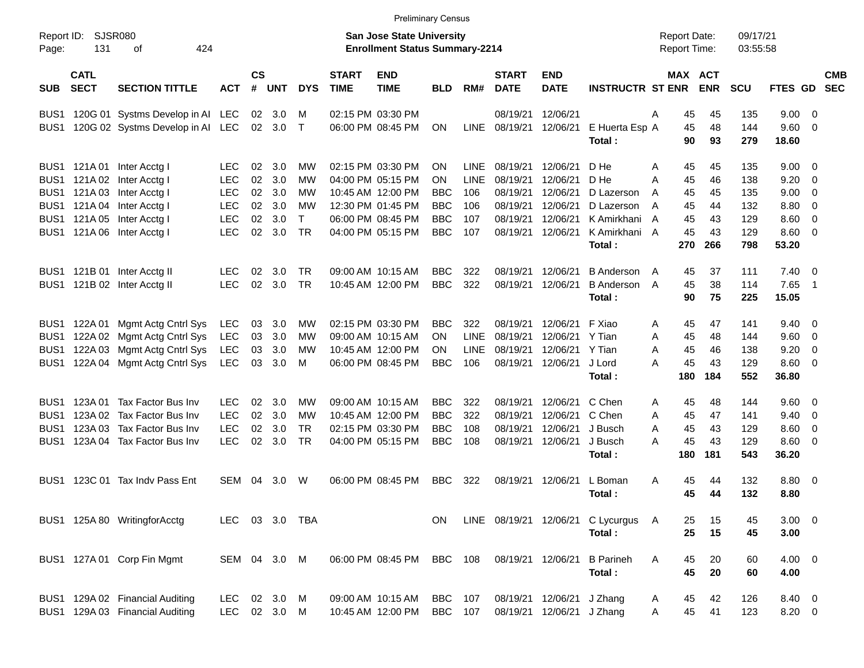|                     |                            |                                  |                |                |                |            |                             | <b>Preliminary Census</b>                                                 |            |             |                             |                           |                                     |                                     |            |                      |                |                          |
|---------------------|----------------------------|----------------------------------|----------------|----------------|----------------|------------|-----------------------------|---------------------------------------------------------------------------|------------|-------------|-----------------------------|---------------------------|-------------------------------------|-------------------------------------|------------|----------------------|----------------|--------------------------|
| Report ID:<br>Page: | 131                        | SJSR080<br>424<br>оf             |                |                |                |            |                             | <b>San Jose State University</b><br><b>Enrollment Status Summary-2214</b> |            |             |                             |                           |                                     | <b>Report Date:</b><br>Report Time: |            | 09/17/21<br>03:55:58 |                |                          |
| <b>SUB</b>          | <b>CATL</b><br><b>SECT</b> | <b>SECTION TITTLE</b>            | ACT            | <b>CS</b><br># | <b>UNT</b>     | <b>DYS</b> | <b>START</b><br><b>TIME</b> | <b>END</b><br><b>TIME</b>                                                 | <b>BLD</b> | RM#         | <b>START</b><br><b>DATE</b> | <b>END</b><br><b>DATE</b> | <b>INSTRUCTR ST ENR</b>             | <b>MAX ACT</b>                      | <b>ENR</b> | <b>SCU</b>           | <b>FTES GD</b> | <b>CMB</b><br><b>SEC</b> |
| BUS <sub>1</sub>    |                            | 120G 01 Systms Develop in AI LEC |                | 02             | 3.0            | M          |                             | 02:15 PM 03:30 PM                                                         |            |             | 08/19/21                    | 12/06/21                  |                                     | 45<br>Α                             | 45         | 135                  | 9.00           | - 0                      |
| BUS1                |                            | 120G 02 Systms Develop in AI LEC |                |                | $02 \quad 3.0$ | $\top$     |                             | 06:00 PM 08:45 PM                                                         | ON         | LINE        | 08/19/21                    | 12/06/21                  | E Huerta Esp A                      | 45                                  | 48         | 144                  | 9.60           | $\overline{0}$           |
|                     |                            |                                  |                |                |                |            |                             |                                                                           |            |             |                             |                           | Total:                              | 90                                  | 93         | 279                  | 18.60          |                          |
| BUS1                | 121A 01                    | Inter Acctg I                    | LEC.           | 02             | 3.0            | MW         |                             | 02:15 PM 03:30 PM                                                         | ΟN         | <b>LINE</b> | 08/19/21                    | 12/06/21                  | D He                                | Α<br>45                             | 45         | 135                  | 9.00           | - 0                      |
|                     |                            | BUS1 121A 02 Inter Acctg I       | <b>LEC</b>     | 02             | 3.0            | MW         |                             | 04:00 PM 05:15 PM                                                         | ΟN         | <b>LINE</b> | 08/19/21                    | 12/06/21                  | D He                                | A<br>45                             | 46         | 138                  | 9.20           | $\overline{0}$           |
| BUS1                |                            | 121A 03 Inter Acctg I            | <b>LEC</b>     | 02             | 3.0            | MW         |                             | 10:45 AM 12:00 PM                                                         | BBC        | 106         | 08/19/21                    | 12/06/21                  | D Lazerson                          | 45<br>A                             | 45         | 135                  | 9.00           | $\overline{0}$           |
| BUS1                |                            | 121A 04 Inter Acctg I            | <b>LEC</b>     | 02             | 3.0            | MW         |                             | 12:30 PM 01:45 PM                                                         | <b>BBC</b> | 106         | 08/19/21                    | 12/06/21                  | D Lazerson                          | 45<br>A                             | 44         | 132                  | 8.80           | $\overline{0}$           |
| BUS1                |                            | 121A 05 Inter Acctg I            | <b>LEC</b>     | 02             | 3.0            | T          |                             | 06:00 PM 08:45 PM                                                         | <b>BBC</b> | 107         | 08/19/21                    | 12/06/21                  | K Amirkhani                         | A<br>45                             | 43         | 129                  | 8.60           | 0                        |
|                     |                            | BUS1 121A 06 Inter Acctg I       | <b>LEC</b>     | 02             | 3.0            | <b>TR</b>  |                             | 04:00 PM 05:15 PM                                                         | <b>BBC</b> | 107         | 08/19/21                    | 12/06/21                  | K Amirkhani                         | 45<br>A                             | 43         | 129                  | 8.60           | $\overline{0}$           |
|                     |                            |                                  |                |                |                |            |                             |                                                                           |            |             |                             |                           | Total:                              | 270                                 | 266        | 798                  | 53.20          |                          |
| BUS1                |                            | 121B 01 Inter Acctg II           | <b>LEC</b>     | 02             | 3.0            | TR         |                             | 09:00 AM 10:15 AM                                                         | <b>BBC</b> | 322         | 08/19/21                    | 12/06/21                  | <b>B</b> Anderson                   | 45<br>$\overline{A}$                | 37         | 111                  | 7.40           | $\overline{\phantom{0}}$ |
|                     |                            | BUS1 121B 02 Inter Acctg II      | <b>LEC</b>     | 02             | 3.0            | <b>TR</b>  |                             | 10:45 AM 12:00 PM                                                         | <b>BBC</b> | 322         | 08/19/21                    | 12/06/21                  | <b>B</b> Anderson                   | 45<br>A                             | 38         | 114                  | 7.65           | $\overline{1}$           |
|                     |                            |                                  |                |                |                |            |                             |                                                                           |            |             |                             |                           | Total:                              | 90                                  | 75         | 225                  | 15.05          |                          |
| BUS <sub>1</sub>    | 122A 01                    | Mgmt Actg Cntrl Sys              | LEC            | 03             | 3.0            | МW         |                             | 02:15 PM 03:30 PM                                                         | BBC        | 322         | 08/19/21                    | 12/06/21                  | F Xiao                              | 45<br>Α                             | 47         | 141                  | $9.40 \quad 0$ |                          |
| BUS1                |                            | 122A 02 Mgmt Actg Cntrl Sys      | <b>LEC</b>     | 03             | 3.0            | MW         |                             | 09:00 AM 10:15 AM                                                         | <b>ON</b>  | <b>LINE</b> | 08/19/21                    | 12/06/21                  | Y Tian                              | 45<br>Α                             | 48         | 144                  | 9.60           | $\overline{\mathbf{0}}$  |
| BUS <sub>1</sub>    |                            | 122A 03 Mgmt Actg Cntrl Sys      | <b>LEC</b>     | 03             | 3.0            | MW         |                             | 10:45 AM 12:00 PM                                                         | ΟN         | <b>LINE</b> | 08/19/21                    | 12/06/21                  | Y Tian                              | A<br>45                             | 46         | 138                  | 9.20           | $\overline{0}$           |
| BUS1                |                            | 122A 04 Mgmt Actg Cntrl Sys      | <b>LEC</b>     | 03             | 3.0            | M          |                             | 06:00 PM 08:45 PM                                                         | BBC        | 106         | 08/19/21                    | 12/06/21                  | J Lord                              | 45<br>А                             | 43         | 129                  | 8.60           | $\overline{0}$           |
|                     |                            |                                  |                |                |                |            |                             |                                                                           |            |             |                             |                           | Total:                              | 180                                 | 184        | 552                  | 36.80          |                          |
| BUS1                | 123A 01                    | Tax Factor Bus Inv               | LEC.           | 02             | 3.0            | MW         |                             | 09:00 AM 10:15 AM                                                         | <b>BBC</b> | 322         | 08/19/21                    | 12/06/21                  | C Chen                              |                                     | 48         | 144                  | 9.60           | $\overline{\phantom{0}}$ |
| BUS <sub>1</sub>    |                            | 123A 02 Tax Factor Bus Inv       | <b>LEC</b>     | 02             | 3.0            | MW         |                             | 10:45 AM 12:00 PM                                                         | <b>BBC</b> | 322         | 08/19/21                    | 12/06/21                  | C Chen                              | 45<br>Α<br>45<br>Α                  | 47         | 141                  | $9.40 \quad 0$ |                          |
| BUS1                | 123A 03                    | Tax Factor Bus Inv               | <b>LEC</b>     | 02             | 3.0            | <b>TR</b>  |                             | 02:15 PM 03:30 PM                                                         | <b>BBC</b> | 108         | 08/19/21                    | 12/06/21                  | J Busch                             | A<br>45                             | 43         | 129                  | 8.60           | $\overline{\mathbf{0}}$  |
| BUS <sub>1</sub>    |                            | 123A 04 Tax Factor Bus Inv       | <b>LEC</b>     | 02             | 3.0            | <b>TR</b>  |                             | 04:00 PM 05:15 PM                                                         | <b>BBC</b> | 108         | 08/19/21                    | 12/06/21                  | J Busch                             | 45<br>Α                             | 43         | 129                  | 8.60           | $\overline{0}$           |
|                     |                            |                                  |                |                |                |            |                             |                                                                           |            |             |                             |                           | Total:                              | 180                                 | 181        | 543                  | 36.20          |                          |
| BUS1                |                            | 123C 01 Tax Indv Pass Ent        | SEM            | 04             | 3.0            | W          |                             | 06:00 PM 08:45 PM                                                         | <b>BBC</b> | 322         | 08/19/21                    | 12/06/21                  | L Boman                             | A                                   | 44         |                      | $8.80\quad 0$  |                          |
|                     |                            |                                  |                |                |                |            |                             |                                                                           |            |             |                             |                           | Total:                              | 45<br>45                            | 44         | 132<br>132           | 8.80           |                          |
|                     |                            |                                  |                |                |                |            |                             |                                                                           |            |             |                             |                           |                                     |                                     |            |                      |                |                          |
|                     |                            | BUS1 125A 80 WritingforAcctg     | LEC 03 3.0 TBA |                |                |            |                             |                                                                           | ON         |             |                             |                           | LINE 08/19/21 12/06/21 C Lycurgus A | 25                                  | 15         | 45                   | $3.00 \ 0$     |                          |
|                     |                            |                                  |                |                |                |            |                             |                                                                           |            |             |                             |                           | Total:                              | 25                                  | 15         | 45                   | 3.00           |                          |
|                     |                            | BUS1 127A 01 Corp Fin Mgmt       | SEM 04 3.0 M   |                |                |            |                             | 06:00 PM 08:45 PM BBC 108                                                 |            |             | 08/19/21 12/06/21           |                           | <b>B</b> Parineh                    | 45<br>A                             | 20         | 60                   | $4.00 \ 0$     |                          |
|                     |                            |                                  |                |                |                |            |                             |                                                                           |            |             |                             |                           | Total:                              | 45                                  | 20         | 60                   | 4.00           |                          |
|                     |                            | BUS1 129A 02 Financial Auditing  | LEC.           |                | 02 3.0 M       |            |                             | 09:00 AM 10:15 AM                                                         | BBC        | 107         |                             | 08/19/21 12/06/21         | J Zhang                             | 45<br>A                             | 42         | 126                  | 8.40 0         |                          |
|                     |                            | BUS1 129A 03 Financial Auditing  | LEC 02 3.0 M   |                |                |            |                             | 10:45 AM 12:00 PM                                                         | BBC 107    |             |                             | 08/19/21 12/06/21 J Zhang |                                     | 45<br>A                             | 41         | 123                  | 8.20 0         |                          |
|                     |                            |                                  |                |                |                |            |                             |                                                                           |            |             |                             |                           |                                     |                                     |            |                      |                |                          |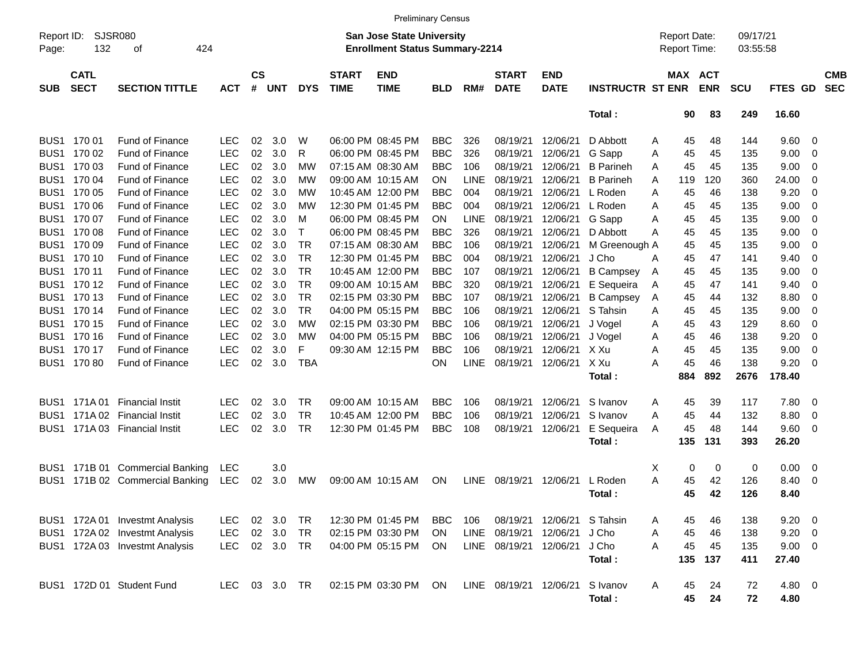|                     |                            |                                |               |                    |            |            |                             |                                                                           | <b>Preliminary Census</b> |             |                             |                           |                         |                                     |          |                          |                      |                |                         |                          |
|---------------------|----------------------------|--------------------------------|---------------|--------------------|------------|------------|-----------------------------|---------------------------------------------------------------------------|---------------------------|-------------|-----------------------------|---------------------------|-------------------------|-------------------------------------|----------|--------------------------|----------------------|----------------|-------------------------|--------------------------|
| Report ID:<br>Page: | 132                        | SJSR080<br>424<br>οf           |               |                    |            |            |                             | <b>San Jose State University</b><br><b>Enrollment Status Summary-2214</b> |                           |             |                             |                           |                         | <b>Report Date:</b><br>Report Time: |          |                          | 09/17/21<br>03:55:58 |                |                         |                          |
| <b>SUB</b>          | <b>CATL</b><br><b>SECT</b> | <b>SECTION TITTLE</b>          | <b>ACT</b>    | $\mathsf{cs}$<br># | <b>UNT</b> | <b>DYS</b> | <b>START</b><br><b>TIME</b> | <b>END</b><br><b>TIME</b>                                                 | <b>BLD</b>                | RM#         | <b>START</b><br><b>DATE</b> | <b>END</b><br><b>DATE</b> | <b>INSTRUCTR ST ENR</b> | MAX                                 |          | <b>ACT</b><br><b>ENR</b> | <b>SCU</b>           | FTES GD        |                         | <b>CMB</b><br><b>SEC</b> |
|                     |                            |                                |               |                    |            |            |                             |                                                                           |                           |             |                             |                           | Total:                  |                                     | 90       | 83                       | 249                  | 16.60          |                         |                          |
| BUS <sub>1</sub>    | 170 01                     | <b>Fund of Finance</b>         | <b>LEC</b>    | 02                 | 3.0        | W          |                             | 06:00 PM 08:45 PM                                                         | <b>BBC</b>                | 326         | 08/19/21                    | 12/06/21                  | D Abbott                | Α                                   | 45       | 48                       | 144                  | 9.60           | - 0                     |                          |
|                     | BUS1 170 02                | <b>Fund of Finance</b>         | <b>LEC</b>    | 02                 | 3.0        | R          |                             | 06:00 PM 08:45 PM                                                         | <b>BBC</b>                | 326         | 08/19/21                    | 12/06/21                  | G Sapp                  | Α                                   | 45       | 45                       | 135                  | 9.00           | 0                       |                          |
| BUS <sub>1</sub>    | 170 03                     | <b>Fund of Finance</b>         | <b>LEC</b>    | 02                 | 3.0        | МW         |                             | 07:15 AM 08:30 AM                                                         | <b>BBC</b>                | 106         | 08/19/21                    | 12/06/21                  | <b>B</b> Parineh        | Α                                   | 45       | 45                       | 135                  | 9.00           | 0                       |                          |
| BUS <sub>1</sub>    | 170 04                     | Fund of Finance                | <b>LEC</b>    | 02                 | 3.0        | МW         |                             | 09:00 AM 10:15 AM                                                         | ON.                       | <b>LINE</b> | 08/19/21                    | 12/06/21                  | <b>B</b> Parineh        | Α                                   | 119      | 120                      | 360                  | 24.00          | 0                       |                          |
| BUS <sub>1</sub>    | 170 05                     | Fund of Finance                | <b>LEC</b>    | 02                 | 3.0        | МW         |                             | 10:45 AM 12:00 PM                                                         | <b>BBC</b>                | 004         | 08/19/21                    | 12/06/21                  | L Roden                 | Α                                   | 45       | 46                       | 138                  | 9.20           | 0                       |                          |
| BUS <sub>1</sub>    | 170 06                     | <b>Fund of Finance</b>         | <b>LEC</b>    | 02                 | 3.0        | МW         |                             | 12:30 PM 01:45 PM                                                         | <b>BBC</b>                | 004         | 08/19/21                    | 12/06/21                  | L Roden                 | Α                                   | 45       | 45                       | 135                  | 9.00           | 0                       |                          |
| BUS <sub>1</sub>    | 170 07                     | Fund of Finance                | <b>LEC</b>    | 02                 | 3.0        | M          |                             | 06:00 PM 08:45 PM                                                         | <b>ON</b>                 | <b>LINE</b> | 08/19/21                    | 12/06/21                  | G Sapp                  | Α                                   | 45       | 45                       | 135                  | 9.00           | 0                       |                          |
| BUS <sub>1</sub>    | 170 08                     | Fund of Finance                | <b>LEC</b>    | 02                 | 3.0        | т          |                             | 06:00 PM 08:45 PM                                                         | <b>BBC</b>                | 326         | 08/19/21                    | 12/06/21                  | D Abbott                | A                                   | 45       | 45                       | 135                  | 9.00           | 0                       |                          |
| BUS1                | 170 09                     | <b>Fund of Finance</b>         | <b>LEC</b>    | 02                 | 3.0        | <b>TR</b>  |                             | 07:15 AM 08:30 AM                                                         | <b>BBC</b>                | 106         | 08/19/21                    | 12/06/21                  | M Greenough A           |                                     | 45       | 45                       | 135                  | 9.00           | 0                       |                          |
| BUS <sub>1</sub>    | 170 10                     | Fund of Finance                | <b>LEC</b>    | 02                 | 3.0        | <b>TR</b>  |                             | 12:30 PM 01:45 PM                                                         | <b>BBC</b>                | 004         | 08/19/21                    | 12/06/21                  | J Cho                   | Α                                   | 45       | 47                       | 141                  | 9.40           | 0                       |                          |
| BUS1                | 170 11                     | Fund of Finance                | <b>LEC</b>    | 02                 | 3.0        | <b>TR</b>  |                             | 10:45 AM 12:00 PM                                                         | <b>BBC</b>                | 107         | 08/19/21                    | 12/06/21                  | <b>B</b> Campsey        | A                                   | 45       | 45                       | 135                  | 9.00           | 0                       |                          |
| BUS1                | 170 12                     | <b>Fund of Finance</b>         | <b>LEC</b>    | 02                 | 3.0        | <b>TR</b>  |                             | 09:00 AM 10:15 AM                                                         | <b>BBC</b>                | 320         | 08/19/21                    | 12/06/21                  | E Sequeira              | A                                   | 45       | 47                       | 141                  | 9.40           | 0                       |                          |
| BUS <sub>1</sub>    | 170 13                     | Fund of Finance                | <b>LEC</b>    | 02                 | 3.0        | TR         |                             | 02:15 PM 03:30 PM                                                         | <b>BBC</b>                | 107         | 08/19/21                    | 12/06/21                  | <b>B</b> Campsey        | A                                   | 45       | 44                       | 132                  | 8.80           | 0                       |                          |
| BUS1                | 170 14                     | <b>Fund of Finance</b>         | <b>LEC</b>    | 02                 | 3.0        | <b>TR</b>  |                             | 04:00 PM 05:15 PM                                                         | <b>BBC</b>                | 106         | 08/19/21                    | 12/06/21                  | S Tahsin                | Α                                   | 45       | 45                       | 135                  | 9.00           | 0                       |                          |
| BUS <sub>1</sub>    | 170 15                     | <b>Fund of Finance</b>         | <b>LEC</b>    | 02                 | 3.0        | МW         |                             | 02:15 PM 03:30 PM                                                         | <b>BBC</b>                | 106         | 08/19/21                    | 12/06/21                  | J Vogel                 | Α                                   | 45       | 43                       | 129                  | 8.60           | 0                       |                          |
| BUS <sub>1</sub>    | 170 16                     | Fund of Finance                | <b>LEC</b>    | 02                 | 3.0        | МW         |                             | 04:00 PM 05:15 PM                                                         | <b>BBC</b>                | 106         | 08/19/21                    | 12/06/21                  | J Vogel                 | Α                                   | 45       | 46                       | 138                  | 9.20           | 0                       |                          |
| BUS <sub>1</sub>    | 170 17                     | Fund of Finance                | <b>LEC</b>    | 02                 | 3.0        | F          |                             | 09:30 AM 12:15 PM                                                         | <b>BBC</b>                | 106         | 08/19/21                    | 12/06/21                  | X Xu                    | A                                   | 45       | 45                       | 135                  | 9.00           | 0                       |                          |
|                     | BUS1 170 80                | Fund of Finance                | <b>LEC</b>    | 02                 | 3.0        | <b>TBA</b> |                             |                                                                           | ΟN                        | <b>LINE</b> | 08/19/21                    | 12/06/21                  | X Xu                    | Α                                   | 45       | 46                       | 138                  | 9.20           | 0                       |                          |
|                     |                            |                                |               |                    |            |            |                             |                                                                           |                           |             |                             |                           | Total:                  |                                     | 884      | 892                      | 2676                 | 178.40         |                         |                          |
| BUS1                | 171A 01                    | <b>Financial Instit</b>        | <b>LEC</b>    | 02                 | 3.0        | TR         |                             | 09:00 AM 10:15 AM                                                         | <b>BBC</b>                | 106         | 08/19/21                    | 12/06/21                  | S Ivanov                | Α                                   | 45       | 39                       | 117                  | 7.80           | $\overline{\mathbf{0}}$ |                          |
| BUS1                | 171A 02                    | <b>Financial Instit</b>        | <b>LEC</b>    | 02                 | 3.0        | TR         |                             | 10:45 AM 12:00 PM                                                         | <b>BBC</b>                | 106         | 08/19/21                    | 12/06/21                  | S Ivanov                | Α                                   | 45       | 44                       | 132                  | 8.80           | 0                       |                          |
| BUS <sub>1</sub>    |                            | 171A 03 Financial Instit       | <b>LEC</b>    | 02                 | 3.0        | <b>TR</b>  |                             | 12:30 PM 01:45 PM                                                         | <b>BBC</b>                | 108         | 08/19/21                    | 12/06/21                  | E Sequeira              | A                                   | 45       | 48                       | 144                  | 9.60           | $\overline{0}$          |                          |
|                     |                            |                                |               |                    |            |            |                             |                                                                           |                           |             |                             |                           | Total:                  |                                     | 135      | 131                      | 393                  | 26.20          |                         |                          |
| BUS <sub>1</sub>    | 171B 01                    | <b>Commercial Banking</b>      | <b>LEC</b>    |                    | 3.0        |            |                             |                                                                           |                           |             |                             |                           |                         | х                                   | 0        | 0                        | 0                    | 0.00           | $\overline{\mathbf{0}}$ |                          |
| BUS1                |                            | 171B 02 Commercial Banking     | <b>LEC</b>    | 02                 | 3.0        | <b>MW</b>  |                             | 09:00 AM 10:15 AM                                                         | 0N                        | <b>LINE</b> | 08/19/21                    | 12/06/21                  | L Roden                 | A                                   | 45       | 42                       | 126                  | 8.40           | 0                       |                          |
|                     |                            |                                |               |                    |            |            |                             |                                                                           |                           |             |                             |                           | Total:                  |                                     | 45       | 42                       | 126                  | 8.40           |                         |                          |
|                     |                            | BUS1 172A 01 Investmt Analysis | LEC.          |                    | 02 3.0     | TR         |                             | 12:30 PM 01:45 PM                                                         | <b>BBC</b>                | 106         | 08/19/21                    |                           | 12/06/21 S Tahsin       | Α                                   | 45       | 46                       | 138                  | $9.20 \ 0$     |                         |                          |
|                     |                            | BUS1 172A 02 Investmt Analysis | <b>LEC</b>    | 02                 | 3.0        | TR         |                             | 02:15 PM 03:30 PM                                                         | ON                        | LINE        | 08/19/21                    | 12/06/21                  | J Cho                   | Α                                   | 45       | 46                       | 138                  | $9.20 \ 0$     |                         |                          |
|                     |                            | BUS1 172A 03 Investmt Analysis | <b>LEC</b>    |                    | 02 3.0     | TR         |                             | 04:00 PM 05:15 PM                                                         | ON                        |             | LINE 08/19/21               | 12/06/21                  | J Cho                   | Α                                   | 45       | 45                       | 135                  | $9.00 \t 0$    |                         |                          |
|                     |                            |                                |               |                    |            |            |                             |                                                                           |                           |             |                             |                           | Total:                  |                                     | 135      | 137                      | 411                  | 27.40          |                         |                          |
|                     |                            | BUS1 172D 01 Student Fund      | LEC 03 3.0 TR |                    |            |            |                             | 02:15 PM 03:30 PM                                                         | ON.                       |             | LINE 08/19/21 12/06/21      |                           | S Ivanov<br>Total:      | A                                   | 45<br>45 | 24<br>24                 | 72<br>72             | 4.80 0<br>4.80 |                         |                          |
|                     |                            |                                |               |                    |            |            |                             |                                                                           |                           |             |                             |                           |                         |                                     |          |                          |                      |                |                         |                          |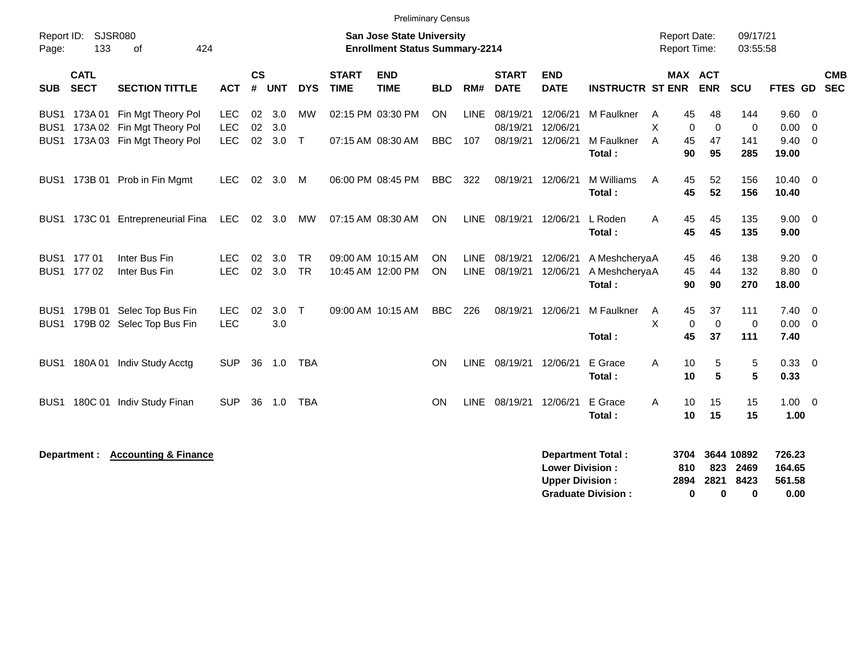| <b>Preliminary Census</b> |  |
|---------------------------|--|
|---------------------------|--|

| Report ID:<br>Page: | <b>SJSR080</b><br>133      | 424<br>οf                                                                                             |                                        |                |                   |                        |                             | <b>San Jose State University</b><br><b>Enrollment Status Summary-2214</b> |                  |                    |                                  |                                                  |                                                       |             | <b>Report Date:</b><br><b>Report Time:</b> |                            | 09/17/21<br>03:55:58            |                                           |                |                          |
|---------------------|----------------------------|-------------------------------------------------------------------------------------------------------|----------------------------------------|----------------|-------------------|------------------------|-----------------------------|---------------------------------------------------------------------------|------------------|--------------------|----------------------------------|--------------------------------------------------|-------------------------------------------------------|-------------|--------------------------------------------|----------------------------|---------------------------------|-------------------------------------------|----------------|--------------------------|
| <b>SUB</b>          | <b>CATL</b><br><b>SECT</b> | <b>SECTION TITTLE</b>                                                                                 | <b>ACT</b>                             | <b>CS</b><br># | <b>UNT</b>        | <b>DYS</b>             | <b>START</b><br><b>TIME</b> | <b>END</b><br><b>TIME</b>                                                 | <b>BLD</b>       | RM#                | <b>START</b><br><b>DATE</b>      | <b>END</b><br><b>DATE</b>                        | <b>INSTRUCTR ST ENR ENR</b>                           |             | MAX ACT                                    |                            | <b>SCU</b>                      | FTES GD                                   |                | <b>CMB</b><br><b>SEC</b> |
|                     |                            | BUS1 173A 01 Fin Mgt Theory Pol<br>BUS1 173A 02 Fin Mgt Theory Pol<br>BUS1 173A 03 Fin Mgt Theory Pol | <b>LEC</b><br><b>LEC</b><br><b>LEC</b> | 02<br>02<br>02 | 3.0<br>3.0<br>3.0 | <b>MW</b><br>$\top$    |                             | 02:15 PM 03:30 PM<br>07:15 AM 08:30 AM                                    | ON<br><b>BBC</b> | <b>LINE</b><br>107 | 08/19/21<br>08/19/21<br>08/19/21 | 12/06/21<br>12/06/21<br>12/06/21                 | M Faulkner<br>M Faulkner<br>Total:                    | A<br>X<br>A | 45<br>0<br>45<br>90                        | 48<br>$\Omega$<br>47<br>95 | 144<br>0<br>141<br>285          | 9.60 0<br>0.00<br>$9.40 \quad 0$<br>19.00 | $\overline{0}$ |                          |
|                     |                            | BUS1 173B 01 Prob in Fin Mgmt                                                                         | <b>LEC</b>                             | 02             | 3.0               | M                      |                             | 06:00 PM 08:45 PM                                                         | <b>BBC</b>       | 322                | 08/19/21 12/06/21                |                                                  | M Williams<br>Total:                                  | A           | 45<br>45                                   | 52<br>52                   | 156<br>156                      | $10.40 \t 0$<br>10.40                     |                |                          |
|                     |                            | BUS1 173C 01 Entrepreneurial Fina                                                                     | <b>LEC</b>                             |                | 02 3.0            | MW                     |                             | 07:15 AM 08:30 AM                                                         | ON               |                    | LINE 08/19/21                    | 12/06/21                                         | L Roden<br>Total:                                     | A           | 45<br>45                                   | 45<br>45                   | 135<br>135                      | $9.00 \t 0$<br>9.00                       |                |                          |
|                     | BUS1 177 01<br>BUS1 177 02 | Inter Bus Fin<br>Inter Bus Fin                                                                        | <b>LEC</b><br><b>LEC</b>               | 02             | 3.0<br>02 3.0     | <b>TR</b><br><b>TR</b> |                             | 09:00 AM 10:15 AM<br>10:45 AM 12:00 PM                                    | ON<br><b>ON</b>  | LINE               | 08/19/21<br>LINE 08/19/21        | 12/06/21<br>12/06/21                             | A MeshcheryaA<br>A MeshcheryaA<br>Total:              |             | 45<br>45<br>90                             | 46<br>44<br>90             | 138<br>132<br>270               | $9.20 \ 0$<br>$8.80\ 0$<br>18.00          |                |                          |
|                     |                            | BUS1 179B 01 Selec Top Bus Fin<br>BUS1 179B 02 Selec Top Bus Fin                                      | LEC.<br><b>LEC</b>                     | 02             | 3.0<br>3.0        | $\top$                 |                             | 09:00 AM 10:15 AM                                                         | <b>BBC</b>       | 226                | 08/19/21                         | 12/06/21                                         | M Faulkner<br>Total:                                  | A<br>X      | 45<br>$\mathbf 0$<br>45                    | 37<br>$\mathbf 0$<br>37    | 111<br>$\mathbf 0$<br>111       | $7.40 \quad 0$<br>$0.00 \t 0$<br>7.40     |                |                          |
|                     |                            | BUS1 180A 01 Indiv Study Acctg                                                                        | <b>SUP</b>                             | 36             | 1.0               | TBA                    |                             |                                                                           | ON               | LINE               | 08/19/21 12/06/21                |                                                  | E Grace<br>Total:                                     | Α           | 10<br>10                                   | 5<br>5                     | 5<br>5                          | 0.33 0<br>0.33                            |                |                          |
| BUS <sub>1</sub>    |                            | 180C 01 Indiv Study Finan                                                                             | <b>SUP</b>                             | 36             | 1.0               | <b>TBA</b>             |                             |                                                                           | ON               | LINE               | 08/19/21 12/06/21                |                                                  | E Grace<br>Total:                                     | Α           | 10<br>10                                   | 15<br>15                   | 15<br>15                        | 1.00 0<br>1.00                            |                |                          |
|                     |                            | Department : Accounting & Finance                                                                     |                                        |                |                   |                        |                             |                                                                           |                  |                    |                                  | <b>Lower Division:</b><br><b>Upper Division:</b> | <b>Department Total:</b><br><b>Graduate Division:</b> |             | 3704<br>810<br>2894<br>0                   | 823<br>2821<br>0           | 3644 10892<br>2469<br>8423<br>0 | 726.23<br>164.65<br>561.58<br>0.00        |                |                          |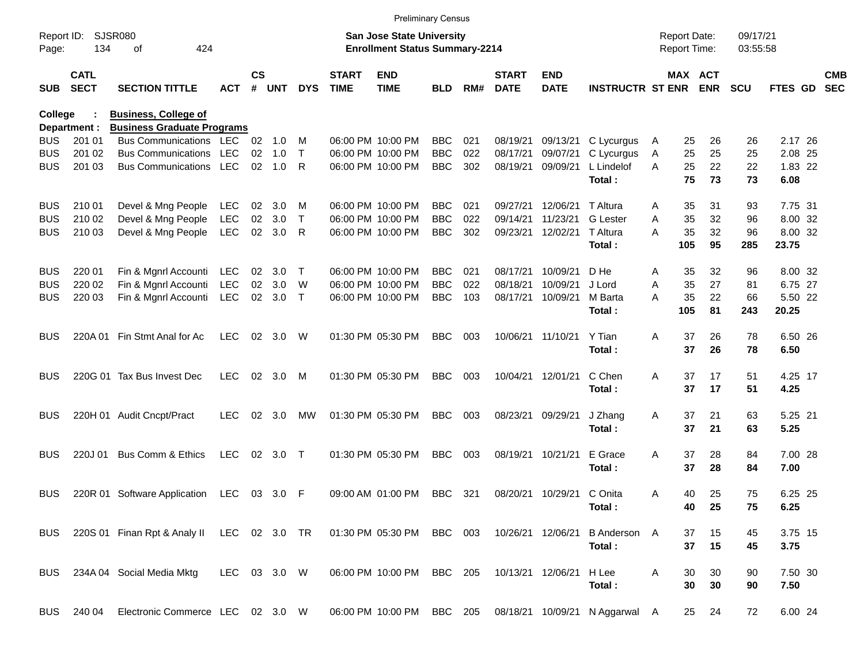|                     |                            |                                                                  |              |               |        |              |                             | <b>Preliminary Census</b>                                                 |            |     |                             |                           |                                |   |                                            |            |                      |                  |                          |
|---------------------|----------------------------|------------------------------------------------------------------|--------------|---------------|--------|--------------|-----------------------------|---------------------------------------------------------------------------|------------|-----|-----------------------------|---------------------------|--------------------------------|---|--------------------------------------------|------------|----------------------|------------------|--------------------------|
| Report ID:<br>Page: | 134                        | <b>SJSR080</b><br>424<br>οf                                      |              |               |        |              |                             | <b>San Jose State University</b><br><b>Enrollment Status Summary-2214</b> |            |     |                             |                           |                                |   | <b>Report Date:</b><br><b>Report Time:</b> |            | 09/17/21<br>03:55:58 |                  |                          |
| <b>SUB</b>          | <b>CATL</b><br><b>SECT</b> | <b>SECTION TITTLE</b>                                            | ACT          | $\mathsf{cs}$ | # UNT  | <b>DYS</b>   | <b>START</b><br><b>TIME</b> | <b>END</b><br><b>TIME</b>                                                 | <b>BLD</b> | RM# | <b>START</b><br><b>DATE</b> | <b>END</b><br><b>DATE</b> | <b>INSTRUCTR ST ENR</b>        |   | MAX ACT                                    | <b>ENR</b> | <b>SCU</b>           | FTES GD          | <b>CMB</b><br><b>SEC</b> |
| College             | Department :               | <b>Business, College of</b><br><b>Business Graduate Programs</b> |              |               |        |              |                             |                                                                           |            |     |                             |                           |                                |   |                                            |            |                      |                  |                          |
| <b>BUS</b>          | 201 01                     | Bus Communications LEC                                           |              | 02            | 1.0    | M            |                             | 06:00 PM 10:00 PM                                                         | <b>BBC</b> | 021 | 08/19/21                    | 09/13/21                  | C Lycurgus                     | A | 25                                         | 26         | 26                   | 2.17 26          |                          |
| <b>BUS</b>          | 201 02                     | <b>Bus Communications</b>                                        | <b>LEC</b>   | 02            | 1.0    | $\mathsf{T}$ |                             | 06:00 PM 10:00 PM                                                         | <b>BBC</b> | 022 | 08/17/21                    | 09/07/21                  | C Lycurgus                     | A | 25                                         | 25         | 25                   | 2.08 25          |                          |
| <b>BUS</b>          | 201 03                     | <b>Bus Communications</b>                                        | LEC          | 02            | 1.0    | R            |                             | 06:00 PM 10:00 PM                                                         | <b>BBC</b> | 302 | 08/19/21                    | 09/09/21                  | L Lindelof                     | A | 25                                         | 22         | 22                   | 1.83 22          |                          |
|                     |                            |                                                                  |              |               |        |              |                             |                                                                           |            |     |                             |                           | Total:                         |   | 75                                         | 73         | 73                   | 6.08             |                          |
| <b>BUS</b>          | 210 01                     | Devel & Mng People                                               | <b>LEC</b>   | 02            | 3.0    | м            |                             | 06:00 PM 10:00 PM                                                         | <b>BBC</b> | 021 | 09/27/21                    | 12/06/21                  | T Altura                       | A | 35                                         | 31         | 93                   | 7.75 31          |                          |
| <b>BUS</b>          | 210 02                     | Devel & Mng People                                               | <b>LEC</b>   | 02            | 3.0    | $\mathsf{T}$ |                             | 06:00 PM 10:00 PM                                                         | <b>BBC</b> | 022 | 09/14/21                    | 11/23/21                  | <b>G</b> Lester                | A | 35                                         | 32         | 96                   | 8.00 32          |                          |
| <b>BUS</b>          | 210 03                     | Devel & Mng People                                               | <b>LEC</b>   | 02            | 3.0    | R            |                             | 06:00 PM 10:00 PM                                                         | <b>BBC</b> | 302 | 09/23/21                    | 12/02/21                  | T Altura<br>Total :            | Α | 35<br>105                                  | 32<br>95   | 96<br>285            | 8.00 32<br>23.75 |                          |
|                     |                            |                                                                  |              |               |        |              |                             |                                                                           |            |     |                             |                           |                                |   |                                            |            |                      |                  |                          |
| <b>BUS</b>          | 220 01                     | Fin & Mgnrl Accounti                                             | <b>LEC</b>   | 02            | 3.0    | $\top$       |                             | 06:00 PM 10:00 PM                                                         | <b>BBC</b> | 021 | 08/17/21                    | 10/09/21                  | D He                           | A | 35                                         | 32         | 96                   | 8.00 32          |                          |
| <b>BUS</b>          | 220 02                     | Fin & Mgnrl Accounti                                             | <b>LEC</b>   | 02            | 3.0    | W            |                             | 06:00 PM 10:00 PM                                                         | <b>BBC</b> | 022 | 08/18/21                    | 10/09/21                  | J Lord                         | A | 35                                         | 27         | 81                   | 6.75 27          |                          |
| <b>BUS</b>          | 220 03                     | Fin & Mgnrl Accounti                                             | <b>LEC</b>   | 02            | 3.0    | $\top$       |                             | 06:00 PM 10:00 PM                                                         | <b>BBC</b> | 103 | 08/17/21                    | 10/09/21                  | M Barta                        | A | 35                                         | 22         | 66                   | 5.50 22          |                          |
|                     |                            |                                                                  |              |               |        |              |                             |                                                                           |            |     |                             |                           | Total:                         |   | 105                                        | 81         | 243                  | 20.25            |                          |
| <b>BUS</b>          | 220A 01                    | Fin Stmt Anal for Ac                                             | <b>LEC</b>   | 02            | 3.0    | W            |                             | 01:30 PM 05:30 PM                                                         | <b>BBC</b> | 003 |                             | 10/06/21 11/10/21         | Y Tian                         | Α | 37                                         | 26         | 78                   | 6.50 26          |                          |
|                     |                            |                                                                  |              |               |        |              |                             |                                                                           |            |     |                             |                           | Total:                         |   | 37                                         | 26         | 78                   | 6.50             |                          |
| <b>BUS</b>          |                            | 220G 01 Tax Bus Invest Dec                                       | <b>LEC</b>   | 02            | 3.0    | M            |                             | 01:30 PM 05:30 PM                                                         | <b>BBC</b> | 003 |                             | 10/04/21 12/01/21         | C Chen                         | A | 37                                         | 17         | 51                   | 4.25 17          |                          |
|                     |                            |                                                                  |              |               |        |              |                             |                                                                           |            |     |                             |                           | Total:                         |   | 37                                         | 17         | 51                   | 4.25             |                          |
| <b>BUS</b>          |                            | 220H 01 Audit Cncpt/Pract                                        | <b>LEC</b>   | 02            | 3.0    | MW           |                             | 01:30 PM 05:30 PM                                                         | <b>BBC</b> | 003 | 08/23/21                    | 09/29/21                  | J Zhang                        | Α | 37                                         | 21         | 63                   | 5.25 21          |                          |
|                     |                            |                                                                  |              |               |        |              |                             |                                                                           |            |     |                             |                           | Total:                         |   | 37                                         | 21         | 63                   | 5.25             |                          |
| <b>BUS</b>          | 220J 01                    | Bus Comm & Ethics                                                | <b>LEC</b>   | 02            | 3.0    | $\top$       |                             | 01:30 PM 05:30 PM                                                         | <b>BBC</b> | 003 |                             | 08/19/21 10/21/21         | E Grace                        | A | 37                                         | 28         | 84                   | 7.00 28          |                          |
|                     |                            |                                                                  |              |               |        |              |                             |                                                                           |            |     |                             |                           | Total:                         |   | 37                                         | 28         | 84                   | 7.00             |                          |
| <b>BUS</b>          |                            | 220R 01 Software Application                                     | LEC          |               | 03 3.0 | F            |                             | 09:00 AM 01:00 PM                                                         | <b>BBC</b> | 321 |                             | 08/20/21 10/29/21         | C Onita                        | A | 40                                         | 25         | 75                   | 6.25 25          |                          |
|                     |                            |                                                                  |              |               |        |              |                             |                                                                           |            |     |                             |                           | Total:                         |   | 40                                         | 25         | 75                   | 6.25             |                          |
| <b>BUS</b>          |                            | 220S 01 Finan Rpt & Analy II LEC 02 3.0 TR                       |              |               |        |              |                             | 01:30 PM 05:30 PM BBC 003                                                 |            |     |                             | 10/26/21 12/06/21         | B Anderson A                   |   | 37                                         | 15         | 45                   | 3.75 15          |                          |
|                     |                            |                                                                  |              |               |        |              |                             |                                                                           |            |     |                             |                           | Total:                         |   | 37                                         | 15         | 45                   | 3.75             |                          |
| <b>BUS</b>          |                            | 234A 04 Social Media Mktg                                        | LEC 03 3.0 W |               |        |              |                             | 06:00 PM 10:00 PM                                                         | BBC 205    |     |                             | 10/13/21 12/06/21         | H Lee                          | A | 30                                         | 30         | 90                   | 7.50 30          |                          |
|                     |                            |                                                                  |              |               |        |              |                             |                                                                           |            |     |                             |                           | Total:                         |   | 30                                         | 30         | 90                   | 7.50             |                          |
| <b>BUS</b>          | 240 04                     | Electronic Commerce LEC 02 3.0 W                                 |              |               |        |              |                             | 06:00 PM 10:00 PM BBC 205                                                 |            |     |                             |                           | 08/18/21 10/09/21 N Aggarwal A |   | 25                                         | 24         | 72                   | 6.00 24          |                          |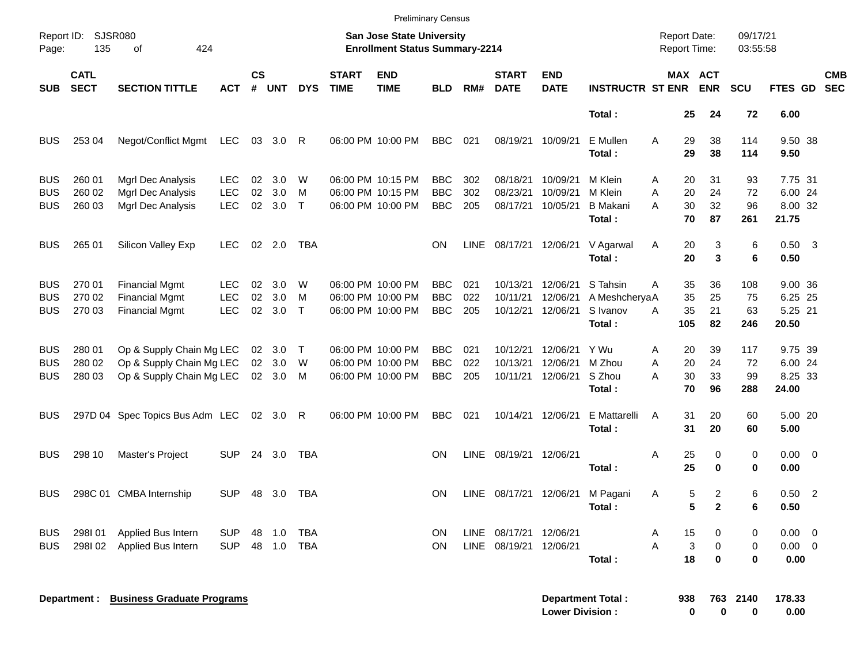|                                        |                            |                                                                                  |                                        |                 |                                 |                        |                             | <b>Preliminary Census</b>                                          |                                        |                     |                                  |                                  |                                       |                     |                                              |                        |                                        |                          |
|----------------------------------------|----------------------------|----------------------------------------------------------------------------------|----------------------------------------|-----------------|---------------------------------|------------------------|-----------------------------|--------------------------------------------------------------------|----------------------------------------|---------------------|----------------------------------|----------------------------------|---------------------------------------|---------------------|----------------------------------------------|------------------------|----------------------------------------|--------------------------|
| Report ID:<br>Page:                    | 135                        | SJSR080<br>424<br>οf                                                             |                                        |                 |                                 |                        |                             | San Jose State University<br><b>Enrollment Status Summary-2214</b> |                                        |                     |                                  |                                  |                                       | <b>Report Date:</b> | <b>Report Time:</b>                          | 09/17/21<br>03:55:58   |                                        |                          |
| <b>SUB</b>                             | <b>CATL</b><br><b>SECT</b> | <b>SECTION TITTLE</b>                                                            | <b>ACT</b>                             | <b>CS</b><br>#  | <b>UNT</b>                      | <b>DYS</b>             | <b>START</b><br><b>TIME</b> | <b>END</b><br><b>TIME</b>                                          | <b>BLD</b>                             | RM#                 | <b>START</b><br><b>DATE</b>      | <b>END</b><br><b>DATE</b>        | <b>INSTRUCTR ST ENR</b>               |                     | MAX ACT<br><b>ENR</b>                        | <b>SCU</b>             | <b>FTES GD</b>                         | <b>CMB</b><br><b>SEC</b> |
|                                        |                            |                                                                                  |                                        |                 |                                 |                        |                             |                                                                    |                                        |                     |                                  |                                  | Total:                                |                     | 25<br>24                                     | 72                     | 6.00                                   |                          |
| <b>BUS</b>                             | 253 04                     | Negot/Conflict Mgmt                                                              | LEC                                    |                 | 03 3.0                          | R                      |                             | 06:00 PM 10:00 PM                                                  | <b>BBC</b>                             | 021                 |                                  | 08/19/21 10/09/21                | E Mullen<br>Total:                    | A                   | 38<br>29<br>29<br>38                         | 114<br>114             | 9.50 38<br>9.50                        |                          |
| <b>BUS</b><br><b>BUS</b><br><b>BUS</b> | 260 01<br>260 02<br>260 03 | Mgrl Dec Analysis<br>Mgrl Dec Analysis<br>Mgrl Dec Analysis                      | <b>LEC</b><br><b>LEC</b><br><b>LEC</b> | 02<br>02<br>02  | 3.0<br>3.0<br>3.0               | W<br>м<br>$\mathsf{T}$ |                             | 06:00 PM 10:15 PM<br>06:00 PM 10:15 PM<br>06:00 PM 10:00 PM        | <b>BBC</b><br><b>BBC</b><br><b>BBC</b> | 302<br>302<br>205   | 08/18/21<br>08/23/21<br>08/17/21 | 10/09/21<br>10/09/21<br>10/05/21 | M Klein<br>M Klein<br><b>B</b> Makani | A<br>Α<br>А         | 20<br>31<br>20<br>24<br>30<br>32             | 93<br>72<br>96         | 7.75 31<br>6.00 24<br>8.00 32          |                          |
|                                        |                            |                                                                                  |                                        |                 |                                 |                        |                             |                                                                    |                                        |                     |                                  |                                  | Total:                                |                     | 70<br>87                                     | 261                    | 21.75                                  |                          |
| <b>BUS</b>                             | 265 01                     | Silicon Valley Exp                                                               | <b>LEC</b>                             |                 | 02 2.0                          | TBA                    |                             |                                                                    | ΟN                                     | <b>LINE</b>         |                                  | 08/17/21 12/06/21                | V Agarwal<br>Total:                   | A                   | 3<br>20<br>20<br>3                           | 6<br>6                 | $0.50$ 3<br>0.50                       |                          |
| <b>BUS</b><br><b>BUS</b><br><b>BUS</b> | 270 01<br>270 02<br>270 03 | <b>Financial Mgmt</b><br><b>Financial Mgmt</b><br><b>Financial Mgmt</b>          | <b>LEC</b><br><b>LEC</b><br><b>LEC</b> | 02<br>02<br>02  | 3.0<br>3.0<br>3.0               | W<br>м<br>$\top$       |                             | 06:00 PM 10:00 PM<br>06:00 PM 10:00 PM<br>06:00 PM 10:00 PM        | <b>BBC</b><br><b>BBC</b><br><b>BBC</b> | 021<br>022<br>205   | 10/13/21<br>10/11/21<br>10/12/21 | 12/06/21<br>12/06/21<br>12/06/21 | S Tahsin<br>A MeshcheryaA<br>S Ivanov | A<br>A              | 36<br>35<br>35<br>25<br>35<br>21             | 108<br>75<br>63        | 9.00 36<br>6.25 25<br>5.25 21          |                          |
|                                        |                            |                                                                                  |                                        |                 |                                 |                        |                             | 06:00 PM 10:00 PM                                                  |                                        |                     |                                  |                                  | Total:<br>Y Wu                        | 105                 | 82                                           | 246                    | 20.50                                  |                          |
| <b>BUS</b><br><b>BUS</b><br><b>BUS</b> | 280 01<br>280 02<br>280 03 | Op & Supply Chain Mg LEC<br>Op & Supply Chain Mg LEC<br>Op & Supply Chain Mg LEC |                                        | 02 <sub>o</sub> | 02 3.0<br>3.0<br>$02 \quad 3.0$ | $\top$<br>W<br>м       |                             | 06:00 PM 10:00 PM<br>06:00 PM 10:00 PM                             | <b>BBC</b><br><b>BBC</b><br><b>BBC</b> | 021<br>022<br>205   | 10/12/21<br>10/13/21<br>10/11/21 | 12/06/21<br>12/06/21<br>12/06/21 | M Zhou<br>S Zhou<br>Total:            | Α<br>A<br>А         | 20<br>39<br>20<br>24<br>30<br>33<br>70<br>96 | 117<br>72<br>99<br>288 | 9.75 39<br>6.00 24<br>8.25 33<br>24.00 |                          |
| <b>BUS</b>                             |                            | 297D 04 Spec Topics Bus Adm LEC 02 3.0                                           |                                        |                 |                                 | R                      |                             | 06:00 PM 10:00 PM                                                  | <b>BBC</b>                             | 021                 | 10/14/21                         | 12/06/21                         | E Mattarelli<br>Total:                | A                   | 31<br>20<br>31<br>20                         | 60<br>60               | 5.00 20<br>5.00                        |                          |
| <b>BUS</b>                             | 298 10                     | Master's Project                                                                 | <b>SUP</b>                             |                 | 24 3.0                          | TBA                    |                             |                                                                    | ΟN                                     | <b>LINE</b>         | 08/19/21 12/06/21                |                                  | Total:                                | Α                   | 25<br>0<br>25<br>0                           | 0<br>0                 | $0.00 \t 0$<br>0.00                    |                          |
| <b>BUS</b>                             |                            | 298C 01 CMBA Internship                                                          | <b>SUP</b>                             | 48              | 3.0                             | TBA                    |                             |                                                                    | ΟN                                     | LINE                | 08/17/21 12/06/21                |                                  | M Pagani<br>Total:                    | A                   | 5<br>2<br>5<br>$\mathbf{2}$                  | 6<br>6                 | $0.50$ 2<br>0.50                       |                          |
| <b>BUS</b><br><b>BUS</b>               | 298101<br>298102           | Applied Bus Intern<br>Applied Bus Intern                                         | <b>SUP</b><br><b>SUP</b>               | 48<br>48        | 1.0<br>1.0                      | TBA<br><b>TBA</b>      |                             |                                                                    | ON<br>ON                               | <b>LINE</b><br>LINE | 08/17/21 12/06/21<br>08/19/21    | 12/06/21                         | Total:                                | A<br>Α              | 15<br>0<br>3<br>0<br>18<br>0                 | 0<br>0<br>0            | $0.00 \t 0$<br>$0.00 \t 0$<br>0.00     |                          |
|                                        | Department :               | <b>Business Graduate Programs</b>                                                |                                        |                 |                                 |                        |                             |                                                                    |                                        |                     |                                  | <b>Lower Division:</b>           | <b>Department Total:</b>              | 938                 | 763<br>$\mathbf 0$<br>0                      | 2140<br>0              | 178.33<br>0.00                         |                          |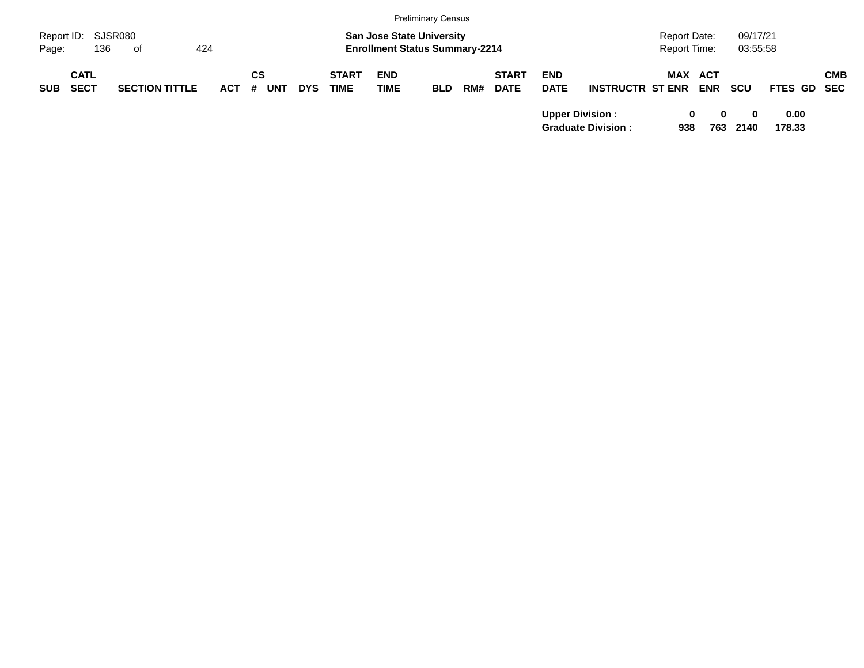|                     |                            |                       |         |                  |            |                             |                                                                           | <b>Preliminary Census</b> |     |                             |                           |                                                     |                                     |                   |                      |                    |            |
|---------------------|----------------------------|-----------------------|---------|------------------|------------|-----------------------------|---------------------------------------------------------------------------|---------------------------|-----|-----------------------------|---------------------------|-----------------------------------------------------|-------------------------------------|-------------------|----------------------|--------------------|------------|
| Report ID:<br>Page: | 136                        | SJSR080<br>of         | 424     |                  |            |                             | <b>San Jose State University</b><br><b>Enrollment Status Summary-2214</b> |                           |     |                             |                           |                                                     | Report Date:<br><b>Report Time:</b> |                   | 09/17/21<br>03:55:58 |                    |            |
| <b>SUB</b>          | <b>CATL</b><br><b>SECT</b> | <b>SECTION TITTLE</b> | $ACT$ # | СS<br><b>UNT</b> | <b>DYS</b> | <b>START</b><br><b>TIME</b> | <b>END</b><br><b>TIME</b>                                                 | <b>BLD</b>                | RM# | <b>START</b><br><b>DATE</b> | <b>END</b><br><b>DATE</b> | <b>INSTRUCTR ST ENR</b>                             | <b>MAX</b>                          | ACT<br><b>ENR</b> | <b>SCU</b>           | <b>FTES GD SEC</b> | <b>CMB</b> |
|                     |                            |                       |         |                  |            |                             |                                                                           |                           |     |                             |                           | <b>Upper Division:</b><br><b>Graduate Division:</b> | 938                                 | $\bf{0}$<br>763   | 0<br>2140            | 0.00<br>178.33     |            |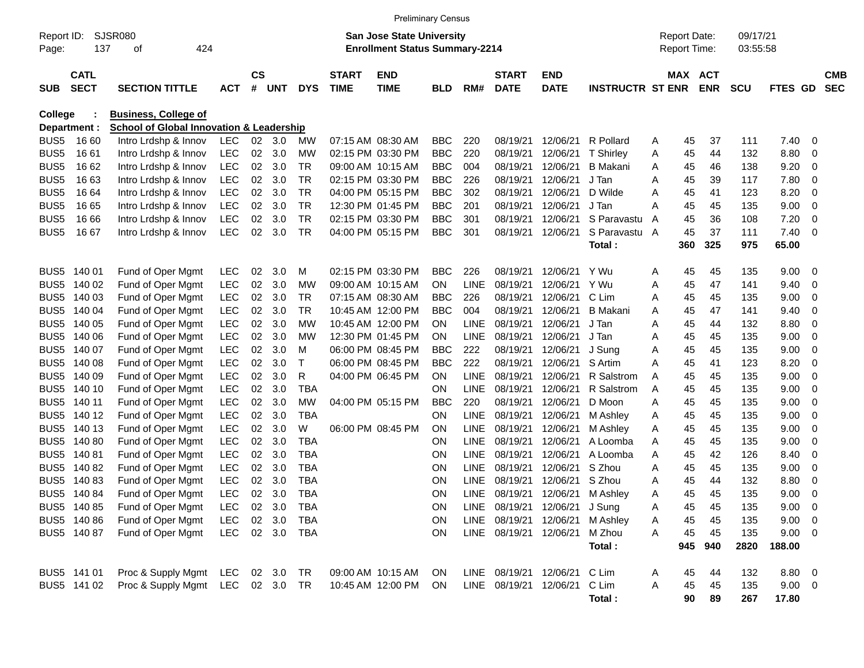|                     |                            |                                                     |            |                |        |            |                             | <b>Preliminary Census</b>                                                 |            |             |                             |                           |                         |                                     |     |                              |                      |             |                          |                          |
|---------------------|----------------------------|-----------------------------------------------------|------------|----------------|--------|------------|-----------------------------|---------------------------------------------------------------------------|------------|-------------|-----------------------------|---------------------------|-------------------------|-------------------------------------|-----|------------------------------|----------------------|-------------|--------------------------|--------------------------|
| Report ID:<br>Page: | 137                        | SJSR080<br>424<br>οf                                |            |                |        |            |                             | <b>San Jose State University</b><br><b>Enrollment Status Summary-2214</b> |            |             |                             |                           |                         | <b>Report Date:</b><br>Report Time: |     |                              | 09/17/21<br>03:55:58 |             |                          |                          |
| <b>SUB</b>          | <b>CATL</b><br><b>SECT</b> | <b>SECTION TITTLE</b>                               | <b>ACT</b> | <b>CS</b><br># | UNT    | <b>DYS</b> | <b>START</b><br><b>TIME</b> | <b>END</b><br><b>TIME</b>                                                 | <b>BLD</b> | RM#         | <b>START</b><br><b>DATE</b> | <b>END</b><br><b>DATE</b> | <b>INSTRUCTR ST ENR</b> |                                     |     | <b>MAX ACT</b><br><b>ENR</b> | <b>SCU</b>           | <b>FTES</b> | GD                       | <b>CMB</b><br><b>SEC</b> |
| <b>College</b>      |                            | <b>Business, College of</b>                         |            |                |        |            |                             |                                                                           |            |             |                             |                           |                         |                                     |     |                              |                      |             |                          |                          |
|                     | Department :               | <b>School of Global Innovation &amp; Leadership</b> |            |                |        |            |                             |                                                                           |            |             |                             |                           |                         |                                     |     |                              |                      |             |                          |                          |
| BUS <sub>5</sub>    | 16 60                      | Intro Lrdshp & Innov                                | <b>LEC</b> | 02             | 3.0    | мw         |                             | 07:15 AM 08:30 AM                                                         | <b>BBC</b> | 220         | 08/19/21                    | 12/06/21                  | R Pollard               | Α                                   | 45  | 37                           | 111                  | 7.40        | 0                        |                          |
| BUS <sub>5</sub>    | 1661                       | Intro Lrdshp & Innov                                | LEC        | 02             | 3.0    | MW         |                             | 02:15 PM 03:30 PM                                                         | <b>BBC</b> | 220         | 08/19/21                    | 12/06/21                  | <b>T</b> Shirley        | Α                                   | 45  | 44                           | 132                  | 8.80        | 0                        |                          |
| BUS <sub>5</sub>    | 16 62                      | Intro Lrdshp & Innov                                | LEC        | 02             | 3.0    | <b>TR</b>  |                             | 09:00 AM 10:15 AM                                                         | <b>BBC</b> | 004         | 08/19/21                    | 12/06/21                  | <b>B</b> Makani         | A                                   | 45  | 46                           | 138                  | 9.20        | 0                        |                          |
| BUS <sub>5</sub>    | 1663                       | Intro Lrdshp & Innov                                | <b>LEC</b> | 02             | 3.0    | TR         |                             | 02:15 PM 03:30 PM                                                         | <b>BBC</b> | 226         | 08/19/21                    | 12/06/21                  | J Tan                   | A                                   | 45  | 39                           | 117                  | 7.80        | 0                        |                          |
| BUS <sub>5</sub>    | 16 64                      | Intro Lrdshp & Innov                                | <b>LEC</b> | 02             | 3.0    | <b>TR</b>  |                             | 04:00 PM 05:15 PM                                                         | <b>BBC</b> | 302         | 08/19/21                    | 12/06/21                  | D Wilde                 | A                                   | 45  | 41                           | 123                  | 8.20        | 0                        |                          |
| BUS <sub>5</sub>    | 16 65                      | Intro Lrdshp & Innov                                | LEC        | 02             | 3.0    | TR         |                             | 12:30 PM 01:45 PM                                                         | <b>BBC</b> | 201         | 08/19/21                    | 12/06/21                  | J Tan                   | A                                   | 45  | 45                           | 135                  | 9.00        | 0                        |                          |
| BUS <sub>5</sub>    | 16 66                      | Intro Lrdshp & Innov                                | <b>LEC</b> | 02             | 3.0    | TR         |                             | 02:15 PM 03:30 PM                                                         | <b>BBC</b> | 301         | 08/19/21                    | 12/06/21                  | S Paravastu             | A                                   | 45  | 36                           | 108                  | 7.20        | 0                        |                          |
| BUS <sub>5</sub>    | 16 67                      | Intro Lrdshp & Innov                                | <b>LEC</b> | 02             | 3.0    | <b>TR</b>  |                             | 04:00 PM 05:15 PM                                                         | <b>BBC</b> | 301         | 08/19/21                    | 12/06/21                  | S Paravastu A           |                                     | 45  | 37                           | 111                  | 7.40        | 0                        |                          |
|                     |                            |                                                     |            |                |        |            |                             |                                                                           |            |             |                             |                           | Total:                  |                                     | 360 | 325                          | 975                  | 65.00       |                          |                          |
| BUS <sub>5</sub>    | 140 01                     | Fund of Oper Mgmt                                   | LEC        | 02             | 3.0    | м          |                             | 02:15 PM 03:30 PM                                                         | <b>BBC</b> | 226         | 08/19/21                    | 12/06/21                  | Y Wu                    | Α                                   | 45  | 45                           | 135                  | 9.00        | 0                        |                          |
| BUS <sub>5</sub>    | 140 02                     | Fund of Oper Mgmt                                   | LEC        | 02             | 3.0    | MW         |                             | 09:00 AM 10:15 AM                                                         | ON         | <b>LINE</b> | 08/19/21                    | 12/06/21                  | Y Wu                    | A                                   | 45  | 47                           | 141                  | 9.40        | 0                        |                          |
| BUS <sub>5</sub>    | 140 03                     | Fund of Oper Mgmt                                   | LEC        | 02             | 3.0    | <b>TR</b>  |                             | 07:15 AM 08:30 AM                                                         | <b>BBC</b> | 226         | 08/19/21                    | 12/06/21                  | C Lim                   | A                                   | 45  | 45                           | 135                  | 9.00        | 0                        |                          |
| BUS <sub>5</sub>    | 140 04                     | Fund of Oper Mgmt                                   | LEC        | 02             | 3.0    | <b>TR</b>  |                             | 10:45 AM 12:00 PM                                                         | <b>BBC</b> | 004         | 08/19/21                    | 12/06/21                  | <b>B</b> Makani         | Α                                   | 45  | 47                           | 141                  | 9.40        | 0                        |                          |
| BUS <sub>5</sub>    | 140 05                     | Fund of Oper Mgmt                                   | LEC        | 02             | 3.0    | МW         |                             | 10:45 AM 12:00 PM                                                         | ON         | LINE        | 08/19/21                    | 12/06/21                  | J Tan                   | A                                   | 45  | 44                           | 132                  | 8.80        | 0                        |                          |
| BUS <sub>5</sub>    | 140 06                     | Fund of Oper Mgmt                                   | LEC        | 02             | 3.0    | МW         |                             | 12:30 PM 01:45 PM                                                         | <b>ON</b>  | LINE        | 08/19/21                    | 12/06/21                  | J Tan                   | A                                   | 45  | 45                           | 135                  | 9.00        | 0                        |                          |
| BUS <sub>5</sub>    | 140 07                     | Fund of Oper Mgmt                                   | LEC        | 02             | 3.0    | М          |                             | 06:00 PM 08:45 PM                                                         | <b>BBC</b> | 222         | 08/19/21                    | 12/06/21                  | J Sung                  | Α                                   | 45  | 45                           | 135                  | 9.00        | 0                        |                          |
| BUS <sub>5</sub>    | 140 08                     | Fund of Oper Mgmt                                   | LEC        | 02             | 3.0    | $\top$     |                             | 06:00 PM 08:45 PM                                                         | <b>BBC</b> | 222         | 08/19/21                    | 12/06/21                  | S Artim                 | A                                   | 45  | 41                           | 123                  | 8.20        | 0                        |                          |
| BUS <sub>5</sub>    | 140 09                     | Fund of Oper Mgmt                                   | LEC        | 02             | 3.0    | R          |                             | 04:00 PM 06:45 PM                                                         | <b>ON</b>  | LINE        | 08/19/21                    | 12/06/21                  | R Salstrom              | A                                   | 45  | 45                           | 135                  | 9.00        | 0                        |                          |
| BUS <sub>5</sub>    | 140 10                     | Fund of Oper Mgmt                                   | LEC        | 02             | 3.0    | <b>TBA</b> |                             |                                                                           | ON         | <b>LINE</b> | 08/19/21                    | 12/06/21                  | R Salstrom              | Α                                   | 45  | 45                           | 135                  | 9.00        | 0                        |                          |
| BUS <sub>5</sub>    | 140 11                     | Fund of Oper Mgmt                                   | LEC        | 02             | 3.0    | MW         |                             | 04:00 PM 05:15 PM                                                         | <b>BBC</b> | 220         | 08/19/21                    | 12/06/21                  | D Moon                  | Α                                   | 45  | 45                           | 135                  | 9.00        | 0                        |                          |
| BUS <sub>5</sub>    | 140 12                     | Fund of Oper Mgmt                                   | LEC        | 02             | 3.0    | <b>TBA</b> |                             |                                                                           | OΝ         | <b>LINE</b> | 08/19/21                    | 12/06/21                  | M Ashley                | Α                                   | 45  | 45                           | 135                  | 9.00        | 0                        |                          |
| BUS <sub>5</sub>    | 140 13                     | Fund of Oper Mgmt                                   | LEC        | 02             | 3.0    | W          |                             | 06:00 PM 08:45 PM                                                         | ON         | <b>LINE</b> | 08/19/21                    | 12/06/21                  | M Ashley                | Α                                   | 45  | 45                           | 135                  | 9.00        | 0                        |                          |
| BUS <sub>5</sub>    | 14080                      | Fund of Oper Mgmt                                   | LEC        | 02             | 3.0    | <b>TBA</b> |                             |                                                                           | ΟN         | LINE        | 08/19/21                    | 12/06/21                  | A Loomba                | A                                   | 45  | 45                           | 135                  | 9.00        | 0                        |                          |
| BUS <sub>5</sub>    | 14081                      | Fund of Oper Mgmt                                   | LEC        | 02             | 3.0    | <b>TBA</b> |                             |                                                                           | ON         | LINE        | 08/19/21                    | 12/06/21                  | A Loomba                | A                                   | 45  | 42                           | 126                  | 8.40        | 0                        |                          |
| BUS5                | 14082                      | Fund of Oper Mgmt                                   | LEC        | 02             | 3.0    | <b>TBA</b> |                             |                                                                           | ON         | LINE        | 08/19/21                    | 12/06/21                  | S Zhou                  | A                                   | 45  | 45                           | 135                  | 9.00        | 0                        |                          |
| BUS <sub>5</sub>    | 14083                      | Fund of Oper Mgmt                                   | <b>LEC</b> | 02             | 3.0    | <b>TBA</b> |                             |                                                                           | ON         | <b>LINE</b> | 08/19/21                    | 12/06/21                  | S Zhou                  | A                                   | 45  | 44                           | 132                  | 8.80        | 0                        |                          |
| BUS5                | 140 84                     | Fund of Oper Mgmt                                   | <b>LEC</b> | 02             | 3.0    | <b>TBA</b> |                             |                                                                           | <b>ON</b>  | <b>LINE</b> | 08/19/21                    | 12/06/21                  | M Ashley                | A                                   | 45  | 45                           | 135                  | 9.00        | 0                        |                          |
|                     | BUS5 140 85                | Fund of Oper Mgmt                                   | <b>LEC</b> |                | 02 3.0 | TBA        |                             |                                                                           | ON         |             | LINE 08/19/21               | 12/06/21 J Sung           |                         | Α                                   | 45  | 45                           | 135                  | 9.00        | $\overline{\mathbf{0}}$  |                          |
|                     | BUS5 140 86                | Fund of Oper Mgmt                                   | <b>LEC</b> |                | 02 3.0 | <b>TBA</b> |                             |                                                                           | ON         |             | LINE 08/19/21               | 12/06/21                  | M Ashley                | Α                                   | 45  | 45                           | 135                  | 9.00        | 0                        |                          |
|                     | BUS5 140 87                | Fund of Oper Mgmt                                   | <b>LEC</b> |                | 02 3.0 | TBA        |                             |                                                                           | ON         |             | LINE 08/19/21               | 12/06/21                  | M Zhou                  | Α                                   | 45  | 45                           | 135                  | 9.00        | $\overline{\phantom{0}}$ |                          |
|                     |                            |                                                     |            |                |        |            |                             |                                                                           |            |             |                             |                           | Total:                  |                                     | 945 | 940                          | 2820                 | 188.00      |                          |                          |
|                     | BUS5 141 01                | Proc & Supply Mgmt                                  | LEC 02 3.0 |                |        | TR         |                             | 09:00 AM 10:15 AM                                                         | ON         |             | LINE 08/19/21 12/06/21      |                           | C Lim                   | A                                   | 45  | 44                           | 132                  | 8.80        | $\overline{\phantom{0}}$ |                          |
|                     | BUS5 141 02                | Proc & Supply Mgmt LEC 02 3.0                       |            |                |        | TR.        |                             | 10:45 AM 12:00 PM                                                         | ON.        |             | LINE 08/19/21 12/06/21      |                           | C Lim                   | Α                                   | 45  | 45                           | 135                  | $9.00 \t 0$ |                          |                          |
|                     |                            |                                                     |            |                |        |            |                             |                                                                           |            |             |                             |                           | Total:                  |                                     | 90  | 89                           | 267                  | 17.80       |                          |                          |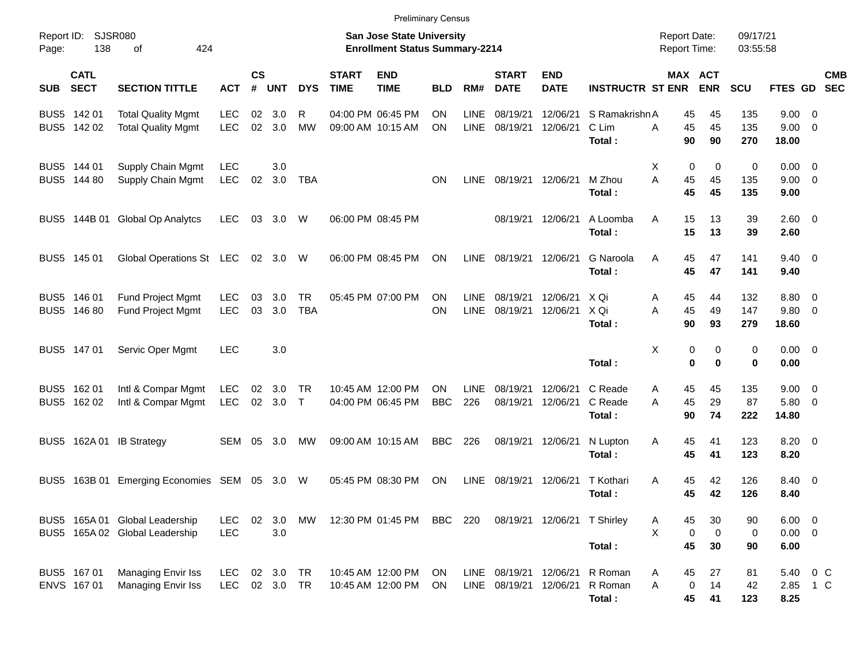|                     |                            |                                                                  |                          |                    |                  |                         |                             | <b>Preliminary Census</b>                                                 |                         |                            |                                                  |                           |                                   |                                            |                              |                      |                                       |                                 |                          |
|---------------------|----------------------------|------------------------------------------------------------------|--------------------------|--------------------|------------------|-------------------------|-----------------------------|---------------------------------------------------------------------------|-------------------------|----------------------------|--------------------------------------------------|---------------------------|-----------------------------------|--------------------------------------------|------------------------------|----------------------|---------------------------------------|---------------------------------|--------------------------|
| Report ID:<br>Page: | 138                        | SJSR080<br>424<br>οf                                             |                          |                    |                  |                         |                             | <b>San Jose State University</b><br><b>Enrollment Status Summary-2214</b> |                         |                            |                                                  |                           |                                   | <b>Report Date:</b><br><b>Report Time:</b> |                              | 09/17/21<br>03:55:58 |                                       |                                 |                          |
| <b>SUB</b>          | <b>CATL</b><br><b>SECT</b> | <b>SECTION TITTLE</b>                                            | <b>ACT</b>               | $\mathsf{cs}$<br># | <b>UNT</b>       | <b>DYS</b>              | <b>START</b><br><b>TIME</b> | <b>END</b><br><b>TIME</b>                                                 | <b>BLD</b>              | RM#                        | <b>START</b><br><b>DATE</b>                      | <b>END</b><br><b>DATE</b> | <b>INSTRUCTR ST ENR</b>           |                                            | <b>MAX ACT</b><br><b>ENR</b> | <b>SCU</b>           | FTES GD                               |                                 | <b>CMB</b><br><b>SEC</b> |
|                     | BUS5 142 01<br>BUS5 142 02 | <b>Total Quality Mgmt</b><br><b>Total Quality Mgmt</b>           | <b>LEC</b><br><b>LEC</b> | 02<br>02           | 3.0<br>3.0       | R<br><b>MW</b>          |                             | 04:00 PM 06:45 PM<br>09:00 AM 10:15 AM                                    | ON<br><b>ON</b>         | <b>LINE</b><br><b>LINE</b> | 08/19/21<br>08/19/21                             | 12/06/21<br>12/06/21      | S Ramakrishn A<br>C Lim<br>Total: | 45<br>45<br>A<br>90                        | 45<br>45<br>90               | 135<br>135<br>270    | 9.00<br>9.00<br>18.00                 | - 0<br>0                        |                          |
|                     | BUS5 144 01<br>BUS5 144 80 | Supply Chain Mgmt<br>Supply Chain Mgmt                           | <b>LEC</b><br>LEC        | 02                 | 3.0<br>3.0       | <b>TBA</b>              |                             |                                                                           | <b>ON</b>               | LINE                       | 08/19/21 12/06/21                                |                           | M Zhou<br>Total:                  | х<br>0<br>A<br>45<br>45                    | 0<br>45<br>45                | 0<br>135<br>135      | 0.00<br>9.00<br>9.00                  | $\overline{\phantom{0}}$<br>- 0 |                          |
|                     |                            | BUS5 144B 01 Global Op Analytcs                                  | <b>LEC</b>               | 03                 | 3.0              | W                       |                             | 06:00 PM 08:45 PM                                                         |                         |                            | 08/19/21 12/06/21                                |                           | A Loomba<br>Total:                | A<br>15<br>15                              | 13<br>13                     | 39<br>39             | 2.60 0<br>2.60                        |                                 |                          |
|                     | BUS5 145 01                | Global Operations St LEC                                         |                          | 02                 | 3.0              | W                       |                             | 06:00 PM 08:45 PM                                                         | <b>ON</b>               | <b>LINE</b>                | 08/19/21 12/06/21                                |                           | G Naroola<br>Total:               | 45<br>A<br>45                              | 47<br>47                     | 141<br>141           | $9.40 \quad 0$<br>9.40                |                                 |                          |
|                     | BUS5 146 01<br>BUS5 146 80 | Fund Project Mgmt<br>Fund Project Mgmt                           | <b>LEC</b><br>LEC        | 03<br>03           | 3.0<br>3.0       | <b>TR</b><br><b>TBA</b> |                             | 05:45 PM 07:00 PM                                                         | ON<br>ON                | <b>LINE</b><br><b>LINE</b> | 08/19/21<br>08/19/21                             | 12/06/21<br>12/06/21      | X Qi<br>X Qi<br>Total:            | Α<br>45<br>A<br>45<br>90                   | 44<br>49<br>93               | 132<br>147<br>279    | 8.80<br>9.80<br>18.60                 | $\overline{\mathbf{0}}$<br>0    |                          |
|                     | BUS5 147 01                | Servic Oper Mgmt                                                 | <b>LEC</b>               |                    | 3.0              |                         |                             |                                                                           |                         |                            |                                                  |                           | Total:                            | Χ<br>0<br>0                                | 0<br>$\mathbf 0$             | $\mathbf 0$<br>0     | $0.00 \t 0$<br>0.00                   |                                 |                          |
|                     | BUS5 162 01<br>BUS5 162 02 | Intl & Compar Mgmt<br>Intl & Compar Mgmt                         | <b>LEC</b><br>LEC        | 02<br>02           | 3.0<br>3.0       | TR<br>$\top$            |                             | 10:45 AM 12:00 PM<br>04:00 PM 06:45 PM                                    | <b>ON</b><br><b>BBC</b> | <b>LINE</b><br>226         | 08/19/21<br>08/19/21                             | 12/06/21<br>12/06/21      | C Reade<br>C Reade<br>Total:      | Α<br>45<br>45<br>A<br>90                   | 45<br>29<br>74               | 135<br>87<br>222     | 9.00<br>5.80<br>14.80                 | $\overline{\mathbf{0}}$<br>0    |                          |
| BUS <sub>5</sub>    | 162A 01                    | <b>IB Strategy</b>                                               | SEM                      | 05                 | 3.0              | MW                      |                             | 09:00 AM 10:15 AM                                                         | <b>BBC</b>              | 226                        | 08/19/21 12/06/21                                |                           | N Lupton<br>Total:                | Α<br>45<br>45                              | 41<br>41                     | 123<br>123           | $8.20 \ 0$<br>8.20                    |                                 |                          |
| BUS5                | 163B 01                    | Emerging Economies SEM                                           |                          | 05                 | 3.0              | W                       |                             | 05:45 PM 08:30 PM                                                         | ON                      | <b>LINE</b>                | 08/19/21                                         | 12/06/21                  | T Kothari<br>Total:               | A<br>45<br>45                              | 42<br>42                     | 126<br>126           | 8.40 0<br>8.40                        |                                 |                          |
|                     |                            | BUS5 165A 01 Global Leadership<br>BUS5 165A 02 Global Leadership | <b>LEC</b><br><b>LEC</b> | 02                 | 3.0<br>3.0       | МW                      |                             | 12:30 PM 01:45 PM                                                         | BBC 220                 |                            |                                                  | 08/19/21 12/06/21         | T Shirley<br>Total:               | 45<br>A<br>X<br>0<br>45                    | 30<br>0<br>30                | 90<br>0<br>90        | $6.00 \quad 0$<br>$0.00 \t 0$<br>6.00 |                                 |                          |
|                     | BUS5 167 01<br>ENVS 167 01 | Managing Envir Iss<br>Managing Envir Iss                         | <b>LEC</b><br><b>LEC</b> | 02                 | 3.0<br>02 3.0 TR | TR                      |                             | 10:45 AM 12:00 PM<br>10:45 AM 12:00 PM                                    | ON<br>ON                |                            | LINE 08/19/21 12/06/21<br>LINE 08/19/21 12/06/21 |                           | R Roman<br>R Roman<br>Total:      | 45<br>Α<br>Α<br>0<br>45                    | 27<br>14<br>41               | 81<br>42<br>123      | 5.40<br>8.25                          | $0\,$ C<br>2.85 1 C             |                          |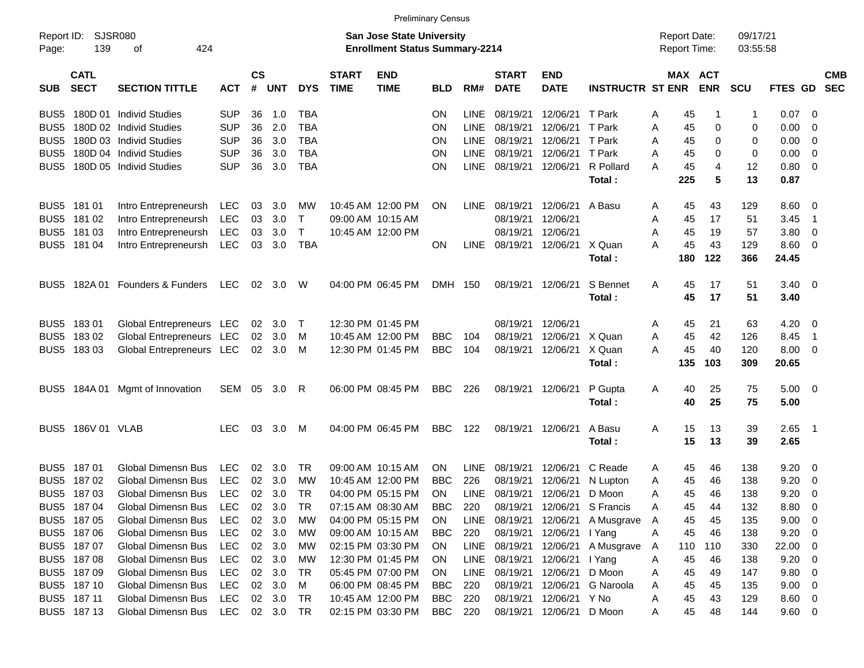|                     |                            |                           |               |                    |                |              |                             |                                                                    | <b>Preliminary Census</b> |             |                             |                           |                             |                                            |                       |                      |                |                          |
|---------------------|----------------------------|---------------------------|---------------|--------------------|----------------|--------------|-----------------------------|--------------------------------------------------------------------|---------------------------|-------------|-----------------------------|---------------------------|-----------------------------|--------------------------------------------|-----------------------|----------------------|----------------|--------------------------|
| Report ID:<br>Page: | 139                        | SJSR080<br>424<br>οf      |               |                    |                |              |                             | San Jose State University<br><b>Enrollment Status Summary-2214</b> |                           |             |                             |                           |                             | <b>Report Date:</b><br><b>Report Time:</b> |                       | 09/17/21<br>03:55:58 |                |                          |
| SUB                 | <b>CATL</b><br><b>SECT</b> | <b>SECTION TITTLE</b>     | <b>ACT</b>    | $\mathsf{cs}$<br># | <b>UNT</b>     | <b>DYS</b>   | <b>START</b><br><b>TIME</b> | <b>END</b><br><b>TIME</b>                                          | <b>BLD</b>                | RM#         | <b>START</b><br><b>DATE</b> | <b>END</b><br><b>DATE</b> | <b>INSTRUCTR ST ENR</b>     |                                            | MAX ACT<br><b>ENR</b> | <b>SCU</b>           | <b>FTES GD</b> | <b>CMB</b><br><b>SEC</b> |
| BUS5                |                            | 180D 01 Individ Studies   | <b>SUP</b>    | 36                 | 1.0            | TBA          |                             |                                                                    | <b>ON</b>                 | <b>LINE</b> | 08/19/21                    | 12/06/21                  | T Park                      | 45<br>Α                                    |                       | 1                    | 0.07           | - 0                      |
| BUS <sub>5</sub>    |                            | 180D 02 Individ Studies   | <b>SUP</b>    | 36                 | 2.0            | <b>TBA</b>   |                             |                                                                    | ON                        | <b>LINE</b> | 08/19/21                    | 12/06/21                  | T Park                      | 45<br>Α                                    | 0                     | 0                    | 0.00           | 0                        |
| BUS5                |                            | 180D 03 Individ Studies   | <b>SUP</b>    | 36                 | 3.0            | <b>TBA</b>   |                             |                                                                    | ON                        | LINE        | 08/19/21                    | 12/06/21                  | T Park                      | Α<br>45                                    | 0                     | 0                    | 0.00           | 0                        |
| BUS5                |                            | 180D 04 Individ Studies   | <b>SUP</b>    | 36                 | 3.0            | <b>TBA</b>   |                             |                                                                    | ON                        | LINE        | 08/19/21                    | 12/06/21                  | T Park                      | A<br>45                                    | 0                     | 0                    | 0.00           | 0                        |
| BUS5                |                            | 180D 05 Individ Studies   | <b>SUP</b>    | 36                 | 3.0            | <b>TBA</b>   |                             |                                                                    | ΟN                        | <b>LINE</b> | 08/19/21                    | 12/06/21                  | R Pollard                   | Α<br>45                                    | 4                     | 12                   | 0.80           | 0                        |
|                     |                            |                           |               |                    |                |              |                             |                                                                    |                           |             |                             |                           | Total:                      | 225                                        | 5                     | 13                   | 0.87           |                          |
| BUS <sub>5</sub>    | 181 01                     | Intro Entrepreneursh      | LEC           | 03                 | 3.0            | <b>MW</b>    |                             | 10:45 AM 12:00 PM                                                  | ON                        | LINE.       | 08/19/21                    | 12/06/21                  | A Basu                      | 45<br>A                                    | 43                    | 129                  | 8.60           | - 0                      |
| BUS <sub>5</sub>    | 181 02                     | Intro Entrepreneursh      | LEC           | 03                 | 3.0            | $\mathsf{T}$ |                             | 09:00 AM 10:15 AM                                                  |                           |             | 08/19/21                    | 12/06/21                  |                             | Α<br>45                                    | 17                    | 51                   | 3.45           | $\overline{1}$           |
| BUS <sub>5</sub>    | 181 03                     | Intro Entrepreneursh      | LEC           | 03                 | 3.0            | Τ            |                             | 10:45 AM 12:00 PM                                                  |                           |             | 08/19/21                    | 12/06/21                  |                             | A<br>45                                    | 19                    | 57                   | 3.80           | 0                        |
| BUS <sub>5</sub>    | 181 04                     | Intro Entrepreneursh      | LEC           | 03                 | 3.0            | TBA          |                             |                                                                    | ΟN                        | <b>LINE</b> | 08/19/21                    | 12/06/21                  | X Quan                      | Α<br>45                                    | 43                    | 129                  | 8.60           | $\overline{0}$           |
|                     |                            |                           |               |                    |                |              |                             |                                                                    |                           |             |                             |                           | Total:                      | 180                                        | 122                   | 366                  | 24.45          |                          |
| BUS5                | 182A 01                    | Founders & Funders        | <b>LEC</b>    | 02                 | - 3.0          | W            |                             | 04:00 PM 06:45 PM                                                  | DMH 150                   |             | 08/19/21                    | 12/06/21                  | S Bennet                    | A<br>45                                    | 17                    | 51                   | 3.40           | $\overline{\mathbf{0}}$  |
|                     |                            |                           |               |                    |                |              |                             |                                                                    |                           |             |                             |                           | Total:                      | 45                                         | 17                    | 51                   | 3.40           |                          |
| BUS <sub>5</sub>    | 18301                      | Global Entrepreneurs LEC  |               | 02                 | 3.0            | $\top$       |                             | 12:30 PM 01:45 PM                                                  |                           |             | 08/19/21                    | 12/06/21                  |                             | 45<br>Α                                    | 21                    | 63                   | 4.20           | - 0                      |
| BUS <sub>5</sub>    | 18302                      | Global Entrepreneurs LEC  |               | 02                 | 3.0            | M            |                             | 10:45 AM 12:00 PM                                                  | <b>BBC</b>                | 104         | 08/19/21                    | 12/06/21                  | X Quan                      | A<br>45                                    | 42                    | 126                  | 8.45           | $\overline{1}$           |
|                     | BUS5 183 03                | Global Entrepreneurs LEC  |               |                    | 02 3.0         | M            |                             | 12:30 PM 01:45 PM                                                  | <b>BBC</b>                | 104         | 08/19/21                    | 12/06/21                  | X Quan                      | Α<br>45                                    | 40                    | 120                  | 8.00           | 0                        |
|                     |                            |                           |               |                    |                |              |                             |                                                                    |                           |             |                             |                           | Total:                      | 135                                        | 103                   | 309                  | 20.65          |                          |
| BUS5                | 184A 01                    | Mgmt of Innovation        | SEM           |                    | 05 3.0         | - R          |                             | 06:00 PM 08:45 PM                                                  | BBC                       | 226         | 08/19/21                    | 12/06/21                  | P Gupta                     | A<br>40                                    | 25                    | 75                   | 5.00           | $\overline{\mathbf{0}}$  |
|                     |                            |                           |               |                    |                |              |                             |                                                                    |                           |             |                             |                           | Total:                      | 40                                         | 25                    | 75                   | 5.00           |                          |
| BUS <sub>5</sub>    | 186V 01 VLAB               |                           | <b>LEC</b>    | 03                 | 3.0            | M            |                             | 04:00 PM 06:45 PM                                                  | BBC                       | 122         | 08/19/21                    | 12/06/21                  | A Basu                      | A<br>15                                    | 13                    | 39                   | 2.65           | $\overline{\phantom{1}}$ |
|                     |                            |                           |               |                    |                |              |                             |                                                                    |                           |             |                             |                           | Total:                      | 15                                         | 13                    | 39                   | 2.65           |                          |
| BUS5                | 18701                      | <b>Global Dimensn Bus</b> | LEC.          | 02                 | 3.0            | TR           |                             | 09:00 AM 10:15 AM                                                  | <b>ON</b>                 | LINE        | 08/19/21                    | 12/06/21                  | C Reade                     | 45<br>A                                    | 46                    | 138                  | 9.20           | $\overline{0}$           |
| BUS <sub>5</sub>    | 18702                      | <b>Global Dimensn Bus</b> | LEC           | 02                 | 3.0            | МW           |                             | 10:45 AM 12:00 PM                                                  | <b>BBC</b>                | 226         | 08/19/21                    | 12/06/21                  | N Lupton                    | 45<br>Α                                    | 46                    | 138                  | 9.20           | $\overline{0}$           |
|                     | BUS5 187 03                | <b>Global Dimensn Bus</b> | LEC           |                    | $02 \quad 3.0$ | TR           |                             | 04:00 PM 05:15 PM                                                  | <b>ON</b>                 | LINE        | 08/19/21                    | 12/06/21                  | D Moon                      | 45<br>A                                    | 46                    | 138                  | 9.20           | 0                        |
|                     | BUS5 187 04                | Global Dimensn Bus        | LEC 02 3.0    |                    |                | <b>TR</b>    |                             | 07:15 AM 08:30 AM                                                  | <b>BBC</b>                | 220         |                             |                           | 08/19/21 12/06/21 S Francis | 45<br>Α                                    | 44                    | 132                  | 8.80           | $\overline{\mathbf{0}}$  |
|                     | BUS5 187 05                | Global Dimensn Bus        | LEC           | 02                 | 3.0            | МW           |                             | 04:00 PM 05:15 PM                                                  | ON                        | LINE        | 08/19/21                    |                           | 12/06/21 A Musgrave         | 45<br>$\mathsf{A}$                         | 45                    | 135                  | 9.00           | $\overline{0}$           |
|                     | BUS5 187 06                | Global Dimensn Bus        | LEC           |                    | 02 3.0         | МW           |                             | 09:00 AM 10:15 AM                                                  | BBC                       | 220         | 08/19/21                    | 12/06/21   Yang           |                             | 45<br>A                                    | 46                    | 138                  | 9.20           | 0                        |
|                     | BUS5 187 07                | Global Dimensn Bus        | LEC           |                    | 02 3.0         | МW           |                             | 02:15 PM 03:30 PM                                                  | ON.                       | LINE        | 08/19/21                    |                           | 12/06/21 A Musgrave         | A<br>110                                   | 110                   | 330                  | 22.00          | 0                        |
|                     | BUS5 187 08                | <b>Global Dimensn Bus</b> | LEC           |                    | 02 3.0         | МW           |                             | 12:30 PM 01:45 PM                                                  | <b>ON</b>                 | LINE        | 08/19/21                    | 12/06/21                  | I Yang                      | Α<br>45                                    | 46                    | 138                  | 9.20           | 0                        |
|                     | BUS5 187 09                | Global Dimensn Bus        | LEC           |                    | 02 3.0         | TR           |                             | 05:45 PM 07:00 PM                                                  | <b>ON</b>                 | LINE        | 08/19/21                    | 12/06/21                  | D Moon                      | 45<br>Α                                    | 49                    | 147                  | 9.80           | 0                        |
|                     | BUS5 187 10                | Global Dimensn Bus        | LEC           | 02                 | 3.0            | M            |                             | 06:00 PM 08:45 PM                                                  | BBC                       | 220         | 08/19/21                    | 12/06/21                  | G Naroola                   | 45<br>Α                                    | 45                    | 135                  | 9.00           | $\overline{0}$           |
|                     | BUS5 187 11                | Global Dimensn Bus        | LEC           |                    | 02 3.0         | TR           |                             | 10:45 AM 12:00 PM                                                  | BBC                       | 220         | 08/19/21                    | 12/06/21 Y No             |                             | 45<br>Α                                    | 43                    | 129                  | $8.60 \t 0$    |                          |
|                     | BUS5 187 13                | Global Dimensn Bus        | LEC 02 3.0 TR |                    |                |              |                             | 02:15 PM 03:30 PM                                                  | BBC 220                   |             |                             | 08/19/21 12/06/21 D Moon  |                             | 45<br>Α                                    | 48                    | 144                  | 9.60 0         |                          |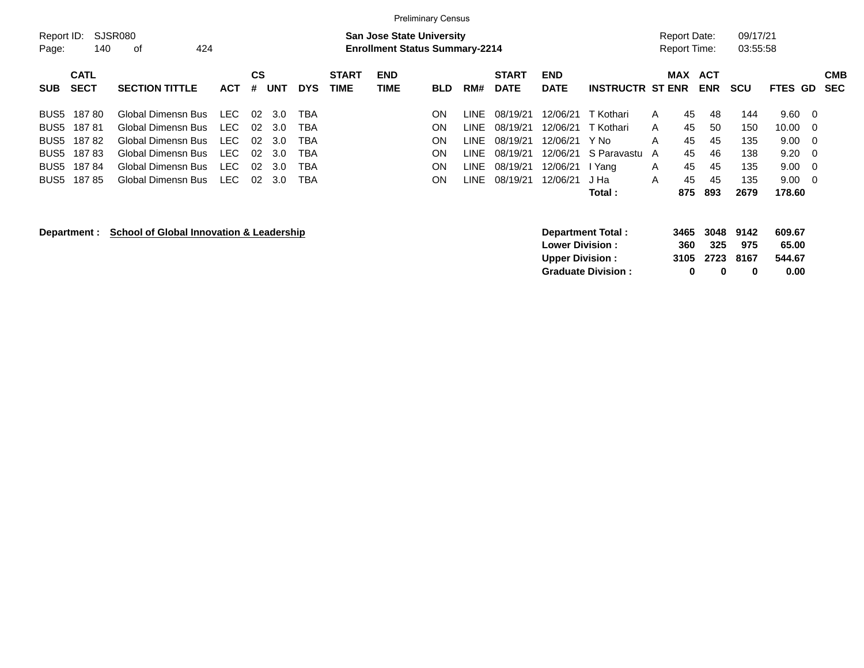|                     |                            |                                                     |            |         |     |            |                             |                                                                           | <b>Preliminary Census</b> |             |                             |                           |                         |   |                                     |                          |                      |                |                          |
|---------------------|----------------------------|-----------------------------------------------------|------------|---------|-----|------------|-----------------------------|---------------------------------------------------------------------------|---------------------------|-------------|-----------------------------|---------------------------|-------------------------|---|-------------------------------------|--------------------------|----------------------|----------------|--------------------------|
| Report ID:<br>Page: | 140                        | SJSR080<br>424<br>οf                                |            |         |     |            |                             | <b>San Jose State University</b><br><b>Enrollment Status Summary-2214</b> |                           |             |                             |                           |                         |   | Report Date:<br><b>Report Time:</b> |                          | 09/17/21<br>03:55:58 |                |                          |
| <b>SUB</b>          | <b>CATL</b><br><b>SECT</b> | <b>SECTION TITTLE</b>                               | <b>ACT</b> | CS<br># | UNT | <b>DYS</b> | <b>START</b><br><b>TIME</b> | <b>END</b><br><b>TIME</b>                                                 | <b>BLD</b>                | RM#         | <b>START</b><br><b>DATE</b> | <b>END</b><br><b>DATE</b> | <b>INSTRUCTR ST ENR</b> |   | <b>MAX</b>                          | <b>ACT</b><br><b>ENR</b> | SCU                  | FTES GD        | <b>CMB</b><br><b>SEC</b> |
| BUS5                | 18780                      | Global Dimensn Bus                                  | LEC.       | 02      | 3.0 | TBA        |                             |                                                                           | ON                        | LINE.       | 08/19/21                    | 12/06/21                  | T Kothari               | A | 45                                  | 48                       | 144                  | $9.60 \quad 0$ |                          |
| BUS5                | 18781                      | Global Dimensn Bus                                  | LEC.       | 02      | 3.0 | TBA        |                             |                                                                           | <b>ON</b>                 | <b>LINE</b> | 08/19/21                    | 12/06/21                  | T Kothari               | A | 45                                  | 50                       | 150                  | 10.00          | - 0                      |
| BUS5                | 18782                      | Global Dimensn Bus                                  | LEC.       | 02      | 3.0 | TBA        |                             |                                                                           | ΟN                        | LINE.       | 08/19/21                    | 12/06/21                  | Y No                    | A | 45                                  | 45                       | 135                  | 9.00           | - 0                      |
| BUS <sub>5</sub>    | 18783                      | Global Dimensn Bus                                  | LEC.       | 02      | 3.0 | TBA        |                             |                                                                           | <b>ON</b>                 | LINE.       | 08/19/21                    | 12/06/21                  | S Paravastu             | A | 45                                  | 46                       | 138                  | 9.20           | - 0                      |
| BUS5                | 18784                      | Global Dimensn Bus                                  | LEC.       | 02      | 3.0 | TBA        |                             |                                                                           | <b>ON</b>                 | <b>LINE</b> | 08/19/21                    | 12/06/21                  | I Yang                  | A | 45                                  | 45                       | 135                  | 9.00           | - 0                      |
| BUS5                | 18785                      | Global Dimensn Bus                                  | LEC.       | 02      | 3.0 | TBA        |                             |                                                                           | ON.                       | LINE.       | 08/19/21                    | 12/06/21                  | J Ha                    | A | 45                                  | 45                       | 135                  | $9.00 \quad 0$ |                          |
|                     |                            |                                                     |            |         |     |            |                             |                                                                           |                           |             |                             |                           | Total :                 |   | 875                                 | 893                      | 2679                 | 178.60         |                          |
|                     | Department :               | <b>School of Global Innovation &amp; Leadership</b> |            |         |     |            |                             |                                                                           |                           |             |                             |                           | Department Total:       |   | 3465                                | 3048                     | 9142                 | 609.67         |                          |

**Lower Division : 360 325 975 65.00 Upper Division : 3105 2723 8167 544.67 Graduate Division : 0 0 0 0.00**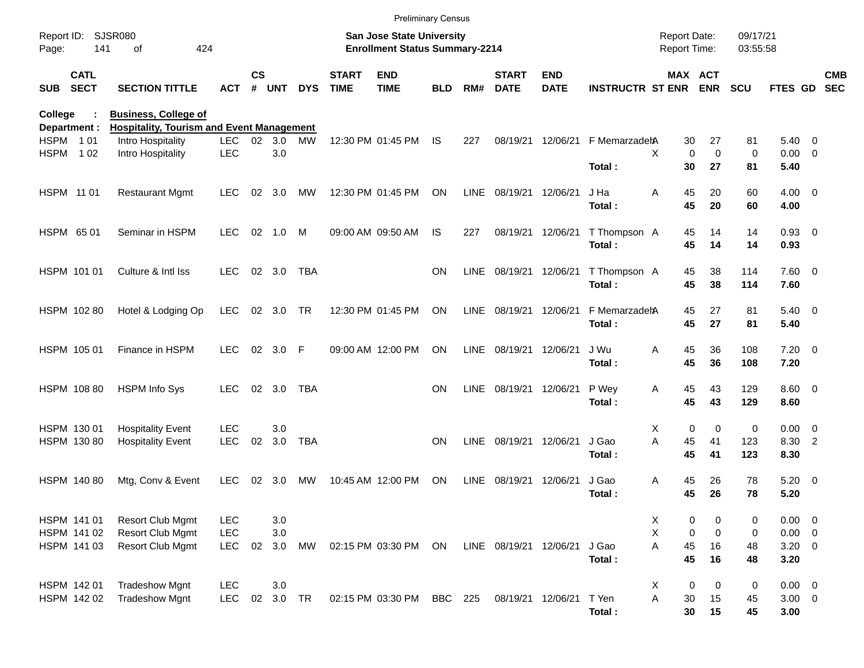|              |                            |                                                  |            |           |           |            |                             | <b>Preliminary Census</b>                                                 |                |             |                             |                           |                             |                                     |                                  |                      |                     |                          |
|--------------|----------------------------|--------------------------------------------------|------------|-----------|-----------|------------|-----------------------------|---------------------------------------------------------------------------|----------------|-------------|-----------------------------|---------------------------|-----------------------------|-------------------------------------|----------------------------------|----------------------|---------------------|--------------------------|
| Page:        | 141                        | Report ID: SJSR080<br>οf<br>424                  |            |           |           |            |                             | <b>San Jose State University</b><br><b>Enrollment Status Summary-2214</b> |                |             |                             |                           |                             | <b>Report Date:</b><br>Report Time: |                                  | 09/17/21<br>03:55:58 |                     |                          |
| <b>SUB</b>   | <b>CATL</b><br><b>SECT</b> | <b>SECTION TITTLE</b>                            | <b>ACT</b> | <b>CS</b> | # UNT     | <b>DYS</b> | <b>START</b><br><b>TIME</b> | <b>END</b><br><b>TIME</b>                                                 | <b>BLD</b>     | RM#         | <b>START</b><br><b>DATE</b> | <b>END</b><br><b>DATE</b> | <b>INSTRUCTR ST ENR ENR</b> |                                     | MAX ACT                          | <b>SCU</b>           | FTES GD             | <b>CMB</b><br><b>SEC</b> |
| College      |                            | <b>Business, College of</b>                      |            |           |           |            |                             |                                                                           |                |             |                             |                           |                             |                                     |                                  |                      |                     |                          |
| Department : |                            | <b>Hospitality, Tourism and Event Management</b> |            |           |           |            |                             |                                                                           |                |             |                             |                           |                             |                                     |                                  |                      |                     |                          |
| HSPM 101     |                            | Intro Hospitality                                | <b>LEC</b> | 02        | 3.0       | MW         |                             | 12:30 PM 01:45 PM                                                         | <b>IS</b>      | 227         | 08/19/21 12/06/21           |                           | F MemarzadehA               | 30                                  | 27                               | 81                   | $5.40 \ 0$          |                          |
| <b>HSPM</b>  | 1 0 2                      | Intro Hospitality                                | <b>LEC</b> |           | 3.0       |            |                             |                                                                           |                |             |                             |                           | Total:                      | X<br>30                             | $\mathbf 0$<br>$\mathbf 0$<br>27 | $\mathbf 0$<br>81    | $0.00 \t 0$<br>5.40 |                          |
| HSPM 11 01   |                            | <b>Restaurant Mgmt</b>                           | <b>LEC</b> | 02        | 3.0       | MW         |                             | 12:30 PM 01:45 PM                                                         | ON             | LINE        | 08/19/21 12/06/21           |                           | J Ha                        | 45<br>Α                             | 20                               | 60                   | $4.00 \ 0$          |                          |
|              |                            |                                                  |            |           |           |            |                             |                                                                           |                |             |                             |                           | Total:                      | 45                                  | 20                               | 60                   | 4.00                |                          |
| HSPM 65 01   |                            | Seminar in HSPM                                  | <b>LEC</b> |           | 02 1.0    | M          |                             | 09:00 AM 09:50 AM                                                         | <b>IS</b>      | 227         | 08/19/21 12/06/21           |                           | T Thompson A                | 45                                  | 14                               | 14                   | $0.93$ 0            |                          |
|              |                            |                                                  |            |           |           |            |                             |                                                                           |                |             |                             |                           | Total:                      | 45                                  | 14                               | 14                   | 0.93                |                          |
| HSPM 101 01  |                            | Culture & Intl Iss                               | <b>LEC</b> |           | 02 3.0    | TBA        |                             |                                                                           | <b>ON</b>      | LINE        | 08/19/21 12/06/21           |                           | T Thompson A                | 45                                  | 38                               | 114                  | 7.60 0              |                          |
|              |                            |                                                  |            |           |           |            |                             |                                                                           |                |             |                             |                           | Total:                      | 45                                  | 38                               | 114                  | 7.60                |                          |
| HSPM 102 80  |                            | Hotel & Lodging Op                               | <b>LEC</b> |           | 02 3.0 TR |            |                             | 12:30 PM 01:45 PM                                                         | ON             |             | LINE 08/19/21 12/06/21      |                           | F MemarzadehA               | 45                                  | 27                               | 81                   | $5.40 \ 0$          |                          |
|              |                            |                                                  |            |           |           |            |                             |                                                                           |                |             |                             |                           | Total:                      | 45                                  | 27                               | 81                   | 5.40                |                          |
| HSPM 105 01  |                            | Finance in HSPM                                  | <b>LEC</b> |           | 02 3.0 F  |            |                             | 09:00 AM 12:00 PM                                                         | ON             |             | LINE 08/19/21 12/06/21      |                           | J Wu                        | 45<br>Α                             | 36                               | 108                  | $7.20 \t 0$         |                          |
|              |                            |                                                  |            |           |           |            |                             |                                                                           |                |             |                             |                           | Total:                      | 45                                  | 36                               | 108                  | 7.20                |                          |
| HSPM 108 80  |                            | <b>HSPM Info Sys</b>                             | LEC        |           | 02 3.0    | <b>TBA</b> |                             |                                                                           | <b>ON</b>      |             | LINE 08/19/21 12/06/21      |                           | P Wey                       | 45<br>Α                             | 43                               | 129                  | $8.60 \quad 0$      |                          |
|              |                            |                                                  |            |           |           |            |                             |                                                                           |                |             |                             |                           | Total:                      | 45                                  | 43                               | 129                  | 8.60                |                          |
| HSPM 130 01  |                            | <b>Hospitality Event</b>                         | <b>LEC</b> |           | 3.0       |            |                             |                                                                           |                |             |                             |                           |                             | X                                   | $\mathbf 0$<br>0                 | 0                    | $0.00 \t 0$         |                          |
| HSPM 130 80  |                            | <b>Hospitality Event</b>                         | <b>LEC</b> | 02        | 3.0       | <b>TBA</b> |                             |                                                                           | <b>ON</b>      | LINE        | 08/19/21 12/06/21           |                           | J Gao                       | A<br>45                             | 41                               | 123                  | 8.30 2              |                          |
|              |                            |                                                  |            |           |           |            |                             |                                                                           |                |             |                             |                           | Total:                      | 45                                  | 41                               | 123                  | 8.30                |                          |
| HSPM 140 80  |                            | Mtg, Conv & Event                                | <b>LEC</b> | 02        | 3.0       | МW         |                             | 10:45 AM 12:00 PM                                                         | ON             | <b>LINE</b> | 08/19/21                    | 12/06/21                  | J Gao                       | Α<br>45                             | 26                               | 78                   | $5.20 \ 0$          |                          |
|              |                            |                                                  |            |           |           |            |                             |                                                                           |                |             |                             |                           | Total:                      | 45                                  | 26                               | 78                   | 5.20                |                          |
| HSPM 141 01  |                            | Resort Club Mgmt                                 | <b>LEC</b> |           | 3.0       |            |                             |                                                                           |                |             |                             |                           |                             | X                                   | 0<br>0                           | 0                    | 0.00 0              |                          |
| HSPM 141 02  |                            | <b>Resort Club Mgmt</b>                          | <b>LEC</b> |           | 3.0       |            |                             |                                                                           |                |             |                             |                           |                             | X                                   | $\mathbf 0$<br>0                 | 0                    | $0.00 \t 0$         |                          |
| HSPM 141 03  |                            | <b>Resort Club Mgmt</b>                          | <b>LEC</b> | 02        | 3.0       | MW         |                             | 02:15 PM 03:30 PM                                                         | ON             |             | LINE 08/19/21 12/06/21      |                           | J Gao<br>Total:             | Α<br>45<br>45                       | 16<br>16                         | 48<br>48             | $3.20 \ 0$<br>3.20  |                          |
|              |                            |                                                  |            |           |           |            |                             |                                                                           |                |             |                             |                           |                             |                                     |                                  |                      |                     |                          |
| HSPM 142 01  |                            | <b>Tradeshow Mgnt</b>                            | <b>LEC</b> |           | 3.0       |            |                             |                                                                           |                |             |                             |                           |                             | X                                   | 0<br>0                           | 0                    | $0.00 \t 0$         |                          |
| HSPM 142 02  |                            | <b>Tradeshow Mgnt</b>                            | <b>LEC</b> | 02        | 3.0       | TR         |                             | 02:15 PM 03:30 PM                                                         | <b>BBC</b> 225 |             | 08/19/21 12/06/21           |                           | T Yen<br>Total:             | Α<br>30<br>30                       | 15<br>15                         | 45<br>45             | $3.00 \ 0$<br>3.00  |                          |
|              |                            |                                                  |            |           |           |            |                             |                                                                           |                |             |                             |                           |                             |                                     |                                  |                      |                     |                          |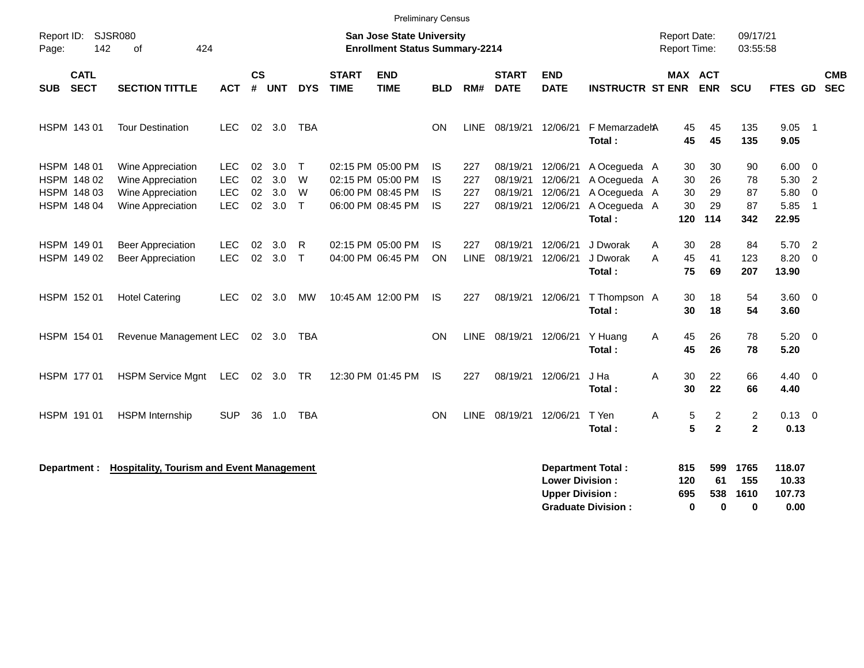|                     |                                                          |                                                                                  |                                                      |                      |                          |                            |                             |                                                                                  | <b>Preliminary Census</b>                 |                          |                                              |                                                  |                                                                        |        |                                     |                                           |                                  |                                       |                                                                      |            |
|---------------------|----------------------------------------------------------|----------------------------------------------------------------------------------|------------------------------------------------------|----------------------|--------------------------|----------------------------|-----------------------------|----------------------------------------------------------------------------------|-------------------------------------------|--------------------------|----------------------------------------------|--------------------------------------------------|------------------------------------------------------------------------|--------|-------------------------------------|-------------------------------------------|----------------------------------|---------------------------------------|----------------------------------------------------------------------|------------|
| Report ID:<br>Page: | 142                                                      | <b>SJSR080</b><br>424<br>of                                                      |                                                      |                      |                          |                            |                             | <b>San Jose State University</b><br><b>Enrollment Status Summary-2214</b>        |                                           |                          |                                              |                                                  |                                                                        |        | <b>Report Date:</b><br>Report Time: |                                           | 09/17/21<br>03:55:58             |                                       |                                                                      |            |
| <b>SUB</b>          | <b>CATL</b><br><b>SECT</b>                               | <b>SECTION TITTLE</b>                                                            | <b>ACT</b>                                           | <b>CS</b><br>#       | <b>UNT</b>               | <b>DYS</b>                 | <b>START</b><br><b>TIME</b> | <b>END</b><br><b>TIME</b>                                                        | <b>BLD</b>                                | RM#                      | <b>START</b><br><b>DATE</b>                  | <b>END</b><br><b>DATE</b>                        | <b>INSTRUCTR ST ENR</b>                                                |        | <b>MAX ACT</b>                      | <b>ENR</b>                                | <b>SCU</b>                       | FTES GD SEC                           |                                                                      | <b>CMB</b> |
|                     | HSPM 143 01                                              | <b>Tour Destination</b>                                                          | <b>LEC</b>                                           | 02                   | 3.0                      | <b>TBA</b>                 |                             |                                                                                  | <b>ON</b>                                 | LINE                     | 08/19/21                                     | 12/06/21                                         | F MemarzadehA<br>Total:                                                |        | 45<br>45                            | 45<br>45                                  | 135<br>135                       | 9.05<br>9.05                          | $\overline{\phantom{0}}$                                             |            |
|                     | HSPM 148 01<br>HSPM 148 02<br>HSPM 148 03<br>HSPM 148 04 | Wine Appreciation<br>Wine Appreciation<br>Wine Appreciation<br>Wine Appreciation | <b>LEC</b><br><b>LEC</b><br><b>LEC</b><br><b>LEC</b> | 02<br>02<br>02<br>02 | 3.0<br>3.0<br>3.0<br>3.0 | $\top$<br>W<br>W<br>$\top$ |                             | 02:15 PM 05:00 PM<br>02:15 PM 05:00 PM<br>06:00 PM 08:45 PM<br>06:00 PM 08:45 PM | IS<br><b>IS</b><br><b>IS</b><br><b>IS</b> | 227<br>227<br>227<br>227 | 08/19/21<br>08/19/21<br>08/19/21<br>08/19/21 | 12/06/21<br>12/06/21<br>12/06/21<br>12/06/21     | A Ocegueda A<br>A Ocegueda A<br>A Ocegueda A<br>A Ocegueda A<br>Total: |        | 30<br>30<br>30<br>30<br>120         | 30<br>26<br>29<br>29<br>114               | 90<br>78<br>87<br>87<br>342      | 6.00<br>5.30<br>5.80<br>5.85<br>22.95 | $\overline{0}$<br>$\overline{2}$<br>$\overline{0}$<br>$\overline{1}$ |            |
|                     | HSPM 149 01<br>HSPM 149 02                               | <b>Beer Appreciation</b><br><b>Beer Appreciation</b>                             | <b>LEC</b><br><b>LEC</b>                             | 02<br>02             | 3.0<br>3.0               | R<br>$\mathsf{T}$          |                             | 02:15 PM 05:00 PM<br>04:00 PM 06:45 PM                                           | <b>IS</b><br><b>ON</b>                    | 227<br>LINE              | 08/19/21<br>08/19/21                         | 12/06/21<br>12/06/21                             | J Dworak<br>J Dworak<br>Total:                                         | A<br>A | 30<br>45<br>75                      | 28<br>41<br>69                            | 84<br>123<br>207                 | 5.70<br>8.20<br>13.90                 | $\overline{2}$<br>0                                                  |            |
|                     | HSPM 152 01                                              | <b>Hotel Catering</b>                                                            | <b>LEC</b>                                           | 02                   | 3.0                      | MW                         |                             | 10:45 AM 12:00 PM                                                                | <b>IS</b>                                 | 227                      | 08/19/21                                     | 12/06/21                                         | T Thompson A<br>Total:                                                 |        | 30<br>30                            | 18<br>18                                  | 54<br>54                         | $3.60 \ 0$<br>3.60                    |                                                                      |            |
|                     | HSPM 154 01                                              | Revenue Management LEC                                                           |                                                      |                      | 02 3.0                   | TBA                        |                             |                                                                                  | <b>ON</b>                                 | <b>LINE</b>              | 08/19/21 12/06/21                            |                                                  | Y Huang<br>Total:                                                      | A      | 45<br>45                            | 26<br>26                                  | 78<br>78                         | $5.20 \ 0$<br>5.20                    |                                                                      |            |
|                     | HSPM 177 01                                              | <b>HSPM Service Mgnt</b>                                                         | <b>LEC</b>                                           |                      | 02 3.0                   | <b>TR</b>                  |                             | 12:30 PM 01:45 PM                                                                | <b>IS</b>                                 | 227                      | 08/19/21                                     | 12/06/21                                         | J Ha<br>Total:                                                         | Α      | 30<br>30                            | 22<br>22                                  | 66<br>66                         | 4.40<br>4.40                          | $\overline{\mathbf{0}}$                                              |            |
|                     | HSPM 191 01                                              | <b>HSPM</b> Internship                                                           | <b>SUP</b>                                           | 36                   | 1.0                      | <b>TBA</b>                 |                             |                                                                                  | <b>ON</b>                                 | LINE                     | 08/19/21                                     | 12/06/21                                         | T Yen<br>Total:                                                        | Α      | 5<br>5                              | $\overline{\mathbf{c}}$<br>$\overline{2}$ | $\overline{c}$<br>$\overline{2}$ | $0.13 \quad 0$<br>0.13                |                                                                      |            |
|                     | Department :                                             | <b>Hospitality, Tourism and Event Management</b>                                 |                                                      |                      |                          |                            |                             |                                                                                  |                                           |                          |                                              | <b>Lower Division:</b><br><b>Upper Division:</b> | <b>Department Total:</b><br><b>Graduate Division:</b>                  |        | 815<br>120<br>695<br>$\bf{0}$       | 599<br>61<br>538<br>$\bf{0}$              | 1765<br>155<br>1610<br>$\bf{0}$  | 118.07<br>10.33<br>107.73<br>0.00     |                                                                      |            |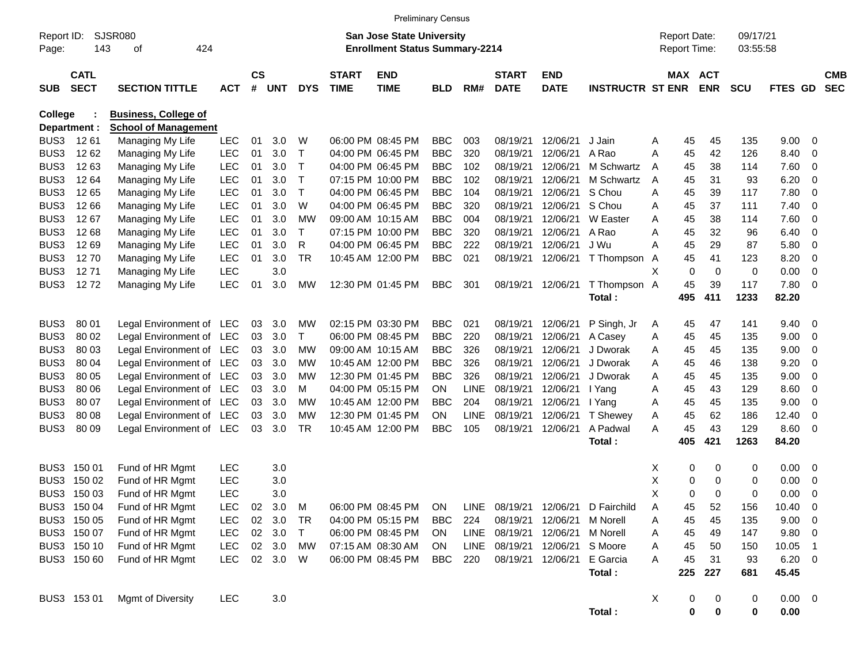|                     |                            |                             |            |                    |            |              |                             | <b>Preliminary Census</b>                                                 |            |             |                             |                           |                         |   |                                     |                |                      |             |                          |                          |
|---------------------|----------------------------|-----------------------------|------------|--------------------|------------|--------------|-----------------------------|---------------------------------------------------------------------------|------------|-------------|-----------------------------|---------------------------|-------------------------|---|-------------------------------------|----------------|----------------------|-------------|--------------------------|--------------------------|
| Report ID:<br>Page: | 143                        | <b>SJSR080</b><br>424<br>οf |            |                    |            |              |                             | <b>San Jose State University</b><br><b>Enrollment Status Summary-2214</b> |            |             |                             |                           |                         |   | <b>Report Date:</b><br>Report Time: |                | 09/17/21<br>03:55:58 |             |                          |                          |
| <b>SUB</b>          | <b>CATL</b><br><b>SECT</b> | <b>SECTION TITTLE</b>       | <b>ACT</b> | $\mathsf{cs}$<br># | <b>UNT</b> | <b>DYS</b>   | <b>START</b><br><b>TIME</b> | <b>END</b><br><b>TIME</b>                                                 | <b>BLD</b> | RM#         | <b>START</b><br><b>DATE</b> | <b>END</b><br><b>DATE</b> | <b>INSTRUCTR ST ENR</b> |   | MAX ACT                             | <b>ENR</b>     | <b>SCU</b>           | FTES GD     |                          | <b>CMB</b><br><b>SEC</b> |
| <b>College</b>      |                            | <b>Business, College of</b> |            |                    |            |              |                             |                                                                           |            |             |                             |                           |                         |   |                                     |                |                      |             |                          |                          |
|                     | Department :               | <b>School of Management</b> |            |                    |            |              |                             |                                                                           |            |             |                             |                           |                         |   |                                     |                |                      |             |                          |                          |
| BUS3                | 12 61                      | Managing My Life            | <b>LEC</b> | 01                 | 3.0        | W            |                             | 06:00 PM 08:45 PM                                                         | <b>BBC</b> | 003         | 08/19/21                    | 12/06/21                  | J Jain                  | Α | 45                                  | 45             | 135                  | 9.00        | 0                        |                          |
| BUS3                | 12 62                      | Managing My Life            | <b>LEC</b> | 01                 | 3.0        | $\top$       |                             | 04:00 PM 06:45 PM                                                         | <b>BBC</b> | 320         | 08/19/21                    | 12/06/21                  | A Rao                   | A | 45                                  | 42             | 126                  | 8.40        | 0                        |                          |
| BUS3                | 1263                       | Managing My Life            | <b>LEC</b> | 01                 | 3.0        | $\mathsf{T}$ |                             | 04:00 PM 06:45 PM                                                         | <b>BBC</b> | 102         | 08/19/21                    | 12/06/21                  | M Schwartz              | A | 45                                  | 38             | 114                  | 7.60        | 0                        |                          |
| BUS3                | 12 64                      | Managing My Life            | LEC        | 01                 | 3.0        | $\top$       |                             | 07:15 PM 10:00 PM                                                         | <b>BBC</b> | 102         | 08/19/21                    | 12/06/21                  | M Schwartz              | A | 45                                  | 31             | 93                   | 6.20        | 0                        |                          |
| BUS3                | 12 65                      | Managing My Life            | LEC        | 01                 | 3.0        | $\mathsf{T}$ |                             | 04:00 PM 06:45 PM                                                         | <b>BBC</b> | 104         | 08/19/21                    | 12/06/21                  | S Chou                  | A | 45                                  | 39             | 117                  | 7.80        | 0                        |                          |
| BUS3                | 12 66                      | Managing My Life            | LEC        | 01                 | 3.0        | W            |                             | 04:00 PM 06:45 PM                                                         | <b>BBC</b> | 320         | 08/19/21                    | 12/06/21                  | S Chou                  | A | 45                                  | 37             | 111                  | 7.40        | 0                        |                          |
| BUS3                | 12 67                      | Managing My Life            | LEC        | 01                 | 3.0        | MW           |                             | 09:00 AM 10:15 AM                                                         | <b>BBC</b> | 004         | 08/19/21                    | 12/06/21                  | W Easter                | A | 45                                  | 38             | 114                  | 7.60        | 0                        |                          |
| BUS3                | 12 68                      | Managing My Life            | <b>LEC</b> | 01                 | 3.0        | $\mathsf{T}$ |                             | 07:15 PM 10:00 PM                                                         | <b>BBC</b> | 320         | 08/19/21                    | 12/06/21                  | A Rao                   | A | 45                                  | 32             | 96                   | 6.40        | 0                        |                          |
| BUS3                | 1269                       | Managing My Life            | <b>LEC</b> | 01                 | 3.0        | R            |                             | 04:00 PM 06:45 PM                                                         | <b>BBC</b> | 222         | 08/19/21                    | 12/06/21                  | J Wu                    | A | 45                                  | 29             | 87                   | 5.80        | 0                        |                          |
| BUS3                | 1270                       | Managing My Life            | <b>LEC</b> | 01                 | 3.0        | <b>TR</b>    |                             | 10:45 AM 12:00 PM                                                         | <b>BBC</b> | 021         | 08/19/21                    | 12/06/21                  | T Thompson A            |   | 45                                  | 41             | 123                  | 8.20        | 0                        |                          |
| BUS3                | 1271                       | Managing My Life            | <b>LEC</b> |                    | 3.0        |              |                             |                                                                           |            |             |                             |                           |                         | X | 0                                   | $\mathbf 0$    | 0                    | 0.00        | $\mathbf 0$              |                          |
| BUS3                | 1272                       | Managing My Life            | <b>LEC</b> | 01                 | 3.0        | MW           |                             | 12:30 PM 01:45 PM                                                         | <b>BBC</b> | 301         | 08/19/21                    | 12/06/21                  | T Thompson A            |   | 45                                  | 39             | 117                  | 7.80        | $\mathbf 0$              |                          |
|                     |                            |                             |            |                    |            |              |                             |                                                                           |            |             |                             |                           | Total:                  |   | 495                                 | 411            | 1233                 | 82.20       |                          |                          |
| BUS3                | 80 01                      | Legal Environment of LEC    |            | 03                 | 3.0        | MW           |                             | 02:15 PM 03:30 PM                                                         | <b>BBC</b> | 021         | 08/19/21                    | 12/06/21                  | P Singh, Jr             | A | 45                                  | 47             | 141                  | 9.40        | 0                        |                          |
| BUS3                | 80 02                      | Legal Environment of LEC    |            | 03                 | 3.0        | T            |                             | 06:00 PM 08:45 PM                                                         | <b>BBC</b> | 220         | 08/19/21                    | 12/06/21                  | A Casey                 | Α | 45                                  | 45             | 135                  | 9.00        | 0                        |                          |
| BUS3                | 80 03                      | Legal Environment of LEC    |            | 03                 | 3.0        | <b>MW</b>    |                             | 09:00 AM 10:15 AM                                                         | <b>BBC</b> | 326         | 08/19/21                    | 12/06/21                  | J Dworak                | Α | 45                                  | 45             | 135                  | 9.00        | 0                        |                          |
| BUS3                | 80 04                      | Legal Environment of LEC    |            | 03                 | 3.0        | <b>MW</b>    |                             | 10:45 AM 12:00 PM                                                         | <b>BBC</b> | 326         | 08/19/21                    | 12/06/21                  | J Dworak                | A | 45                                  | 46             | 138                  | 9.20        | 0                        |                          |
| BUS3                | 80 05                      | Legal Environment of LEC    |            | 03                 | 3.0        | <b>MW</b>    |                             | 12:30 PM 01:45 PM                                                         | <b>BBC</b> | 326         | 08/19/21                    | 12/06/21                  | J Dworak                | A | 45                                  | 45             | 135                  | 9.00        | 0                        |                          |
| BUS3                | 80 06                      | Legal Environment of LEC    |            | 03                 | 3.0        | M            |                             | 04:00 PM 05:15 PM                                                         | ON         | <b>LINE</b> | 08/19/21                    | 12/06/21                  | I Yang                  | Α | 45                                  | 43             | 129                  | 8.60        | 0                        |                          |
| BUS3                | 80 07                      | Legal Environment of LEC    |            | 03                 | 3.0        | <b>MW</b>    |                             | 10:45 AM 12:00 PM                                                         | <b>BBC</b> | 204         | 08/19/21                    | 12/06/21                  | I Yang                  | Α | 45                                  | 45             | 135                  | 9.00        | 0                        |                          |
| BUS3                | 80 08                      | Legal Environment of LEC    |            | 03                 | 3.0        | <b>MW</b>    |                             | 12:30 PM 01:45 PM                                                         | ON         | <b>LINE</b> | 08/19/21                    | 12/06/21                  | T Shewey                | Α | 45                                  | 62             | 186                  | 12.40       | 0                        |                          |
| BUS3                | 80 09                      | Legal Environment of LEC    |            | 03                 | 3.0        | <b>TR</b>    |                             | 10:45 AM 12:00 PM                                                         | <b>BBC</b> | 105         | 08/19/21                    | 12/06/21                  | A Padwal                | A | 45                                  | 43             | 129                  | 8.60        | 0                        |                          |
|                     |                            |                             |            |                    |            |              |                             |                                                                           |            |             |                             |                           | Total:                  |   | 405                                 | 421            | 1263                 | 84.20       |                          |                          |
| BUS3                | 150 01                     | Fund of HR Mgmt             | <b>LEC</b> |                    | 3.0        |              |                             |                                                                           |            |             |                             |                           |                         | Х | 0                                   | 0              | 0                    | 0.00        | 0                        |                          |
| BUS3                | 150 02                     | Fund of HR Mgmt             | <b>LEC</b> |                    | 3.0        |              |                             |                                                                           |            |             |                             |                           |                         | X | 0                                   | 0              | 0                    | 0.00        | 0                        |                          |
|                     | BUS3 150 03                | Fund of HR Mgmt             | LEC        |                    | 3.0        |              |                             |                                                                           |            |             |                             |                           |                         | X | 0                                   | $\Omega$       | 0                    | 0.00        | 0                        |                          |
|                     | BUS3 150 04                | Fund of HR Mgmt             | LEC        | 02                 | 3.0        | M            |                             | 06:00 PM 08:45 PM                                                         | ON         | <b>LINE</b> | 08/19/21                    | 12/06/21                  | D Fairchild             | Α | 45                                  | 52             | 156                  | 10.40       | $\mathbf 0$              |                          |
|                     | BUS3 150 05                | Fund of HR Mgmt             | <b>LEC</b> | $02\,$             | 3.0        | TR           |                             | 04:00 PM 05:15 PM                                                         | BBC        | 224         | 08/19/21                    | 12/06/21                  | M Norell                | A | 45                                  | 45             | 135                  | 9.00        | 0                        |                          |
|                     | BUS3 150 07                | Fund of HR Mgmt             | <b>LEC</b> |                    | 02 3.0     | $\mathsf T$  |                             | 06:00 PM 08:45 PM                                                         | ON.        |             | LINE 08/19/21               | 12/06/21                  | M Norell                | A | 45                                  | 49             | 147                  | 9.80        | $\overline{0}$           |                          |
|                     | BUS3 150 10                | Fund of HR Mgmt             | <b>LEC</b> |                    | 02 3.0     | <b>MW</b>    |                             | 07:15 AM 08:30 AM                                                         | ON.        |             | LINE 08/19/21               | 12/06/21                  | S Moore                 | A | 45                                  | 50             | 150                  | 10.05       | $\overline{\phantom{0}}$ |                          |
|                     | BUS3 150 60                | Fund of HR Mgmt             | <b>LEC</b> |                    | 02 3.0     | W            |                             | 06:00 PM 08:45 PM                                                         | <b>BBC</b> | 220         | 08/19/21                    | 12/06/21                  | E Garcia                | A | 45                                  | 31             | 93                   | 6.20        | $\overline{\mathbf{0}}$  |                          |
|                     |                            |                             |            |                    |            |              |                             |                                                                           |            |             |                             |                           | Total:                  |   | 225                                 | 227            | 681                  | 45.45       |                          |                          |
|                     |                            |                             |            |                    |            |              |                             |                                                                           |            |             |                             |                           |                         |   |                                     |                |                      |             |                          |                          |
|                     | BUS3 153 01                | Mgmt of Diversity           | <b>LEC</b> |                    | $3.0\,$    |              |                             |                                                                           |            |             |                             |                           |                         | X | 0                                   | $\overline{0}$ | $\boldsymbol{0}$     | $0.00 \t 0$ |                          |                          |
|                     |                            |                             |            |                    |            |              |                             |                                                                           |            |             |                             |                           | Total:                  |   | 0                                   | $\pmb{0}$      | $\pmb{0}$            | 0.00        |                          |                          |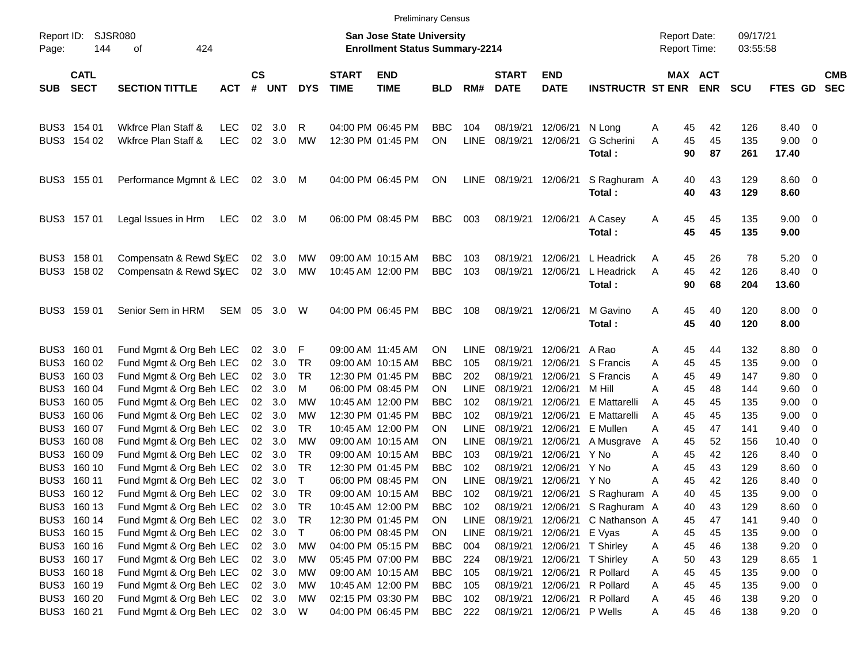|                     |                            |                                                    |                          |                 |                  |                 |                             | <b>Preliminary Census</b>                                                 |                          |             |                             |                           |                                    |                                            |                |                       |                      |                       |                                                     |                          |
|---------------------|----------------------------|----------------------------------------------------|--------------------------|-----------------|------------------|-----------------|-----------------------------|---------------------------------------------------------------------------|--------------------------|-------------|-----------------------------|---------------------------|------------------------------------|--------------------------------------------|----------------|-----------------------|----------------------|-----------------------|-----------------------------------------------------|--------------------------|
| Report ID:<br>Page: | 144                        | SJSR080<br>424<br>οf                               |                          |                 |                  |                 |                             | <b>San Jose State University</b><br><b>Enrollment Status Summary-2214</b> |                          |             |                             |                           |                                    | <b>Report Date:</b><br><b>Report Time:</b> |                |                       | 09/17/21<br>03:55:58 |                       |                                                     |                          |
| <b>SUB</b>          | <b>CATL</b><br><b>SECT</b> | <b>SECTION TITTLE</b>                              | <b>ACT</b>               | <b>CS</b><br>#  | <b>UNT</b>       | <b>DYS</b>      | <b>START</b><br><b>TIME</b> | <b>END</b><br><b>TIME</b>                                                 | <b>BLD</b>               | RM#         | <b>START</b><br><b>DATE</b> | <b>END</b><br><b>DATE</b> | <b>INSTRUCTR ST ENR</b>            |                                            |                | MAX ACT<br><b>ENR</b> | <b>SCU</b>           | <b>FTES GD</b>        |                                                     | <b>CMB</b><br><b>SEC</b> |
|                     | BUS3 154 01<br>BUS3 154 02 | Wkfrce Plan Staff &<br>Wkfrce Plan Staff &         | <b>LEC</b><br><b>LEC</b> | 02<br>02        | 3.0<br>3.0       | R<br><b>MW</b>  |                             | 04:00 PM 06:45 PM<br>12:30 PM 01:45 PM                                    | <b>BBC</b><br>ON         | 104<br>LINE | 08/19/21<br>08/19/21        | 12/06/21<br>12/06/21      | N Long<br>G Scherini<br>Total:     | A<br>A                                     | 45<br>45<br>90 | 42<br>45<br>87        | 126<br>135<br>261    | 8.40<br>9.00<br>17.40 | - 0<br>- 0                                          |                          |
|                     | BUS3 155 01                | Performance Mgmnt & LEC                            |                          |                 | 02 3.0 M         |                 |                             | 04:00 PM 06:45 PM                                                         | ON                       | <b>LINE</b> | 08/19/21                    | 12/06/21                  | S Raghuram A<br>Total:             |                                            | 40<br>40       | 43<br>43              | 129<br>129           | $8.60 \ 0$<br>8.60    |                                                     |                          |
|                     | BUS3 157 01                | Legal Issues in Hrm                                | LEC                      | 02              | 3.0              | M               |                             | 06:00 PM 08:45 PM                                                         | <b>BBC</b>               | 003         | 08/19/21                    | 12/06/21                  | A Casey<br>Total:                  | A                                          | 45<br>45       | 45<br>45              | 135<br>135           | 9.00 0<br>9.00        |                                                     |                          |
| BUS3                | BUS3 158 01<br>158 02      | Compensatn & Rewd SyEC<br>Compensatn & Rewd St/EC  |                          | 02              | 3.0<br>02 3.0    | MW<br>MW        |                             | 09:00 AM 10:15 AM<br>10:45 AM 12:00 PM                                    | <b>BBC</b><br><b>BBC</b> | 103<br>103  | 08/19/21<br>08/19/21        | 12/06/21<br>12/06/21      | L Headrick<br>L Headrick<br>Total: | A<br>A                                     | 45<br>45<br>90 | 26<br>42<br>68        | 78<br>126<br>204     | 5.20<br>8.40<br>13.60 | $\overline{\mathbf{0}}$<br>$\overline{\phantom{0}}$ |                          |
|                     | BUS3 159 01                | Senior Sem in HRM                                  | SEM                      | 05              | 3.0              | W               |                             | 04:00 PM 06:45 PM                                                         | <b>BBC</b>               | 108         | 08/19/21                    | 12/06/21                  | M Gavino<br>Total:                 | Α                                          | 45<br>45       | 40<br>40              | 120<br>120           | $8.00 \t 0$<br>8.00   |                                                     |                          |
| BUS3                | BUS3 160 01<br>160 02      | Fund Mgmt & Org Beh LEC<br>Fund Mgmt & Org Beh LEC |                          | 02<br>02        | 3.0<br>3.0       | F<br><b>TR</b>  | 09:00 AM 11:45 AM           | 09:00 AM 10:15 AM                                                         | ΟN<br><b>BBC</b>         | LINE<br>105 | 08/19/21<br>08/19/21        | 12/06/21<br>12/06/21      | A Rao<br>S Francis                 | A<br>Α                                     | 45<br>45       | 44<br>45              | 132<br>135           | 8.80<br>9.00          | - 0<br>- 0                                          |                          |
| BUS3                | 160 03                     | Fund Mgmt & Org Beh LEC                            |                          | 02 <sub>2</sub> | 3.0              | <b>TR</b>       |                             | 12:30 PM 01:45 PM                                                         | <b>BBC</b>               | 202         | 08/19/21                    | 12/06/21                  | S Francis                          | A                                          | 45             | 49                    | 147                  | 9.80                  | 0                                                   |                          |
| BUS3                | 160 04                     | Fund Mgmt & Org Beh LEC                            |                          | 02 <sub>2</sub> | 3.0              | м               |                             | 06:00 PM 08:45 PM                                                         | ΟN                       | LINE        | 08/19/21                    | 12/06/21                  | M Hill                             | A                                          | 45             | 48                    | 144                  | 9.60                  | 0                                                   |                          |
| BUS3                | 160 05                     | Fund Mgmt & Org Beh LEC                            |                          | 02 <sub>o</sub> | 3.0              | MW              |                             | 10:45 AM 12:00 PM                                                         | <b>BBC</b>               | 102         | 08/19/21                    | 12/06/21                  | E Mattarelli                       | A                                          | 45             | 45                    | 135                  | 9.00                  | 0                                                   |                          |
|                     | BUS3 160 06                | Fund Mgmt & Org Beh LEC                            |                          | 02 <sub>2</sub> | 3.0              | MW              |                             | 12:30 PM 01:45 PM                                                         | <b>BBC</b>               | 102         | 08/19/21                    | 12/06/21                  | E Mattarelli                       | A                                          | 45             | 45                    | 135                  | 9.00                  | 0                                                   |                          |
|                     | BUS3 160 07                | Fund Mgmt & Org Beh LEC                            |                          | 02 <sub>2</sub> | 3.0              | TR              |                             | 10:45 AM 12:00 PM                                                         | ΟN                       | <b>LINE</b> | 08/19/21                    | 12/06/21                  | E Mullen                           | A                                          | 45             | 47                    | 141                  | 9.40                  | 0                                                   |                          |
|                     | BUS3 160 08                | Fund Mgmt & Org Beh LEC                            |                          | 02 <sub>2</sub> | 3.0              | MW              |                             | 09:00 AM 10:15 AM                                                         | ΟN                       | <b>LINE</b> | 08/19/21                    | 12/06/21                  | A Musgrave                         | A                                          | 45             | 52                    | 156                  | 10.40                 | 0                                                   |                          |
|                     | BUS3 160 09<br>BUS3 160 10 | Fund Mgmt & Org Beh LEC<br>Fund Mgmt & Org Beh LEC |                          |                 | 02 3.0<br>02 3.0 | TR<br><b>TR</b> |                             | 09:00 AM 10:15 AM<br>12:30 PM 01:45 PM                                    | <b>BBC</b><br><b>BBC</b> | 103<br>102  | 08/19/21<br>08/19/21        | 12/06/21<br>12/06/21      | Y No<br>Y No                       | A<br>Α                                     | 45<br>45       | 42<br>43              | 126<br>129           | 8.40<br>8.60          | 0<br>0                                              |                          |
| BUS3                | 160 11                     | Fund Mgmt & Org Beh LEC                            |                          | 02              | 3.0              | $\mathsf{T}$    |                             | 06:00 PM 08:45 PM                                                         | ΟN                       | LINE        | 08/19/21                    | 12/06/21                  | Y No                               | A                                          | 45             | 42                    | 126                  | 8.40                  | 0                                                   |                          |
|                     | BUS3 160 12                | Fund Mgmt & Org Beh LEC                            |                          |                 | 02 3.0           | TR              |                             | 09:00 AM 10:15 AM                                                         | <b>BBC</b>               | 102         | 08/19/21                    |                           | 12/06/21 S Raghuram A              |                                            | 40             | 45                    | 135                  | 9.00                  | 0                                                   |                          |
|                     | BUS3 160 13                | Fund Mgmt & Org Beh LEC                            |                          | $02\,$          | 3.0              | TR              |                             | 10:45 AM 12:00 PM                                                         | BBC                      | 102         |                             |                           | 08/19/21 12/06/21 S Raghuram A     |                                            | 40             | 43                    | 129                  | 8.60                  | $\overline{\mathbf{0}}$                             |                          |
|                     | BUS3 160 14                | Fund Mgmt & Org Beh LEC                            |                          | 02              | 3.0              | TR              |                             | 12:30 PM 01:45 PM                                                         | ON                       | LINE        | 08/19/21                    | 12/06/21                  | C Nathanson A                      |                                            | 45             | 47                    | 141                  | 9.40                  | - 0                                                 |                          |
|                     | BUS3 160 15                | Fund Mgmt & Org Beh LEC                            |                          |                 | 02 3.0           | $\top$          |                             | 06:00 PM 08:45 PM                                                         | ON                       | LINE        | 08/19/21                    | 12/06/21                  | E Vyas                             | A                                          | 45             | 45                    | 135                  | 9.00                  | $\overline{\mathbf{0}}$                             |                          |
|                     | BUS3 160 16                | Fund Mgmt & Org Beh LEC                            |                          |                 | 02 3.0           | MW              |                             | 04:00 PM 05:15 PM                                                         | <b>BBC</b>               | 004         | 08/19/21                    |                           | 12/06/21 T Shirley                 | A                                          | 45             | 46                    | 138                  | 9.20                  | $\overline{\mathbf{0}}$                             |                          |
|                     | BUS3 160 17                | Fund Mgmt & Org Beh LEC                            |                          |                 | 02 3.0           | МW              |                             | 05:45 PM 07:00 PM                                                         | <b>BBC</b>               | 224         | 08/19/21                    |                           | 12/06/21 T Shirley                 | Α                                          | 50             | 43                    | 129                  | 8.65                  | - 1                                                 |                          |
|                     | BUS3 160 18                | Fund Mgmt & Org Beh LEC                            |                          |                 | 02 3.0           | МW              |                             | 09:00 AM 10:15 AM                                                         | <b>BBC</b>               | 105         | 08/19/21                    |                           | 12/06/21 R Pollard                 | A                                          | 45             | 45                    | 135                  | 9.00                  | $\overline{\mathbf{0}}$                             |                          |
|                     | BUS3 160 19                | Fund Mgmt & Org Beh LEC                            |                          |                 | 02 3.0           | МW              |                             | 10:45 AM 12:00 PM                                                         | <b>BBC</b>               | 105         | 08/19/21                    |                           | 12/06/21 R Pollard                 | A                                          | 45             | 45                    | 135                  | 9.00                  | $\overline{\mathbf{0}}$                             |                          |
|                     | BUS3 160 20                | Fund Mgmt & Org Beh LEC                            |                          |                 | 02 3.0           | МW              |                             | 02:15 PM 03:30 PM                                                         | <b>BBC</b>               | 102         | 08/19/21                    |                           | 12/06/21 R Pollard                 | A                                          | 45             | 46                    | 138                  | $9.20 \ 0$            |                                                     |                          |
|                     | BUS3 160 21                | Fund Mgmt & Org Beh LEC                            |                          |                 | 02 3.0           | W               |                             | 04:00 PM 06:45 PM                                                         | <b>BBC</b>               | 222         | 08/19/21                    | 12/06/21 P Wells          |                                    | A                                          | 45             | 46                    | 138                  | $9.20 \ 0$            |                                                     |                          |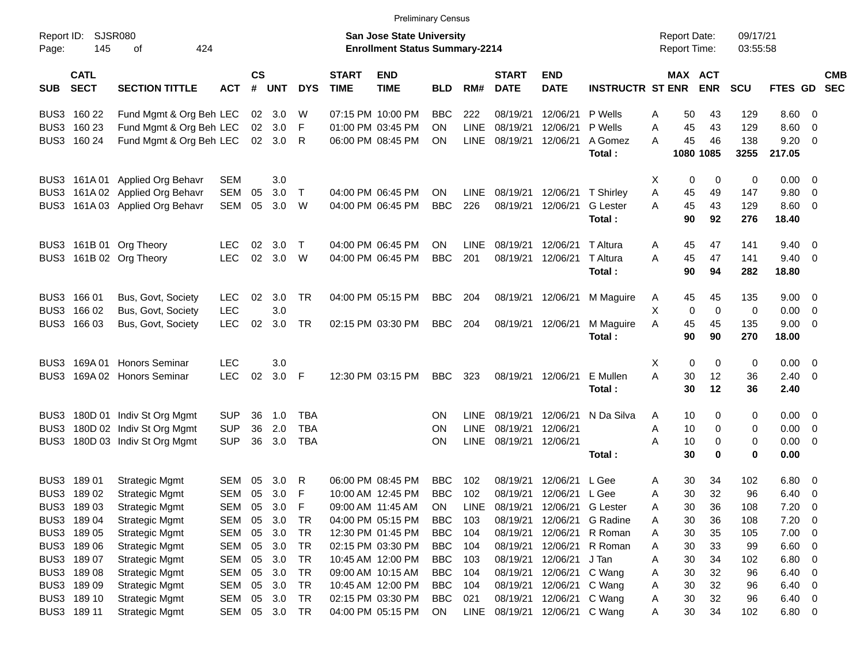| <b>SJSR080</b><br><b>San Jose State University</b><br>09/17/21<br>Report ID:<br><b>Report Date:</b><br>145<br>424<br><b>Enrollment Status Summary-2214</b><br><b>Report Time:</b><br>03:55:58<br>Page:<br>оf<br><b>CATL</b><br>$\mathsf{cs}$<br><b>START</b><br><b>START</b><br><b>END</b><br><b>END</b><br>MAX ACT<br><b>CMB</b><br><b>SECT</b><br>#<br><b>SECTION TITTLE</b><br><b>UNT</b><br><b>TIME</b><br><b>TIME</b><br><b>DATE</b><br><b>DATE</b><br><b>INSTRUCTR ST ENR</b><br><b>ENR</b><br>SCU<br>FTES GD<br><b>SEC</b><br><b>SUB</b><br><b>ACT</b><br><b>DYS</b><br><b>BLD</b><br>RM#<br>07:15 PM 10:00 PM<br><b>BBC</b><br>222<br>08/19/21<br>12/06/21<br>P Wells<br>8.60<br>BUS3 160 22<br>Fund Mgmt & Org Beh LEC<br>02 3.0<br>W<br>A<br>50<br>43<br>129<br>- 0<br>160 23<br>Fund Mgmt & Org Beh LEC<br><b>LINE</b><br>08/19/21<br>129<br>8.60<br>BUS3<br>02<br>3.0<br>F<br>01:00 PM 03:45 PM<br>ON<br>12/06/21<br>P Wells<br>A<br>45<br>43<br>-0<br>Fund Mgmt & Org Beh LEC<br>LINE<br>138<br>9.20<br>BUS3 160 24<br>02 3.0<br>R<br>06:00 PM 08:45 PM<br>08/19/21<br>12/06/21<br>A Gomez<br>45<br>46<br>ΟN<br>A<br>- 0<br>1080 1085<br>3255<br>217.05<br>Total:<br>X<br>0<br>0<br>0.00<br>BUS3 161A 01 Applied Org Behavr<br>SEM<br>3.0<br>0<br>- 0<br>161A 02 Applied Org Behavr<br><b>SEM</b><br>3.0<br>9.80<br>05<br>$\top$<br>LINE<br>08/19/21<br>12/06/21<br><b>T</b> Shirley<br>Α<br>45<br>49<br>147<br>BUS3<br>04:00 PM 06:45 PM<br>ΟN<br>- 0<br>161A 03 Applied Org Behavr<br><b>SEM</b><br>3.0<br><b>BBC</b><br>226<br>08/19/21<br>45<br>8.60<br>05<br>W<br>04:00 PM 06:45 PM<br>12/06/21<br><b>G</b> Lester<br>43<br>129<br>BUS3<br>A<br>- 0<br>90<br>92<br>276<br>Total:<br>18.40<br>BUS3 161B 01 Org Theory<br>02<br>3.0<br>04:00 PM 06:45 PM<br><b>LINE</b><br>08/19/21<br>12/06/21<br><b>T</b> Altura<br><b>LEC</b><br>$\top$<br>ΟN<br>A<br>45<br>47<br>141<br>9.40<br>- 0<br>161B 02 Org Theory<br><b>LEC</b><br>02<br><b>BBC</b><br>201<br>47<br>9.40<br>3.0<br>W<br>04:00 PM 06:45 PM<br>08/19/21<br>12/06/21<br>T Altura<br>A<br>45<br>141<br>$\overline{0}$<br>BUS3<br>90<br>18.80<br>Total:<br>94<br>282<br><b>LEC</b><br>02<br>3.0<br><b>TR</b><br>04:00 PM 05:15 PM<br><b>BBC</b><br>204<br>08/19/21<br>BUS3 166 01<br>Bus, Govt, Society<br>12/06/21<br>M Maguire<br>45<br>135<br>9.00<br>- 0<br>A<br>45<br><b>LEC</b><br>3.0<br>X<br>$\mathbf 0$<br>0.00<br>BUS3<br>166 02<br>Bus, Govt, Society<br>0<br>0<br>- 0<br><b>LEC</b><br>02<br>3.0<br><b>BBC</b><br>9.00<br>BUS3<br>166 03<br>TR<br>02:15 PM 03:30 PM<br>204<br>08/19/21<br>12/06/21<br>45<br>45<br>135<br>Bus, Govt, Society<br>M Maguire<br>A<br>- 0<br>90<br>90<br>270<br>18.00<br>Total:<br>X<br>169A 01 Honors Seminar<br><b>LEC</b><br>3.0<br>0<br>0<br>0.00<br>BUS3<br>0<br>- 0<br><b>LEC</b><br>02<br>3.0<br>A<br>30<br>12<br>169A 02 Honors Seminar<br>- F<br>12:30 PM 03:15 PM<br><b>BBC</b><br>323<br>08/19/21 12/06/21<br>E Mullen<br>36<br>2.40<br>BUS3<br>- 0<br>30<br>12<br>36<br>Total:<br>2.40<br>N Da Silva<br><b>SUP</b><br>36<br><b>TBA</b><br><b>LINE</b><br>08/19/21<br>12/06/21<br>0.00<br>180D 01 Indiv St Org Mgmt<br>1.0<br>ΟN<br>10<br>0<br>0<br>- 0<br>BUS3<br>A<br>180D 02 Indiv St Org Mgmt<br><b>SUP</b><br>2.0<br><b>TBA</b><br><b>LINE</b><br>36<br>08/19/21<br>12/06/21<br>10<br>$\mathbf 0$<br>0.00<br>BUS3<br>ΟN<br>A<br>0<br>0<br><b>SUP</b><br>3.0<br><b>TBA</b><br><b>LINE</b><br>180D 03 Indiv St Org Mgmt<br>36<br>ON<br>08/19/21<br>12/06/21<br>A<br>10<br>0<br>0<br>0.00<br>BUS3<br>- 0<br>30<br>$\mathbf 0$<br>$\bf{0}$<br>0.00<br>Total:<br><b>Strategic Mgmt</b><br><b>SEM</b><br>R<br>06:00 PM 08:45 PM<br><b>BBC</b><br>08/19/21<br>12/06/21<br>L Gee<br>30<br>34<br>6.80<br>BUS3 189 01<br>05<br>3.0<br>102<br>A<br>102<br>- 0<br>F<br><b>BBC</b><br>32<br>BUS3 189 02<br>SEM<br>05<br>3.0<br>10:00 AM 12:45 PM<br>102<br>08/19/21<br>12/06/21<br>L Gee<br>30<br>96<br>6.40<br><b>Strategic Mgmt</b><br>A<br>- 0<br>$\mathsf F$<br><b>SEM</b><br>05<br>3.0<br>36<br>7.20<br>BUS3 189 03<br><b>Strategic Mgmt</b><br>09:00 AM 11:45 AM<br>ON<br>LINE<br>08/19/21<br><b>G</b> Lester<br>30<br>108<br>$\overline{\mathbf{0}}$<br>12/06/21<br>A<br>3.0<br><b>TR</b><br>7.20<br>BUS3 189 04<br><b>SEM</b><br>05<br>04:00 PM 05:15 PM<br><b>BBC</b><br>103<br>08/19/21<br>12/06/21<br>G Radine<br>30<br>36<br><b>Strategic Mgmt</b><br>108<br>$\overline{0}$<br>A<br>3.0<br><b>TR</b><br><b>BBC</b><br>BUS3 189 05<br>SEM<br>05<br>104<br>08/19/21<br>12/06/21<br>R Roman<br>35<br>7.00<br><b>Strategic Mgmt</b><br>12:30 PM 01:45 PM<br>30<br>105<br>$\overline{\mathbf{0}}$<br>A<br>3.0<br><b>TR</b><br><b>BBC</b><br>BUS3 189 06<br><b>SEM</b><br>05<br>02:15 PM 03:30 PM<br>104<br>12/06/21<br>R Roman<br>33<br>6.60<br><b>Strategic Mgmt</b><br>08/19/21<br>30<br>99<br>$\overline{\mathbf{0}}$<br>A<br>3.0<br><b>TR</b><br><b>BBC</b><br>BUS3 189 07<br><b>SEM</b><br>05<br>10:45 AM 12:00 PM<br>12/06/21<br>30<br>34<br>6.80<br><b>Strategic Mgmt</b><br>103<br>08/19/21<br>J Tan<br>102<br>$\overline{\mathbf{0}}$<br>A<br>3.0<br><b>TR</b><br><b>BBC</b><br>BUS3 189 08<br>SEM<br>05<br>09:00 AM 10:15 AM<br>08/19/21<br>12/06/21<br>32<br>6.40<br><b>Strategic Mgmt</b><br>104<br>C Wang<br>30<br>96<br>$\overline{0}$<br>A |  |            |    |     |           | <b>Preliminary Census</b> |            |     |          |          |        |  |    |      |  |
|-----------------------------------------------------------------------------------------------------------------------------------------------------------------------------------------------------------------------------------------------------------------------------------------------------------------------------------------------------------------------------------------------------------------------------------------------------------------------------------------------------------------------------------------------------------------------------------------------------------------------------------------------------------------------------------------------------------------------------------------------------------------------------------------------------------------------------------------------------------------------------------------------------------------------------------------------------------------------------------------------------------------------------------------------------------------------------------------------------------------------------------------------------------------------------------------------------------------------------------------------------------------------------------------------------------------------------------------------------------------------------------------------------------------------------------------------------------------------------------------------------------------------------------------------------------------------------------------------------------------------------------------------------------------------------------------------------------------------------------------------------------------------------------------------------------------------------------------------------------------------------------------------------------------------------------------------------------------------------------------------------------------------------------------------------------------------------------------------------------------------------------------------------------------------------------------------------------------------------------------------------------------------------------------------------------------------------------------------------------------------------------------------------------------------------------------------------------------------------------------------------------------------------------------------------------------------------------------------------------------------------------------------------------------------------------------------------------------------------------------------------------------------------------------------------------------------------------------------------------------------------------------------------------------------------------------------------------------------------------------------------------------------------------------------------------------------------------------------------------------------------------------------------------------------------------------------------------------------------------------------------------------------------------------------------------------------------------------------------------------------------------------------------------------------------------------------------------------------------------------------------------------------------------------------------------------------------------------------------------------------------------------------------------------------------------------------------------------------------------------------------------------------------------------------------------------------------------------------------------------------------------------------------------------------------------------------------------------------------------------------------------------------------------------------------------------------------------------------------------------------------------------------------------------------------------------------------------------------------------------------------------------------------------------------------------------------------------------------------------------------------------------------------------------------------------------------------------------------------------------------------------------------------------------------------------------------------------------------------------------------------------------------------------------------------------------------------------------------------------------------------------------------------------------------------------------------------------------------------------------------------------------------------------------------------------------------------------------------------------------------------------------------------------------------------------------------------------------------------------------------------------------------------------------------------------------------------------------------------------------------------------------------------------|--|------------|----|-----|-----------|---------------------------|------------|-----|----------|----------|--------|--|----|------|--|
|                                                                                                                                                                                                                                                                                                                                                                                                                                                                                                                                                                                                                                                                                                                                                                                                                                                                                                                                                                                                                                                                                                                                                                                                                                                                                                                                                                                                                                                                                                                                                                                                                                                                                                                                                                                                                                                                                                                                                                                                                                                                                                                                                                                                                                                                                                                                                                                                                                                                                                                                                                                                                                                                                                                                                                                                                                                                                                                                                                                                                                                                                                                                                                                                                                                                                                                                                                                                                                                                                                                                                                                                                                                                                                                                                                                                                                                                                                                                                                                                                                                                                                                                                                                                                                                                                                                                                                                                                                                                                                                                                                                                                                                                                                                                                                                                                                                                                                                                                                                                                                                                                                                                                                                                                                                                                   |  |            |    |     |           |                           |            |     |          |          |        |  |    |      |  |
|                                                                                                                                                                                                                                                                                                                                                                                                                                                                                                                                                                                                                                                                                                                                                                                                                                                                                                                                                                                                                                                                                                                                                                                                                                                                                                                                                                                                                                                                                                                                                                                                                                                                                                                                                                                                                                                                                                                                                                                                                                                                                                                                                                                                                                                                                                                                                                                                                                                                                                                                                                                                                                                                                                                                                                                                                                                                                                                                                                                                                                                                                                                                                                                                                                                                                                                                                                                                                                                                                                                                                                                                                                                                                                                                                                                                                                                                                                                                                                                                                                                                                                                                                                                                                                                                                                                                                                                                                                                                                                                                                                                                                                                                                                                                                                                                                                                                                                                                                                                                                                                                                                                                                                                                                                                                                   |  |            |    |     |           |                           |            |     |          |          |        |  |    |      |  |
|                                                                                                                                                                                                                                                                                                                                                                                                                                                                                                                                                                                                                                                                                                                                                                                                                                                                                                                                                                                                                                                                                                                                                                                                                                                                                                                                                                                                                                                                                                                                                                                                                                                                                                                                                                                                                                                                                                                                                                                                                                                                                                                                                                                                                                                                                                                                                                                                                                                                                                                                                                                                                                                                                                                                                                                                                                                                                                                                                                                                                                                                                                                                                                                                                                                                                                                                                                                                                                                                                                                                                                                                                                                                                                                                                                                                                                                                                                                                                                                                                                                                                                                                                                                                                                                                                                                                                                                                                                                                                                                                                                                                                                                                                                                                                                                                                                                                                                                                                                                                                                                                                                                                                                                                                                                                                   |  |            |    |     |           |                           |            |     |          |          |        |  |    |      |  |
|                                                                                                                                                                                                                                                                                                                                                                                                                                                                                                                                                                                                                                                                                                                                                                                                                                                                                                                                                                                                                                                                                                                                                                                                                                                                                                                                                                                                                                                                                                                                                                                                                                                                                                                                                                                                                                                                                                                                                                                                                                                                                                                                                                                                                                                                                                                                                                                                                                                                                                                                                                                                                                                                                                                                                                                                                                                                                                                                                                                                                                                                                                                                                                                                                                                                                                                                                                                                                                                                                                                                                                                                                                                                                                                                                                                                                                                                                                                                                                                                                                                                                                                                                                                                                                                                                                                                                                                                                                                                                                                                                                                                                                                                                                                                                                                                                                                                                                                                                                                                                                                                                                                                                                                                                                                                                   |  |            |    |     |           |                           |            |     |          |          |        |  |    |      |  |
|                                                                                                                                                                                                                                                                                                                                                                                                                                                                                                                                                                                                                                                                                                                                                                                                                                                                                                                                                                                                                                                                                                                                                                                                                                                                                                                                                                                                                                                                                                                                                                                                                                                                                                                                                                                                                                                                                                                                                                                                                                                                                                                                                                                                                                                                                                                                                                                                                                                                                                                                                                                                                                                                                                                                                                                                                                                                                                                                                                                                                                                                                                                                                                                                                                                                                                                                                                                                                                                                                                                                                                                                                                                                                                                                                                                                                                                                                                                                                                                                                                                                                                                                                                                                                                                                                                                                                                                                                                                                                                                                                                                                                                                                                                                                                                                                                                                                                                                                                                                                                                                                                                                                                                                                                                                                                   |  |            |    |     |           |                           |            |     |          |          |        |  |    |      |  |
|                                                                                                                                                                                                                                                                                                                                                                                                                                                                                                                                                                                                                                                                                                                                                                                                                                                                                                                                                                                                                                                                                                                                                                                                                                                                                                                                                                                                                                                                                                                                                                                                                                                                                                                                                                                                                                                                                                                                                                                                                                                                                                                                                                                                                                                                                                                                                                                                                                                                                                                                                                                                                                                                                                                                                                                                                                                                                                                                                                                                                                                                                                                                                                                                                                                                                                                                                                                                                                                                                                                                                                                                                                                                                                                                                                                                                                                                                                                                                                                                                                                                                                                                                                                                                                                                                                                                                                                                                                                                                                                                                                                                                                                                                                                                                                                                                                                                                                                                                                                                                                                                                                                                                                                                                                                                                   |  |            |    |     |           |                           |            |     |          |          |        |  |    |      |  |
|                                                                                                                                                                                                                                                                                                                                                                                                                                                                                                                                                                                                                                                                                                                                                                                                                                                                                                                                                                                                                                                                                                                                                                                                                                                                                                                                                                                                                                                                                                                                                                                                                                                                                                                                                                                                                                                                                                                                                                                                                                                                                                                                                                                                                                                                                                                                                                                                                                                                                                                                                                                                                                                                                                                                                                                                                                                                                                                                                                                                                                                                                                                                                                                                                                                                                                                                                                                                                                                                                                                                                                                                                                                                                                                                                                                                                                                                                                                                                                                                                                                                                                                                                                                                                                                                                                                                                                                                                                                                                                                                                                                                                                                                                                                                                                                                                                                                                                                                                                                                                                                                                                                                                                                                                                                                                   |  |            |    |     |           |                           |            |     |          |          |        |  |    |      |  |
|                                                                                                                                                                                                                                                                                                                                                                                                                                                                                                                                                                                                                                                                                                                                                                                                                                                                                                                                                                                                                                                                                                                                                                                                                                                                                                                                                                                                                                                                                                                                                                                                                                                                                                                                                                                                                                                                                                                                                                                                                                                                                                                                                                                                                                                                                                                                                                                                                                                                                                                                                                                                                                                                                                                                                                                                                                                                                                                                                                                                                                                                                                                                                                                                                                                                                                                                                                                                                                                                                                                                                                                                                                                                                                                                                                                                                                                                                                                                                                                                                                                                                                                                                                                                                                                                                                                                                                                                                                                                                                                                                                                                                                                                                                                                                                                                                                                                                                                                                                                                                                                                                                                                                                                                                                                                                   |  |            |    |     |           |                           |            |     |          |          |        |  |    |      |  |
|                                                                                                                                                                                                                                                                                                                                                                                                                                                                                                                                                                                                                                                                                                                                                                                                                                                                                                                                                                                                                                                                                                                                                                                                                                                                                                                                                                                                                                                                                                                                                                                                                                                                                                                                                                                                                                                                                                                                                                                                                                                                                                                                                                                                                                                                                                                                                                                                                                                                                                                                                                                                                                                                                                                                                                                                                                                                                                                                                                                                                                                                                                                                                                                                                                                                                                                                                                                                                                                                                                                                                                                                                                                                                                                                                                                                                                                                                                                                                                                                                                                                                                                                                                                                                                                                                                                                                                                                                                                                                                                                                                                                                                                                                                                                                                                                                                                                                                                                                                                                                                                                                                                                                                                                                                                                                   |  |            |    |     |           |                           |            |     |          |          |        |  |    |      |  |
|                                                                                                                                                                                                                                                                                                                                                                                                                                                                                                                                                                                                                                                                                                                                                                                                                                                                                                                                                                                                                                                                                                                                                                                                                                                                                                                                                                                                                                                                                                                                                                                                                                                                                                                                                                                                                                                                                                                                                                                                                                                                                                                                                                                                                                                                                                                                                                                                                                                                                                                                                                                                                                                                                                                                                                                                                                                                                                                                                                                                                                                                                                                                                                                                                                                                                                                                                                                                                                                                                                                                                                                                                                                                                                                                                                                                                                                                                                                                                                                                                                                                                                                                                                                                                                                                                                                                                                                                                                                                                                                                                                                                                                                                                                                                                                                                                                                                                                                                                                                                                                                                                                                                                                                                                                                                                   |  |            |    |     |           |                           |            |     |          |          |        |  |    |      |  |
|                                                                                                                                                                                                                                                                                                                                                                                                                                                                                                                                                                                                                                                                                                                                                                                                                                                                                                                                                                                                                                                                                                                                                                                                                                                                                                                                                                                                                                                                                                                                                                                                                                                                                                                                                                                                                                                                                                                                                                                                                                                                                                                                                                                                                                                                                                                                                                                                                                                                                                                                                                                                                                                                                                                                                                                                                                                                                                                                                                                                                                                                                                                                                                                                                                                                                                                                                                                                                                                                                                                                                                                                                                                                                                                                                                                                                                                                                                                                                                                                                                                                                                                                                                                                                                                                                                                                                                                                                                                                                                                                                                                                                                                                                                                                                                                                                                                                                                                                                                                                                                                                                                                                                                                                                                                                                   |  |            |    |     |           |                           |            |     |          |          |        |  |    |      |  |
|                                                                                                                                                                                                                                                                                                                                                                                                                                                                                                                                                                                                                                                                                                                                                                                                                                                                                                                                                                                                                                                                                                                                                                                                                                                                                                                                                                                                                                                                                                                                                                                                                                                                                                                                                                                                                                                                                                                                                                                                                                                                                                                                                                                                                                                                                                                                                                                                                                                                                                                                                                                                                                                                                                                                                                                                                                                                                                                                                                                                                                                                                                                                                                                                                                                                                                                                                                                                                                                                                                                                                                                                                                                                                                                                                                                                                                                                                                                                                                                                                                                                                                                                                                                                                                                                                                                                                                                                                                                                                                                                                                                                                                                                                                                                                                                                                                                                                                                                                                                                                                                                                                                                                                                                                                                                                   |  |            |    |     |           |                           |            |     |          |          |        |  |    |      |  |
|                                                                                                                                                                                                                                                                                                                                                                                                                                                                                                                                                                                                                                                                                                                                                                                                                                                                                                                                                                                                                                                                                                                                                                                                                                                                                                                                                                                                                                                                                                                                                                                                                                                                                                                                                                                                                                                                                                                                                                                                                                                                                                                                                                                                                                                                                                                                                                                                                                                                                                                                                                                                                                                                                                                                                                                                                                                                                                                                                                                                                                                                                                                                                                                                                                                                                                                                                                                                                                                                                                                                                                                                                                                                                                                                                                                                                                                                                                                                                                                                                                                                                                                                                                                                                                                                                                                                                                                                                                                                                                                                                                                                                                                                                                                                                                                                                                                                                                                                                                                                                                                                                                                                                                                                                                                                                   |  |            |    |     |           |                           |            |     |          |          |        |  |    |      |  |
|                                                                                                                                                                                                                                                                                                                                                                                                                                                                                                                                                                                                                                                                                                                                                                                                                                                                                                                                                                                                                                                                                                                                                                                                                                                                                                                                                                                                                                                                                                                                                                                                                                                                                                                                                                                                                                                                                                                                                                                                                                                                                                                                                                                                                                                                                                                                                                                                                                                                                                                                                                                                                                                                                                                                                                                                                                                                                                                                                                                                                                                                                                                                                                                                                                                                                                                                                                                                                                                                                                                                                                                                                                                                                                                                                                                                                                                                                                                                                                                                                                                                                                                                                                                                                                                                                                                                                                                                                                                                                                                                                                                                                                                                                                                                                                                                                                                                                                                                                                                                                                                                                                                                                                                                                                                                                   |  |            |    |     |           |                           |            |     |          |          |        |  |    |      |  |
|                                                                                                                                                                                                                                                                                                                                                                                                                                                                                                                                                                                                                                                                                                                                                                                                                                                                                                                                                                                                                                                                                                                                                                                                                                                                                                                                                                                                                                                                                                                                                                                                                                                                                                                                                                                                                                                                                                                                                                                                                                                                                                                                                                                                                                                                                                                                                                                                                                                                                                                                                                                                                                                                                                                                                                                                                                                                                                                                                                                                                                                                                                                                                                                                                                                                                                                                                                                                                                                                                                                                                                                                                                                                                                                                                                                                                                                                                                                                                                                                                                                                                                                                                                                                                                                                                                                                                                                                                                                                                                                                                                                                                                                                                                                                                                                                                                                                                                                                                                                                                                                                                                                                                                                                                                                                                   |  |            |    |     |           |                           |            |     |          |          |        |  |    |      |  |
|                                                                                                                                                                                                                                                                                                                                                                                                                                                                                                                                                                                                                                                                                                                                                                                                                                                                                                                                                                                                                                                                                                                                                                                                                                                                                                                                                                                                                                                                                                                                                                                                                                                                                                                                                                                                                                                                                                                                                                                                                                                                                                                                                                                                                                                                                                                                                                                                                                                                                                                                                                                                                                                                                                                                                                                                                                                                                                                                                                                                                                                                                                                                                                                                                                                                                                                                                                                                                                                                                                                                                                                                                                                                                                                                                                                                                                                                                                                                                                                                                                                                                                                                                                                                                                                                                                                                                                                                                                                                                                                                                                                                                                                                                                                                                                                                                                                                                                                                                                                                                                                                                                                                                                                                                                                                                   |  |            |    |     |           |                           |            |     |          |          |        |  |    |      |  |
|                                                                                                                                                                                                                                                                                                                                                                                                                                                                                                                                                                                                                                                                                                                                                                                                                                                                                                                                                                                                                                                                                                                                                                                                                                                                                                                                                                                                                                                                                                                                                                                                                                                                                                                                                                                                                                                                                                                                                                                                                                                                                                                                                                                                                                                                                                                                                                                                                                                                                                                                                                                                                                                                                                                                                                                                                                                                                                                                                                                                                                                                                                                                                                                                                                                                                                                                                                                                                                                                                                                                                                                                                                                                                                                                                                                                                                                                                                                                                                                                                                                                                                                                                                                                                                                                                                                                                                                                                                                                                                                                                                                                                                                                                                                                                                                                                                                                                                                                                                                                                                                                                                                                                                                                                                                                                   |  |            |    |     |           |                           |            |     |          |          |        |  |    |      |  |
|                                                                                                                                                                                                                                                                                                                                                                                                                                                                                                                                                                                                                                                                                                                                                                                                                                                                                                                                                                                                                                                                                                                                                                                                                                                                                                                                                                                                                                                                                                                                                                                                                                                                                                                                                                                                                                                                                                                                                                                                                                                                                                                                                                                                                                                                                                                                                                                                                                                                                                                                                                                                                                                                                                                                                                                                                                                                                                                                                                                                                                                                                                                                                                                                                                                                                                                                                                                                                                                                                                                                                                                                                                                                                                                                                                                                                                                                                                                                                                                                                                                                                                                                                                                                                                                                                                                                                                                                                                                                                                                                                                                                                                                                                                                                                                                                                                                                                                                                                                                                                                                                                                                                                                                                                                                                                   |  |            |    |     |           |                           |            |     |          |          |        |  |    |      |  |
|                                                                                                                                                                                                                                                                                                                                                                                                                                                                                                                                                                                                                                                                                                                                                                                                                                                                                                                                                                                                                                                                                                                                                                                                                                                                                                                                                                                                                                                                                                                                                                                                                                                                                                                                                                                                                                                                                                                                                                                                                                                                                                                                                                                                                                                                                                                                                                                                                                                                                                                                                                                                                                                                                                                                                                                                                                                                                                                                                                                                                                                                                                                                                                                                                                                                                                                                                                                                                                                                                                                                                                                                                                                                                                                                                                                                                                                                                                                                                                                                                                                                                                                                                                                                                                                                                                                                                                                                                                                                                                                                                                                                                                                                                                                                                                                                                                                                                                                                                                                                                                                                                                                                                                                                                                                                                   |  |            |    |     |           |                           |            |     |          |          |        |  |    |      |  |
|                                                                                                                                                                                                                                                                                                                                                                                                                                                                                                                                                                                                                                                                                                                                                                                                                                                                                                                                                                                                                                                                                                                                                                                                                                                                                                                                                                                                                                                                                                                                                                                                                                                                                                                                                                                                                                                                                                                                                                                                                                                                                                                                                                                                                                                                                                                                                                                                                                                                                                                                                                                                                                                                                                                                                                                                                                                                                                                                                                                                                                                                                                                                                                                                                                                                                                                                                                                                                                                                                                                                                                                                                                                                                                                                                                                                                                                                                                                                                                                                                                                                                                                                                                                                                                                                                                                                                                                                                                                                                                                                                                                                                                                                                                                                                                                                                                                                                                                                                                                                                                                                                                                                                                                                                                                                                   |  |            |    |     |           |                           |            |     |          |          |        |  |    |      |  |
|                                                                                                                                                                                                                                                                                                                                                                                                                                                                                                                                                                                                                                                                                                                                                                                                                                                                                                                                                                                                                                                                                                                                                                                                                                                                                                                                                                                                                                                                                                                                                                                                                                                                                                                                                                                                                                                                                                                                                                                                                                                                                                                                                                                                                                                                                                                                                                                                                                                                                                                                                                                                                                                                                                                                                                                                                                                                                                                                                                                                                                                                                                                                                                                                                                                                                                                                                                                                                                                                                                                                                                                                                                                                                                                                                                                                                                                                                                                                                                                                                                                                                                                                                                                                                                                                                                                                                                                                                                                                                                                                                                                                                                                                                                                                                                                                                                                                                                                                                                                                                                                                                                                                                                                                                                                                                   |  |            |    |     |           |                           |            |     |          |          |        |  |    |      |  |
|                                                                                                                                                                                                                                                                                                                                                                                                                                                                                                                                                                                                                                                                                                                                                                                                                                                                                                                                                                                                                                                                                                                                                                                                                                                                                                                                                                                                                                                                                                                                                                                                                                                                                                                                                                                                                                                                                                                                                                                                                                                                                                                                                                                                                                                                                                                                                                                                                                                                                                                                                                                                                                                                                                                                                                                                                                                                                                                                                                                                                                                                                                                                                                                                                                                                                                                                                                                                                                                                                                                                                                                                                                                                                                                                                                                                                                                                                                                                                                                                                                                                                                                                                                                                                                                                                                                                                                                                                                                                                                                                                                                                                                                                                                                                                                                                                                                                                                                                                                                                                                                                                                                                                                                                                                                                                   |  |            |    |     |           |                           |            |     |          |          |        |  |    |      |  |
|                                                                                                                                                                                                                                                                                                                                                                                                                                                                                                                                                                                                                                                                                                                                                                                                                                                                                                                                                                                                                                                                                                                                                                                                                                                                                                                                                                                                                                                                                                                                                                                                                                                                                                                                                                                                                                                                                                                                                                                                                                                                                                                                                                                                                                                                                                                                                                                                                                                                                                                                                                                                                                                                                                                                                                                                                                                                                                                                                                                                                                                                                                                                                                                                                                                                                                                                                                                                                                                                                                                                                                                                                                                                                                                                                                                                                                                                                                                                                                                                                                                                                                                                                                                                                                                                                                                                                                                                                                                                                                                                                                                                                                                                                                                                                                                                                                                                                                                                                                                                                                                                                                                                                                                                                                                                                   |  |            |    |     |           |                           |            |     |          |          |        |  |    |      |  |
|                                                                                                                                                                                                                                                                                                                                                                                                                                                                                                                                                                                                                                                                                                                                                                                                                                                                                                                                                                                                                                                                                                                                                                                                                                                                                                                                                                                                                                                                                                                                                                                                                                                                                                                                                                                                                                                                                                                                                                                                                                                                                                                                                                                                                                                                                                                                                                                                                                                                                                                                                                                                                                                                                                                                                                                                                                                                                                                                                                                                                                                                                                                                                                                                                                                                                                                                                                                                                                                                                                                                                                                                                                                                                                                                                                                                                                                                                                                                                                                                                                                                                                                                                                                                                                                                                                                                                                                                                                                                                                                                                                                                                                                                                                                                                                                                                                                                                                                                                                                                                                                                                                                                                                                                                                                                                   |  |            |    |     |           |                           |            |     |          |          |        |  |    |      |  |
|                                                                                                                                                                                                                                                                                                                                                                                                                                                                                                                                                                                                                                                                                                                                                                                                                                                                                                                                                                                                                                                                                                                                                                                                                                                                                                                                                                                                                                                                                                                                                                                                                                                                                                                                                                                                                                                                                                                                                                                                                                                                                                                                                                                                                                                                                                                                                                                                                                                                                                                                                                                                                                                                                                                                                                                                                                                                                                                                                                                                                                                                                                                                                                                                                                                                                                                                                                                                                                                                                                                                                                                                                                                                                                                                                                                                                                                                                                                                                                                                                                                                                                                                                                                                                                                                                                                                                                                                                                                                                                                                                                                                                                                                                                                                                                                                                                                                                                                                                                                                                                                                                                                                                                                                                                                                                   |  |            |    |     |           |                           |            |     |          |          |        |  |    |      |  |
|                                                                                                                                                                                                                                                                                                                                                                                                                                                                                                                                                                                                                                                                                                                                                                                                                                                                                                                                                                                                                                                                                                                                                                                                                                                                                                                                                                                                                                                                                                                                                                                                                                                                                                                                                                                                                                                                                                                                                                                                                                                                                                                                                                                                                                                                                                                                                                                                                                                                                                                                                                                                                                                                                                                                                                                                                                                                                                                                                                                                                                                                                                                                                                                                                                                                                                                                                                                                                                                                                                                                                                                                                                                                                                                                                                                                                                                                                                                                                                                                                                                                                                                                                                                                                                                                                                                                                                                                                                                                                                                                                                                                                                                                                                                                                                                                                                                                                                                                                                                                                                                                                                                                                                                                                                                                                   |  |            |    |     |           |                           |            |     |          |          |        |  |    |      |  |
|                                                                                                                                                                                                                                                                                                                                                                                                                                                                                                                                                                                                                                                                                                                                                                                                                                                                                                                                                                                                                                                                                                                                                                                                                                                                                                                                                                                                                                                                                                                                                                                                                                                                                                                                                                                                                                                                                                                                                                                                                                                                                                                                                                                                                                                                                                                                                                                                                                                                                                                                                                                                                                                                                                                                                                                                                                                                                                                                                                                                                                                                                                                                                                                                                                                                                                                                                                                                                                                                                                                                                                                                                                                                                                                                                                                                                                                                                                                                                                                                                                                                                                                                                                                                                                                                                                                                                                                                                                                                                                                                                                                                                                                                                                                                                                                                                                                                                                                                                                                                                                                                                                                                                                                                                                                                                   |  |            |    |     |           |                           |            |     |          |          |        |  |    |      |  |
|                                                                                                                                                                                                                                                                                                                                                                                                                                                                                                                                                                                                                                                                                                                                                                                                                                                                                                                                                                                                                                                                                                                                                                                                                                                                                                                                                                                                                                                                                                                                                                                                                                                                                                                                                                                                                                                                                                                                                                                                                                                                                                                                                                                                                                                                                                                                                                                                                                                                                                                                                                                                                                                                                                                                                                                                                                                                                                                                                                                                                                                                                                                                                                                                                                                                                                                                                                                                                                                                                                                                                                                                                                                                                                                                                                                                                                                                                                                                                                                                                                                                                                                                                                                                                                                                                                                                                                                                                                                                                                                                                                                                                                                                                                                                                                                                                                                                                                                                                                                                                                                                                                                                                                                                                                                                                   |  |            |    |     |           |                           |            |     |          |          |        |  |    |      |  |
|                                                                                                                                                                                                                                                                                                                                                                                                                                                                                                                                                                                                                                                                                                                                                                                                                                                                                                                                                                                                                                                                                                                                                                                                                                                                                                                                                                                                                                                                                                                                                                                                                                                                                                                                                                                                                                                                                                                                                                                                                                                                                                                                                                                                                                                                                                                                                                                                                                                                                                                                                                                                                                                                                                                                                                                                                                                                                                                                                                                                                                                                                                                                                                                                                                                                                                                                                                                                                                                                                                                                                                                                                                                                                                                                                                                                                                                                                                                                                                                                                                                                                                                                                                                                                                                                                                                                                                                                                                                                                                                                                                                                                                                                                                                                                                                                                                                                                                                                                                                                                                                                                                                                                                                                                                                                                   |  |            |    |     |           |                           |            |     |          |          |        |  |    |      |  |
|                                                                                                                                                                                                                                                                                                                                                                                                                                                                                                                                                                                                                                                                                                                                                                                                                                                                                                                                                                                                                                                                                                                                                                                                                                                                                                                                                                                                                                                                                                                                                                                                                                                                                                                                                                                                                                                                                                                                                                                                                                                                                                                                                                                                                                                                                                                                                                                                                                                                                                                                                                                                                                                                                                                                                                                                                                                                                                                                                                                                                                                                                                                                                                                                                                                                                                                                                                                                                                                                                                                                                                                                                                                                                                                                                                                                                                                                                                                                                                                                                                                                                                                                                                                                                                                                                                                                                                                                                                                                                                                                                                                                                                                                                                                                                                                                                                                                                                                                                                                                                                                                                                                                                                                                                                                                                   |  |            |    |     |           |                           |            |     |          |          |        |  |    |      |  |
|                                                                                                                                                                                                                                                                                                                                                                                                                                                                                                                                                                                                                                                                                                                                                                                                                                                                                                                                                                                                                                                                                                                                                                                                                                                                                                                                                                                                                                                                                                                                                                                                                                                                                                                                                                                                                                                                                                                                                                                                                                                                                                                                                                                                                                                                                                                                                                                                                                                                                                                                                                                                                                                                                                                                                                                                                                                                                                                                                                                                                                                                                                                                                                                                                                                                                                                                                                                                                                                                                                                                                                                                                                                                                                                                                                                                                                                                                                                                                                                                                                                                                                                                                                                                                                                                                                                                                                                                                                                                                                                                                                                                                                                                                                                                                                                                                                                                                                                                                                                                                                                                                                                                                                                                                                                                                   |  |            |    |     |           |                           |            |     |          |          |        |  |    |      |  |
|                                                                                                                                                                                                                                                                                                                                                                                                                                                                                                                                                                                                                                                                                                                                                                                                                                                                                                                                                                                                                                                                                                                                                                                                                                                                                                                                                                                                                                                                                                                                                                                                                                                                                                                                                                                                                                                                                                                                                                                                                                                                                                                                                                                                                                                                                                                                                                                                                                                                                                                                                                                                                                                                                                                                                                                                                                                                                                                                                                                                                                                                                                                                                                                                                                                                                                                                                                                                                                                                                                                                                                                                                                                                                                                                                                                                                                                                                                                                                                                                                                                                                                                                                                                                                                                                                                                                                                                                                                                                                                                                                                                                                                                                                                                                                                                                                                                                                                                                                                                                                                                                                                                                                                                                                                                                                   |  |            |    |     |           |                           |            |     |          |          |        |  |    |      |  |
|                                                                                                                                                                                                                                                                                                                                                                                                                                                                                                                                                                                                                                                                                                                                                                                                                                                                                                                                                                                                                                                                                                                                                                                                                                                                                                                                                                                                                                                                                                                                                                                                                                                                                                                                                                                                                                                                                                                                                                                                                                                                                                                                                                                                                                                                                                                                                                                                                                                                                                                                                                                                                                                                                                                                                                                                                                                                                                                                                                                                                                                                                                                                                                                                                                                                                                                                                                                                                                                                                                                                                                                                                                                                                                                                                                                                                                                                                                                                                                                                                                                                                                                                                                                                                                                                                                                                                                                                                                                                                                                                                                                                                                                                                                                                                                                                                                                                                                                                                                                                                                                                                                                                                                                                                                                                                   |  | <b>SEM</b> | 05 | 3.0 | <b>TR</b> |                           | <b>BBC</b> | 104 | 08/19/21 | 12/06/21 | C Wang |  | 32 | 6.40 |  |
| BUS3 189 09<br>10:45 AM 12:00 PM<br>30<br><b>Strategic Mgmt</b><br>96<br>$\overline{0}$<br>A<br>3.0<br><b>TR</b><br><b>BBC</b><br>32<br>BUS3 189 10<br><b>Strategic Mgmt</b><br><b>SEM</b><br>05<br>02:15 PM 03:30 PM<br>08/19/21<br>12/06/21<br>C Wang<br>30<br>6.40<br>021<br>96<br>$\overline{\mathbf{0}}$<br>A                                                                                                                                                                                                                                                                                                                                                                                                                                                                                                                                                                                                                                                                                                                                                                                                                                                                                                                                                                                                                                                                                                                                                                                                                                                                                                                                                                                                                                                                                                                                                                                                                                                                                                                                                                                                                                                                                                                                                                                                                                                                                                                                                                                                                                                                                                                                                                                                                                                                                                                                                                                                                                                                                                                                                                                                                                                                                                                                                                                                                                                                                                                                                                                                                                                                                                                                                                                                                                                                                                                                                                                                                                                                                                                                                                                                                                                                                                                                                                                                                                                                                                                                                                                                                                                                                                                                                                                                                                                                                                                                                                                                                                                                                                                                                                                                                                                                                                                                                                |  |            |    |     |           |                           |            |     |          |          |        |  |    |      |  |
| TR<br>BUS3 189 11<br><b>Strategic Mgmt</b><br>SEM 05 3.0<br>04:00 PM 05:15 PM<br>ON<br>LINE 08/19/21<br>12/06/21 C Wang<br>30<br>34<br>$6.80$ 0<br>102<br>A                                                                                                                                                                                                                                                                                                                                                                                                                                                                                                                                                                                                                                                                                                                                                                                                                                                                                                                                                                                                                                                                                                                                                                                                                                                                                                                                                                                                                                                                                                                                                                                                                                                                                                                                                                                                                                                                                                                                                                                                                                                                                                                                                                                                                                                                                                                                                                                                                                                                                                                                                                                                                                                                                                                                                                                                                                                                                                                                                                                                                                                                                                                                                                                                                                                                                                                                                                                                                                                                                                                                                                                                                                                                                                                                                                                                                                                                                                                                                                                                                                                                                                                                                                                                                                                                                                                                                                                                                                                                                                                                                                                                                                                                                                                                                                                                                                                                                                                                                                                                                                                                                                                       |  |            |    |     |           |                           |            |     |          |          |        |  |    |      |  |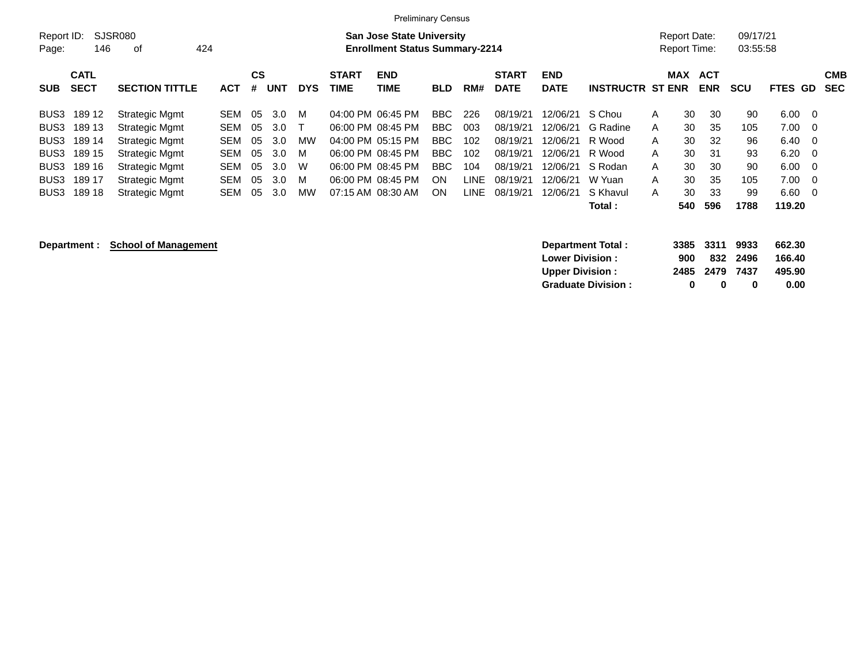|            |              |                             |            |           |            |            |              | <b>Preliminary Census</b>             |            |       |              |                   |                         |            |                     |            |            |         |                |
|------------|--------------|-----------------------------|------------|-----------|------------|------------|--------------|---------------------------------------|------------|-------|--------------|-------------------|-------------------------|------------|---------------------|------------|------------|---------|----------------|
| Report ID: |              | <b>SJSR080</b>              |            |           |            |            |              | <b>San Jose State University</b>      |            |       |              |                   |                         |            | <b>Report Date:</b> |            | 09/17/21   |         |                |
| Page:      | 146          | 424<br>οf                   |            |           |            |            |              | <b>Enrollment Status Summary-2214</b> |            |       |              |                   |                         |            | Report Time:        |            | 03:55:58   |         |                |
|            | <b>CATL</b>  |                             |            | <b>CS</b> |            |            | <b>START</b> | <b>END</b>                            |            |       | <b>START</b> | <b>END</b>        |                         | <b>MAX</b> |                     | <b>ACT</b> |            |         | <b>CMB</b>     |
| <b>SUB</b> | <b>SECT</b>  | <b>SECTION TITTLE</b>       | <b>ACT</b> | #         | <b>UNT</b> | <b>DYS</b> | <b>TIME</b>  | TIME                                  | <b>BLD</b> | RM#   | <b>DATE</b>  | <b>DATE</b>       | <b>INSTRUCTR ST ENR</b> |            |                     | <b>ENR</b> | <b>SCU</b> | FTES GD | <b>SEC</b>     |
| BUS3       | 189 12       | <b>Strategic Mgmt</b>       | SEM        | 05        | 3.0        | M          |              | 04:00 PM 06:45 PM                     | BBC.       | 226   | 08/19/21     | 12/06/21          | S Chou                  | A          | 30                  | 30         | 90         | 6.00    | - 0            |
| BUS3       | 189 13       | <b>Strategic Mgmt</b>       | SEM        | 05        | 3.0        |            |              | 06:00 PM 08:45 PM                     | BBC.       | 003   | 08/19/21     | 12/06/21          | G Radine                | A          | 30                  | 35         | 105        | 7.00    | - 0            |
| BUS3       | 189 14       | <b>Strategic Mgmt</b>       | SEM        | 05        | 3.0        | MW         |              | 04:00 PM 05:15 PM                     | BBC.       | 102   | 08/19/21     | 12/06/21          | R Wood                  | A          | 30                  | 32         | 96         | 6.40    | - 0            |
| BUS3       | 189 15       | <b>Strategic Mgmt</b>       | SEM        | 05        | 3.0        | м          |              | 06:00 PM 08:45 PM                     | BBC.       | 102   | 08/19/21     | 12/06/21          | R Wood                  | A          | 30                  | 31         | 93         | 6.20    | - 0            |
| BUS3       | 189 16       | <b>Strategic Mgmt</b>       | SEM        | 05        | 3.0        | W          |              | 06:00 PM 08:45 PM                     | BBC        | 104   | 08/19/21     | 12/06/21          | S Rodan                 | A          | 30                  | 30         | 90         | 6.00    | - 0            |
| BUS3       | 189 17       | Strategic Mgmt              | SEM        | 05        | 3.0        | м          |              | 06:00 PM 08:45 PM                     | <b>ON</b>  | LINE. | 08/19/21     | 12/06/21          | W Yuan                  | A          | 30                  | 35         | 105        | 7.00    | - 0            |
| BUS3       | 189 18       | <b>Strategic Mgmt</b>       | SEM        | 05        | 3.0        | <b>MW</b>  |              | 07:15 AM 08:30 AM                     | <b>ON</b>  | LINE. | 08/19/21     | 12/06/21          | S Khavul                | A          | 30                  | 33         | 99         | 6.60    | $\overline{0}$ |
|            |              |                             |            |           |            |            |              |                                       |            |       |              |                   | Total :                 |            | 540                 | 596        | 1788       | 119.20  |                |
|            | Department : | <b>School of Management</b> |            |           |            |            |              |                                       |            |       |              | Department Total: |                         |            | 3385                | 3311       | 9933       | 662.30  |                |

| <b>Lower Division:</b>    | 900 |                |   | 832 2496 166.40 |
|---------------------------|-----|----------------|---|-----------------|
| <b>Upper Division:</b>    |     | 2485 2479 7437 |   | 495.90          |
| <b>Graduate Division:</b> | 0   | n              | n | 0.00            |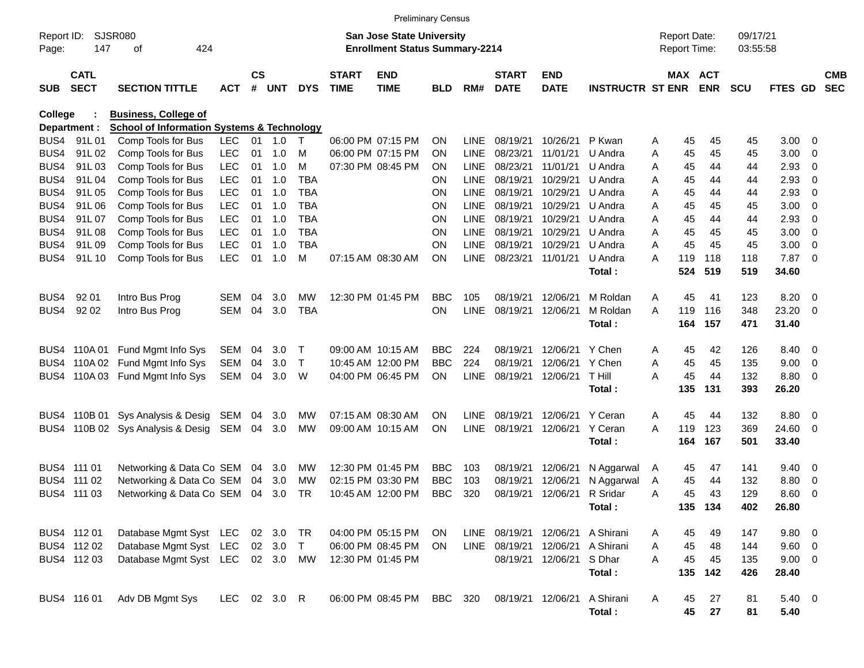|                     |                            |                                                       |                          |                    |            |              |                             | <b>Preliminary Census</b>                                                 |            |                            |                             |                           |                         |   |                                     |            |                      |               |                          |                          |
|---------------------|----------------------------|-------------------------------------------------------|--------------------------|--------------------|------------|--------------|-----------------------------|---------------------------------------------------------------------------|------------|----------------------------|-----------------------------|---------------------------|-------------------------|---|-------------------------------------|------------|----------------------|---------------|--------------------------|--------------------------|
| Report ID:<br>Page: | 147                        | SJSR080<br>424<br>οf                                  |                          |                    |            |              |                             | <b>San Jose State University</b><br><b>Enrollment Status Summary-2214</b> |            |                            |                             |                           |                         |   | <b>Report Date:</b><br>Report Time: |            | 09/17/21<br>03:55:58 |               |                          |                          |
| <b>SUB</b>          | <b>CATL</b><br><b>SECT</b> | <b>SECTION TITTLE</b>                                 | <b>ACT</b>               | $\mathsf{cs}$<br># | <b>UNT</b> | <b>DYS</b>   | <b>START</b><br><b>TIME</b> | <b>END</b><br><b>TIME</b>                                                 | <b>BLD</b> | RM#                        | <b>START</b><br><b>DATE</b> | <b>END</b><br><b>DATE</b> | <b>INSTRUCTR ST ENR</b> |   | MAX ACT                             | <b>ENR</b> | <b>SCU</b>           | FTES GD       |                          | <b>CMB</b><br><b>SEC</b> |
| <b>College</b>      |                            | <b>Business, College of</b>                           |                          |                    |            |              |                             |                                                                           |            |                            |                             |                           |                         |   |                                     |            |                      |               |                          |                          |
|                     | Department :               | <b>School of Information Systems &amp; Technology</b> |                          |                    |            |              |                             |                                                                           |            |                            |                             |                           |                         |   |                                     |            |                      |               |                          |                          |
| BUS4                | 91L01                      | Comp Tools for Bus                                    | <b>LEC</b>               | 01                 | 1.0        | $\top$       |                             | 06:00 PM 07:15 PM                                                         | <b>ON</b>  | LINE.                      | 08/19/21                    | 10/26/21                  | P Kwan                  | A | 45                                  | 45         | 45                   | 3.00          | - 0                      |                          |
| BUS4                | 91L02                      | Comp Tools for Bus                                    | <b>LEC</b>               | 01                 | 1.0        | м            |                             | 06:00 PM 07:15 PM                                                         | <b>ON</b>  | <b>LINE</b>                | 08/23/21                    | 11/01/21                  | U Andra                 | A | 45                                  | 45         | 45                   | 3.00          | 0                        |                          |
| BUS4                | 91L03                      | Comp Tools for Bus                                    | <b>LEC</b>               | 01                 | 1.0        | M            |                             | 07:30 PM 08:45 PM                                                         | <b>ON</b>  | <b>LINE</b>                | 08/23/21                    | 11/01/21                  | U Andra                 | A | 45                                  | 44         | 44                   | 2.93          | 0                        |                          |
| BUS4                | 91L04                      | Comp Tools for Bus                                    | <b>LEC</b>               | 01                 | 1.0        | <b>TBA</b>   |                             |                                                                           | <b>ON</b>  | <b>LINE</b>                | 08/19/21                    | 10/29/21                  | U Andra                 | A | 45                                  | 44         | 44                   | 2.93          | 0                        |                          |
| BUS4                | 91L05                      | Comp Tools for Bus                                    | <b>LEC</b>               | 01                 | 1.0        | <b>TBA</b>   |                             |                                                                           | <b>ON</b>  | <b>LINE</b>                | 08/19/21                    | 10/29/21                  | U Andra                 | A | 45                                  | 44         | 44                   | 2.93          | 0                        |                          |
| BUS4                | 91L06                      | Comp Tools for Bus                                    | <b>LEC</b>               | 01                 | 1.0        | <b>TBA</b>   |                             |                                                                           | ON         | <b>LINE</b>                | 08/19/21                    | 10/29/21                  | U Andra                 | A | 45                                  | 45         | 45                   | 3.00          | 0                        |                          |
| BUS4                | 91L07                      | Comp Tools for Bus                                    | <b>LEC</b>               | 01                 | 1.0        | <b>TBA</b>   |                             |                                                                           | ON         | <b>LINE</b>                | 08/19/21                    | 10/29/21                  | U Andra                 | A | 45                                  | 44         | 44                   | 2.93          | 0                        |                          |
| BUS4                | 91L08                      | Comp Tools for Bus                                    | <b>LEC</b>               | 01                 | 1.0        | <b>TBA</b>   |                             |                                                                           | ON         | <b>LINE</b>                | 08/19/21                    | 10/29/21                  | U Andra                 | A | 45                                  | 45         | 45                   | 3.00          | 0                        |                          |
| BUS4                | 91L09                      | Comp Tools for Bus                                    | <b>LEC</b><br><b>LEC</b> | 01                 | 1.0        | <b>TBA</b>   |                             |                                                                           | <b>ON</b>  | <b>LINE</b><br><b>LINE</b> | 08/19/21                    | 10/29/21                  | U Andra                 | A | 45                                  | 45<br>118  | 45                   | 3.00          | $\mathbf 0$              |                          |
| BUS4                | 91L 10                     | Comp Tools for Bus                                    |                          | 01                 | 1.0        | м            |                             | 07:15 AM 08:30 AM                                                         | <b>ON</b>  |                            | 08/23/21                    | 11/01/21                  | U Andra<br>Total:       | A | 119<br>524                          | 519        | 118<br>519           | 7.87<br>34.60 | $\overline{\phantom{0}}$ |                          |
|                     |                            |                                                       |                          |                    |            |              |                             |                                                                           |            |                            |                             |                           |                         |   |                                     |            |                      |               |                          |                          |
| BUS4                | 92 01                      | Intro Bus Prog                                        | SEM                      | 04                 | 3.0        | MW           |                             | 12:30 PM 01:45 PM                                                         | <b>BBC</b> | 105                        | 08/19/21                    | 12/06/21                  | M Roldan                | A | 45                                  | 41         | 123                  | 8.20          | $\overline{\phantom{0}}$ |                          |
| BUS4                | 92 02                      | Intro Bus Prog                                        | SEM                      | 04                 | 3.0        | <b>TBA</b>   |                             |                                                                           | <b>ON</b>  | <b>LINE</b>                | 08/19/21                    | 12/06/21                  | M Roldan                | A | 119                                 | 116        | 348                  | 23.20         | $\overline{\mathbf{0}}$  |                          |
|                     |                            |                                                       |                          |                    |            |              |                             |                                                                           |            |                            |                             |                           | Total:                  |   | 164                                 | 157        | 471                  | 31.40         |                          |                          |
|                     |                            |                                                       |                          |                    |            |              |                             |                                                                           |            |                            |                             |                           |                         |   |                                     |            |                      |               |                          |                          |
|                     |                            | BUS4 110A 01 Fund Mgmt Info Sys                       | SEM                      | 04                 | 3.0        | T            |                             | 09:00 AM 10:15 AM                                                         | <b>BBC</b> | 224                        | 08/19/21                    | 12/06/21                  | Y Chen                  | Α | 45                                  | 42         | 126                  | 8.40          | $\overline{\mathbf{0}}$  |                          |
| BUS4                |                            | 110A 02 Fund Mgmt Info Sys                            | SEM                      | 04                 | 3.0        | $\mathsf{T}$ |                             | 10:45 AM 12:00 PM                                                         | <b>BBC</b> | 224                        | 08/19/21                    | 12/06/21                  | Y Chen                  | A | 45                                  | 45         | 135                  | 9.00          | $\overline{\mathbf{0}}$  |                          |
| BUS4                |                            | 110A 03 Fund Mgmt Info Sys                            | SEM                      | 04                 | 3.0        | W            |                             | 04:00 PM 06:45 PM                                                         | <b>ON</b>  | <b>LINE</b>                | 08/19/21                    | 12/06/21                  | T Hill                  | A | 45                                  | 44         | 132                  | 8.80          | $\overline{\phantom{0}}$ |                          |
|                     |                            |                                                       |                          |                    |            |              |                             |                                                                           |            |                            |                             |                           | Total:                  |   | 135                                 | 131        | 393                  | 26.20         |                          |                          |
|                     |                            |                                                       |                          |                    |            |              |                             |                                                                           |            |                            |                             |                           |                         |   |                                     |            |                      |               |                          |                          |
|                     |                            | BUS4 110B 01 Sys Analysis & Desig                     | SEM                      | 04                 | 3.0        | MW           |                             | 07:15 AM 08:30 AM                                                         | <b>ON</b>  | <b>LINE</b>                | 08/19/21                    | 12/06/21                  | Y Ceran                 | A | 45                                  | 44         | 132                  | 8.80          | $\overline{\mathbf{0}}$  |                          |
| BUS4                |                            | 110B 02 Sys Analysis & Desig                          | SEM                      | 04                 | 3.0        | MW           |                             | 09:00 AM 10:15 AM                                                         | ON         | <b>LINE</b>                | 08/19/21                    | 12/06/21                  | Y Ceran                 | A | 119                                 | 123        | 369                  | 24.60         | $\overline{\mathbf{0}}$  |                          |
|                     |                            |                                                       |                          |                    |            |              |                             |                                                                           |            |                            |                             |                           | Total:                  |   | 164                                 | 167        | 501                  | 33.40         |                          |                          |
|                     |                            |                                                       |                          |                    |            |              |                             |                                                                           |            |                            |                             |                           |                         |   |                                     |            |                      |               |                          |                          |
|                     | BUS4 111 01                | Networking & Data Co SEM                              |                          | 04                 | 3.0        | <b>MW</b>    |                             | 12:30 PM 01:45 PM                                                         | <b>BBC</b> | 103                        | 08/19/21                    | 12/06/21                  | N Aggarwal              | A | 45                                  | 47         | 141                  | 9.40          | $\overline{0}$           |                          |
| BUS4                | 111 02                     | Networking & Data Co SEM                              |                          | 04                 | 3.0        | <b>MW</b>    |                             | 02:15 PM 03:30 PM                                                         | <b>BBC</b> | 103                        | 08/19/21                    | 12/06/21                  | N Aggarwal              | A | 45                                  | 44         | 132                  | 8.80          | $\mathbf 0$              |                          |
|                     | BUS4 111 03                | Networking & Data Co SEM                              |                          | 04                 | 3.0        | <b>TR</b>    |                             | 10:45 AM 12:00 PM                                                         | <b>BBC</b> | 320                        | 08/19/21                    | 12/06/21                  | R Sridar                | A | 45                                  | 43         | 129                  | 8.60          | $\overline{\mathbf{0}}$  |                          |
|                     |                            |                                                       |                          |                    |            |              |                             |                                                                           |            |                            |                             |                           | Total:                  |   |                                     | 135 134    | 402                  | 26.80         |                          |                          |
|                     | BUS4 112 01                | Database Mgmt Syst LEC                                |                          |                    | 02 3.0     | TR           |                             | 04:00 PM 05:15 PM                                                         | ON         |                            | LINE 08/19/21 12/06/21      |                           | A Shirani               | A | 45                                  | 49         | 147                  | $9.80\ 0$     |                          |                          |
|                     | BUS4 112 02                | Database Mgmt Syst LEC                                |                          |                    | 02 3.0     | $\top$       |                             | 06:00 PM 08:45 PM                                                         | ON         |                            | LINE 08/19/21               | 12/06/21                  | A Shirani               | A | 45                                  | 48         | 144                  | 9.60 0        |                          |                          |
|                     | BUS4 112 03                | Database Mgmt Syst LEC 02 3.0                         |                          |                    |            | MW           | 12:30 PM 01:45 PM           |                                                                           |            |                            |                             | 08/19/21 12/06/21         | S Dhar                  | A | 45                                  | 45         | 135                  | $9.00 \t 0$   |                          |                          |
|                     |                            |                                                       |                          |                    |            |              |                             |                                                                           |            |                            |                             |                           | Total:                  |   | 135                                 | 142        | 426                  | 28.40         |                          |                          |
|                     |                            |                                                       |                          |                    |            |              |                             |                                                                           |            |                            |                             |                           |                         |   |                                     |            |                      |               |                          |                          |
|                     | BUS4 116 01                | Adv DB Mgmt Sys                                       | <b>LEC</b>               |                    | 02 3.0 R   |              |                             | 06:00 PM 08:45 PM                                                         | BBC 320    |                            | 08/19/21 12/06/21           |                           | A Shirani               | A | 45                                  | 27         | 81                   | $5.40\ 0$     |                          |                          |
|                     |                            |                                                       |                          |                    |            |              |                             |                                                                           |            |                            |                             |                           | Total:                  |   | 45                                  | 27         | 81                   | 5.40          |                          |                          |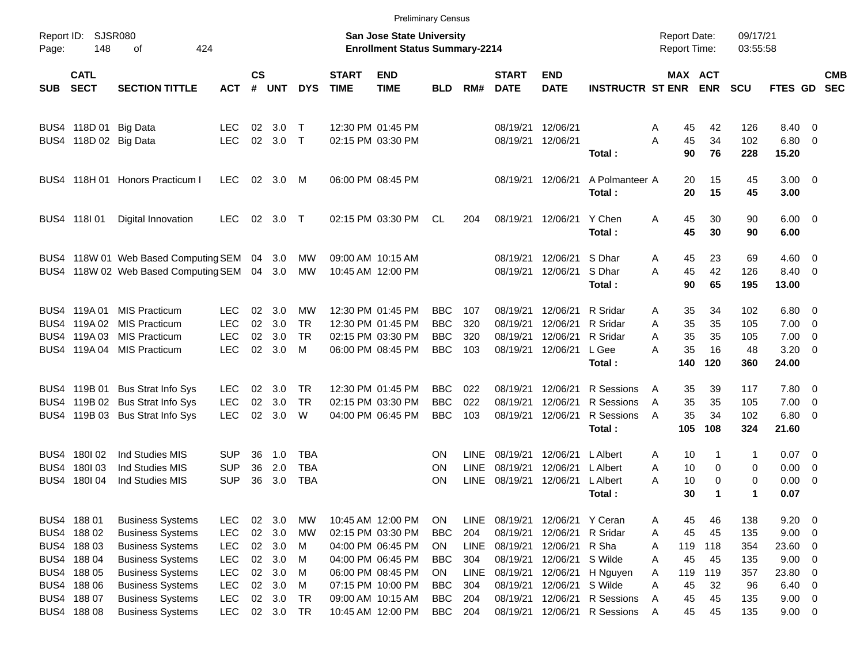|                      |                                                             |                                                                                                                                     |                                                      |                            |                                 |                                        |                             | <b>Preliminary Census</b>                                                                             |                                                      |                                    |                                                          |                                                          |                                                          |                                     |                              |                              |                                 |                                        |                                                                                                                |                          |
|----------------------|-------------------------------------------------------------|-------------------------------------------------------------------------------------------------------------------------------------|------------------------------------------------------|----------------------------|---------------------------------|----------------------------------------|-----------------------------|-------------------------------------------------------------------------------------------------------|------------------------------------------------------|------------------------------------|----------------------------------------------------------|----------------------------------------------------------|----------------------------------------------------------|-------------------------------------|------------------------------|------------------------------|---------------------------------|----------------------------------------|----------------------------------------------------------------------------------------------------------------|--------------------------|
| Report ID:<br>Page:  | <b>SJSR080</b><br>148                                       | 424<br>οf                                                                                                                           |                                                      |                            |                                 |                                        |                             | <b>San Jose State University</b><br><b>Enrollment Status Summary-2214</b>                             |                                                      |                                    |                                                          |                                                          |                                                          | <b>Report Date:</b><br>Report Time: |                              |                              | 09/17/21<br>03:55:58            |                                        |                                                                                                                |                          |
| <b>SUB</b>           | <b>CATL</b><br><b>SECT</b>                                  | <b>SECTION TITTLE</b>                                                                                                               | <b>ACT</b>                                           | $\mathsf{cs}$<br>#         | <b>UNT</b>                      | <b>DYS</b>                             | <b>START</b><br><b>TIME</b> | <b>END</b><br><b>TIME</b>                                                                             | <b>BLD</b>                                           | RM#                                | <b>START</b><br><b>DATE</b>                              | <b>END</b><br><b>DATE</b>                                | <b>INSTRUCTR ST ENR</b>                                  | MAX ACT                             |                              | <b>ENR</b>                   | <b>SCU</b>                      | FTES GD                                |                                                                                                                | <b>CMB</b><br><b>SEC</b> |
|                      | BUS4 118D 01 Big Data<br>BUS4 118D 02 Big Data              |                                                                                                                                     | LEC<br><b>LEC</b>                                    | 02<br>02                   | 3.0<br>3.0                      | $\top$<br>$\top$                       |                             | 12:30 PM 01:45 PM<br>02:15 PM 03:30 PM                                                                |                                                      |                                    | 08/19/21<br>08/19/21                                     | 12/06/21<br>12/06/21                                     | Total:                                                   | A<br>A                              | 45<br>45<br>90               | 42<br>34<br>76               | 126<br>102<br>228               | 8.40<br>6.80<br>15.20                  | - 0<br>$\overline{\phantom{0}}$                                                                                |                          |
|                      |                                                             | BUS4 118H 01 Honors Practicum I                                                                                                     | <b>LEC</b>                                           | 02                         | 3.0                             | M                                      |                             | 06:00 PM 08:45 PM                                                                                     |                                                      |                                    |                                                          | 08/19/21 12/06/21                                        | A Polmanteer A<br>Total:                                 |                                     | 20<br>20                     | 15<br>15                     | 45<br>45                        | 3.00<br>3.00                           | $\overline{\phantom{0}}$                                                                                       |                          |
|                      | BUS4 118 01                                                 | Digital Innovation                                                                                                                  | <b>LEC</b>                                           | 02                         | 3.0                             | $\top$                                 |                             | 02:15 PM 03:30 PM                                                                                     | <b>CL</b>                                            | 204                                |                                                          | 08/19/21 12/06/21                                        | Y Chen<br>Total:                                         | A                                   | 45<br>45                     | 30<br>30                     | 90<br>90                        | 6.00<br>6.00                           | $\overline{\phantom{0}}$                                                                                       |                          |
|                      |                                                             | BUS4 118W 01 Web Based Computing SEM 04<br>BUS4 118W 02 Web Based Computing SEM                                                     |                                                      | 04                         | 3.0<br>3.0                      | MW<br><b>MW</b>                        |                             | 09:00 AM 10:15 AM<br>10:45 AM 12:00 PM                                                                |                                                      |                                    | 08/19/21<br>08/19/21                                     | 12/06/21<br>12/06/21                                     | S Dhar<br>S Dhar<br>Total:                               | A<br>A                              | 45<br>45<br>90               | 23<br>42<br>65               | 69<br>126<br>195                | 4.60<br>8.40<br>13.00                  | $\overline{\mathbf{0}}$<br>$\overline{\mathbf{0}}$                                                             |                          |
| BUS4<br>BUS4<br>BUS4 | BUS4 119A01<br>119A 02<br>119A 03                           | <b>MIS Practicum</b><br><b>MIS Practicum</b><br><b>MIS Practicum</b><br>119A 04 MIS Practicum                                       | <b>LEC</b><br><b>LEC</b><br><b>LEC</b><br><b>LEC</b> | 02<br>02<br>02<br>02       | 3.0<br>3.0<br>3.0<br>3.0        | МW<br><b>TR</b><br><b>TR</b><br>м      |                             | 12:30 PM 01:45 PM<br>12:30 PM 01:45 PM<br>02:15 PM 03:30 PM<br>06:00 PM 08:45 PM                      | <b>BBC</b><br><b>BBC</b><br><b>BBC</b><br><b>BBC</b> | 107<br>320<br>320<br>103           | 08/19/21<br>08/19/21<br>08/19/21<br>08/19/21             | 12/06/21<br>12/06/21<br>12/06/21<br>12/06/21             | R Sridar<br>R Sridar<br>R Sridar<br>L Gee<br>Total:      | A<br>A<br>A<br>A                    | 35<br>35<br>35<br>35<br>140  | 34<br>35<br>35<br>16<br>120  | 102<br>105<br>105<br>48<br>360  | 6.80<br>7.00<br>7.00<br>3.20<br>24.00  | - 0<br>$\overline{\mathbf{0}}$<br>$\overline{\mathbf{0}}$<br>$\overline{\mathbf{0}}$                           |                          |
|                      |                                                             | BUS4 119B 01 Bus Strat Info Sys<br>BUS4 119B 02 Bus Strat Info Sys<br>BUS4 119B 03 Bus Strat Info Sys                               | <b>LEC</b><br><b>LEC</b><br><b>LEC</b>               | 02<br>02<br>02             | 3.0<br>3.0<br>3.0               | <b>TR</b><br><b>TR</b><br>W            |                             | 12:30 PM 01:45 PM<br>02:15 PM 03:30 PM<br>04:00 PM 06:45 PM                                           | <b>BBC</b><br><b>BBC</b><br><b>BBC</b>               | 022<br>022<br>103                  | 08/19/21<br>08/19/21<br>08/19/21                         | 12/06/21<br>12/06/21<br>12/06/21                         | R Sessions<br>R Sessions<br>R Sessions<br>Total:         | A<br>A<br>$\overline{A}$            | 35<br>35<br>35<br>105        | 39<br>35<br>34<br>108        | 117<br>105<br>102<br>324        | 7.80<br>7.00<br>6.80<br>21.60          | $\overline{\mathbf{0}}$<br>$\overline{\mathbf{0}}$<br>$\overline{\mathbf{0}}$                                  |                          |
| BUS4<br>BUS4<br>BUS4 | 180102<br>180103<br>180104                                  | Ind Studies MIS<br>Ind Studies MIS<br>Ind Studies MIS                                                                               | <b>SUP</b><br><b>SUP</b><br><b>SUP</b>               | 36<br>36<br>36             | 1.0<br>2.0<br>3.0               | <b>TBA</b><br><b>TBA</b><br><b>TBA</b> |                             |                                                                                                       | <b>ON</b><br>ON<br><b>ON</b>                         | LINE<br>LINE<br><b>LINE</b>        | 08/19/21<br>08/19/21<br>08/19/21                         | 12/06/21<br>12/06/21<br>12/06/21                         | <b>L</b> Albert<br>L Albert<br><b>L</b> Albert<br>Total: | A<br>A<br>A                         | 10<br>10<br>10<br>30         | -1<br>0<br>0<br>1            | -1<br>0<br>0<br>1               | 0.07<br>0.00<br>0.00<br>0.07           | $\overline{\mathbf{0}}$<br>$\mathbf 0$<br>$\overline{\mathbf{0}}$                                              |                          |
| BUS4<br>BUS4         | BUS4 188 01<br>BUS4 188 02<br>BUS4 188 03<br>18804<br>18805 | <b>Business Systems</b><br><b>Business Systems</b><br><b>Business Systems</b><br><b>Business Systems</b><br><b>Business Systems</b> | LEC<br>LEC<br><b>LEC</b><br>LEC<br>LEC               | 02<br>02<br>02<br>02<br>02 | 3.0<br>3.0<br>3.0<br>3.0<br>3.0 | <b>MW</b><br><b>MW</b><br>M<br>M<br>M  |                             | 10:45 AM 12:00 PM<br>02:15 PM 03:30 PM<br>04:00 PM 06:45 PM<br>04:00 PM 06:45 PM<br>06:00 PM 08:45 PM | ON<br><b>BBC</b><br>ON<br><b>BBC</b><br>ON           | LINE<br>204<br>LINE<br>304<br>LINE | 08/19/21<br>08/19/21<br>08/19/21<br>08/19/21<br>08/19/21 | 12/06/21<br>12/06/21<br>12/06/21<br>12/06/21<br>12/06/21 | Y Ceran<br>R Sridar<br>R Sha<br>S Wilde<br>H Nguyen      | Α<br>Α<br>Α<br>Α<br>Α               | 45<br>45<br>119<br>45<br>119 | 46<br>45<br>118<br>45<br>119 | 138<br>135<br>354<br>135<br>357 | 9.20<br>9.00<br>23.60<br>9.00<br>23.80 | $\overline{\mathbf{0}}$<br>$\overline{\mathbf{0}}$<br>$\overline{\mathbf{0}}$<br>$\overline{0}$<br>$\mathbf 0$ |                          |
| BUS4<br>BUS4         | 18806<br>18807<br>BUS4 188 08                               | <b>Business Systems</b><br><b>Business Systems</b><br><b>Business Systems</b>                                                       | LEC<br>LEC<br><b>LEC</b>                             | 02<br>02                   | 3.0<br>3.0<br>02 3.0            | M<br><b>TR</b><br><b>TR</b>            |                             | 07:15 PM 10:00 PM<br>09:00 AM 10:15 AM<br>10:45 AM 12:00 PM                                           | <b>BBC</b><br><b>BBC</b><br><b>BBC</b>               | 304<br>204<br>204                  | 08/19/21<br>08/19/21<br>08/19/21                         | 12/06/21<br>12/06/21<br>12/06/21                         | S Wilde<br>R Sessions<br>R Sessions                      | Α<br>Α<br>Α                         | 45<br>45<br>45               | 32<br>45<br>45               | 96<br>135<br>135                | 6.40<br>9.00<br>$9.00 \t 0$            | $\overline{0}$<br>$\overline{\mathbf{0}}$                                                                      |                          |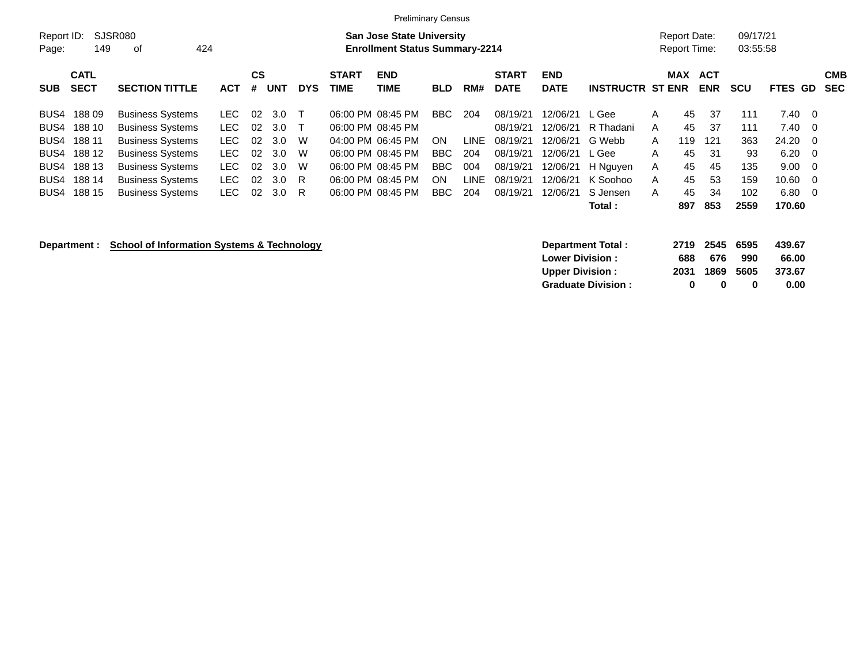|                     |                            |                                                       |            |                |            |            |                             | <b>Preliminary Census</b>                                                 |            |             |                             |                           |                         |   |                                            |                          |                      |                |                          |
|---------------------|----------------------------|-------------------------------------------------------|------------|----------------|------------|------------|-----------------------------|---------------------------------------------------------------------------|------------|-------------|-----------------------------|---------------------------|-------------------------|---|--------------------------------------------|--------------------------|----------------------|----------------|--------------------------|
| Report ID:<br>Page: | 149                        | SJSR080<br>оf                                         | 424        |                |            |            |                             | <b>San Jose State University</b><br><b>Enrollment Status Summary-2214</b> |            |             |                             |                           |                         |   | <b>Report Date:</b><br><b>Report Time:</b> |                          | 09/17/21<br>03:55:58 |                |                          |
| <b>SUB</b>          | <b>CATL</b><br><b>SECT</b> | <b>SECTION TITTLE</b>                                 | <b>ACT</b> | <b>CS</b><br># | <b>UNT</b> | <b>DYS</b> | <b>START</b><br><b>TIME</b> | <b>END</b><br>TIME                                                        | <b>BLD</b> | RM#         | <b>START</b><br><b>DATE</b> | <b>END</b><br><b>DATE</b> | <b>INSTRUCTR ST ENR</b> |   | <b>MAX</b>                                 | <b>ACT</b><br><b>ENR</b> | <b>SCU</b>           | <b>FTES GD</b> | <b>CMB</b><br><b>SEC</b> |
| BUS4                | 18809                      | <b>Business Systems</b>                               | LEC.       | 02             | 3.0        |            |                             | 06:00 PM 08:45 PM                                                         | BBC.       | 204         | 08/19/21                    | 12/06/21                  | . Gee                   | A | 45                                         | 37                       | 111                  | 7.40           | - 0                      |
| BUS4                | 188 10                     | <b>Business Systems</b>                               | LEC.       | 02             | 3.0        |            |                             | 06:00 PM 08:45 PM                                                         |            |             | 08/19/21                    | 12/06/21                  | R Thadani               | A | 45                                         | 37                       | 111                  | 7.40           | - 0                      |
| BUS4                | 188 11                     | <b>Business Systems</b>                               | LEC.       | 02             | 3.0        | W          |                             | 04:00 PM 06:45 PM                                                         | ON.        | <b>LINE</b> | 08/19/21                    | 12/06/21                  | G Webb                  | A | 119                                        | 121                      | 363                  | 24.20          | - 0                      |
| BUS4                | 188 12                     | <b>Business Systems</b>                               | LEC.       | 02             | 3.0        | W          |                             | 06:00 PM 08:45 PM                                                         | <b>BBC</b> | 204         | 08/19/21                    | 12/06/21                  | L Gee                   | A | 45                                         | 31                       | 93                   | 6.20           | - 0                      |
| BUS4                | 188 13                     | <b>Business Systems</b>                               | LEC.       | 02             | 3.0        | W          |                             | 06:00 PM 08:45 PM                                                         | <b>BBC</b> | 004         | 08/19/21                    | 12/06/21                  | H Nguyen                | A | 45                                         | 45                       | 135                  | 9.00           | - 0                      |
| BUS4                | 188 14                     | <b>Business Systems</b>                               | LEC.       | 02             | 3.0        | R          |                             | 06:00 PM 08:45 PM                                                         | <b>ON</b>  | <b>LINE</b> | 08/19/21                    | 12/06/21                  | K Soohoo                | A | 45                                         | 53                       | 159                  | 10.60          | - 0                      |
| BUS4                | 188 15                     | <b>Business Systems</b>                               | LEC.       | 02             | 3.0        | R          |                             | 06:00 PM 08:45 PM                                                         | <b>BBC</b> | 204         | 08/19/21                    | 12/06/21                  | S Jensen                | A | 45                                         | 34                       | 102                  | 6.80           | - 0                      |
|                     |                            |                                                       |            |                |            |            |                             |                                                                           |            |             |                             |                           | Total :                 |   | 897                                        | 853                      | 2559                 | 170.60         |                          |
|                     | Department :               | <b>School of Information Systems &amp; Technology</b> |            |                |            |            |                             |                                                                           |            |             |                             |                           | Department Total:       |   | 2719                                       | 2545                     | 6595                 | 439.67         |                          |

**Lower Division : 688 676 990 66.00<br>
Upper Division : 2031 1869 5605 373.67** 

**Graduate Division : 0 0 0 0.00**

**Upper Division : 2031 1869 5605 373.67**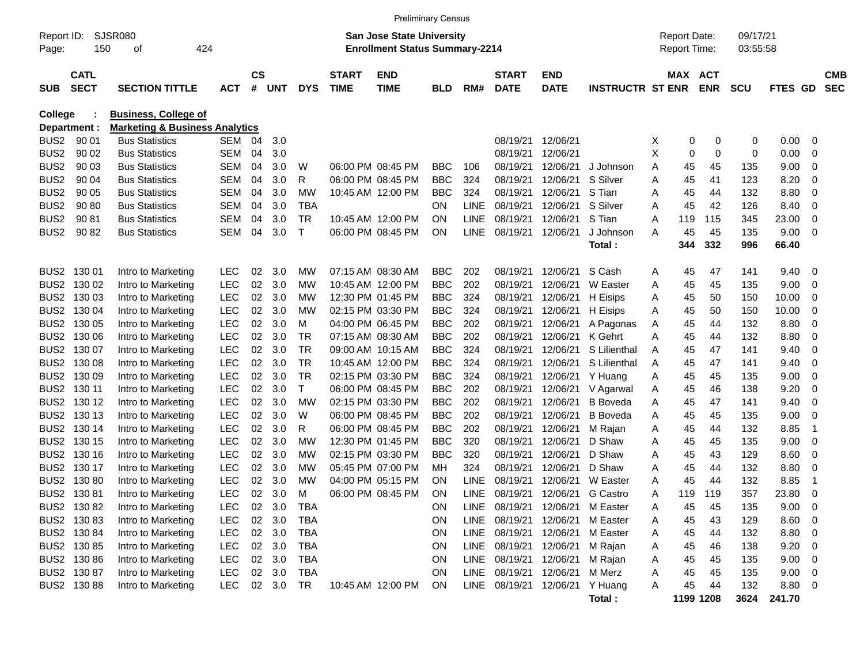|                     |                            |                                           |            |                |            |              |                             | <b>Preliminary Census</b>                                                 |            |             |                             |                           |                         |   |                                            |            |                      |             |                         |                          |
|---------------------|----------------------------|-------------------------------------------|------------|----------------|------------|--------------|-----------------------------|---------------------------------------------------------------------------|------------|-------------|-----------------------------|---------------------------|-------------------------|---|--------------------------------------------|------------|----------------------|-------------|-------------------------|--------------------------|
| Report ID:<br>Page: | 150                        | <b>SJSR080</b><br>424<br>οf               |            |                |            |              |                             | <b>San Jose State University</b><br><b>Enrollment Status Summary-2214</b> |            |             |                             |                           |                         |   | <b>Report Date:</b><br><b>Report Time:</b> |            | 09/17/21<br>03:55:58 |             |                         |                          |
| <b>SUB</b>          | <b>CATL</b><br><b>SECT</b> | <b>SECTION TITTLE</b>                     | <b>ACT</b> | <b>CS</b><br># | <b>UNT</b> | <b>DYS</b>   | <b>START</b><br><b>TIME</b> | <b>END</b><br><b>TIME</b>                                                 | <b>BLD</b> | RM#         | <b>START</b><br><b>DATE</b> | <b>END</b><br><b>DATE</b> | <b>INSTRUCTR ST ENR</b> |   | MAX ACT                                    | <b>ENR</b> | <b>SCU</b>           | <b>FTES</b> | GD.                     | <b>CMB</b><br><b>SEC</b> |
| <b>College</b>      |                            | <b>Business, College of</b>               |            |                |            |              |                             |                                                                           |            |             |                             |                           |                         |   |                                            |            |                      |             |                         |                          |
|                     | Department :               | <b>Marketing &amp; Business Analytics</b> |            |                |            |              |                             |                                                                           |            |             |                             |                           |                         |   |                                            |            |                      |             |                         |                          |
| BUS <sub>2</sub>    | 90 01                      | <b>Bus Statistics</b>                     | SEM        | 04             | 3.0        |              |                             |                                                                           |            |             | 08/19/21                    | 12/06/21                  |                         | X | 0                                          | 0          | 0                    | 0.00        | 0                       |                          |
| BUS <sub>2</sub>    | 90 02                      | <b>Bus Statistics</b>                     | SEM        | 04             | 3.0        |              |                             |                                                                           |            |             | 08/19/21                    | 12/06/21                  |                         | Χ | 0                                          | 0          | 0                    | 0.00        | 0                       |                          |
| BUS <sub>2</sub>    | 90 03                      | <b>Bus Statistics</b>                     | SEM        | 04             | 3.0        | W            |                             | 06:00 PM 08:45 PM                                                         | <b>BBC</b> | 106         | 08/19/21                    | 12/06/21                  | J Johnson               | Α | 45                                         | 45         | 135                  | 9.00        | 0                       |                          |
| BUS <sub>2</sub>    | 90 04                      | <b>Bus Statistics</b>                     | SEM        | 04             | 3.0        | R            |                             | 06:00 PM 08:45 PM                                                         | <b>BBC</b> | 324         | 08/19/21                    | 12/06/21                  | S Silver                | Α | 45                                         | 41         | 123                  | 8.20        | 0                       |                          |
| BUS <sub>2</sub>    | 90 05                      | <b>Bus Statistics</b>                     | SEM        | 04             | 3.0        | МW           |                             | 10:45 AM 12:00 PM                                                         | <b>BBC</b> | 324         | 08/19/21                    | 12/06/21                  | S Tian                  | Α | 45                                         | 44         | 132                  | 8.80        | 0                       |                          |
| BUS <sub>2</sub>    | 90 80                      | <b>Bus Statistics</b>                     | SEM        | 04             | 3.0        | TBA          |                             |                                                                           | ΟN         | LINE        | 08/19/21                    | 12/06/21                  | S Silver                | Α | 45                                         | 42         | 126                  | 8.40        | 0                       |                          |
| BUS <sub>2</sub>    | 90 81                      | <b>Bus Statistics</b>                     | SEM        | 04             | 3.0        | TR           |                             | 10:45 AM 12:00 PM                                                         | ΟN         | <b>LINE</b> | 08/19/21                    | 12/06/21                  | S Tian                  | Α | 119                                        | 115        | 345                  | 23.00       | 0                       |                          |
| BUS <sub>2</sub>    | 90 82                      | <b>Bus Statistics</b>                     | SEM        | 04             | 3.0        | $\mathsf{T}$ |                             | 06:00 PM 08:45 PM                                                         | ON         | LINE        | 08/19/21                    | 12/06/21                  | J Johnson               | Α | 45                                         | 45         | 135                  | 9.00        | 0                       |                          |
|                     |                            |                                           |            |                |            |              |                             |                                                                           |            |             |                             |                           | Total:                  |   | 344                                        | 332        | 996                  | 66.40       |                         |                          |
|                     | BUS2 130 01                | Intro to Marketing                        | <b>LEC</b> | 02             | 3.0        | МW           |                             | 07:15 AM 08:30 AM                                                         | <b>BBC</b> | 202         | 08/19/21                    | 12/06/21                  | S Cash                  | Α | 45                                         | 47         | 141                  | 9.40        | 0                       |                          |
| BUS <sub>2</sub>    | 130 02                     | Intro to Marketing                        | <b>LEC</b> | 02             | 3.0        | MW           |                             | 10:45 AM 12:00 PM                                                         | <b>BBC</b> | 202         | 08/19/21                    | 12/06/21                  | W Easter                | Α | 45                                         | 45         | 135                  | 9.00        | 0                       |                          |
| BUS <sub>2</sub>    | 130 03                     | Intro to Marketing                        | <b>LEC</b> | 02             | 3.0        | MW           |                             | 12:30 PM 01:45 PM                                                         | <b>BBC</b> | 324         | 08/19/21                    | 12/06/21                  | H Eisips                | Α | 45                                         | 50         | 150                  | 10.00       | 0                       |                          |
| BUS <sub>2</sub>    | 130 04                     | Intro to Marketing                        | <b>LEC</b> | 02             | 3.0        | МW           |                             | 02:15 PM 03:30 PM                                                         | <b>BBC</b> | 324         | 08/19/21                    | 12/06/21                  | H Eisips                | Α | 45                                         | 50         | 150                  | 10.00       | 0                       |                          |
| BUS <sub>2</sub>    | 130 05                     | Intro to Marketing                        | <b>LEC</b> | 02             | 3.0        | м            |                             | 04:00 PM 06:45 PM                                                         | <b>BBC</b> | 202         | 08/19/21                    | 12/06/21                  | A Pagonas               | Α | 45                                         | 44         | 132                  | 8.80        | 0                       |                          |
| BUS <sub>2</sub>    | 130 06                     | Intro to Marketing                        | <b>LEC</b> | 02             | 3.0        | TR           |                             | 07:15 AM 08:30 AM                                                         | <b>BBC</b> | 202         | 08/19/21                    | 12/06/21                  | K Gehrt                 | Α | 45                                         | 44         | 132                  | 8.80        | 0                       |                          |
| BUS <sub>2</sub>    | 130 07                     | Intro to Marketing                        | <b>LEC</b> | 02             | 3.0        | TR           |                             | 09:00 AM 10:15 AM                                                         | <b>BBC</b> | 324         | 08/19/21                    | 12/06/21                  | S Lilienthal            | Α | 45                                         | 47         | 141                  | 9.40        | 0                       |                          |
| BUS <sub>2</sub>    | 130 08                     | Intro to Marketing                        | <b>LEC</b> | 02             | 3.0        | TR           |                             | 10:45 AM 12:00 PM                                                         | <b>BBC</b> | 324         | 08/19/21                    | 12/06/21                  | S Lilienthal            | Α | 45                                         | 47         | 141                  | 9.40        | 0                       |                          |
| BUS <sub>2</sub>    | 130 09                     | Intro to Marketing                        | <b>LEC</b> | 02             | 3.0        | TR           |                             | 02:15 PM 03:30 PM                                                         | <b>BBC</b> | 324         | 08/19/21                    | 12/06/21                  | Y Huang                 | Α | 45                                         | 45         | 135                  | 9.00        | 0                       |                          |
| BUS <sub>2</sub>    | 130 11                     | Intro to Marketing                        | <b>LEC</b> | 02             | 3.0        | Τ            |                             | 06:00 PM 08:45 PM                                                         | <b>BBC</b> | 202         | 08/19/21                    | 12/06/21                  | V Agarwal               | Α | 45                                         | 46         | 138                  | 9.20        | 0                       |                          |
|                     | BUS2 130 12                | Intro to Marketing                        | <b>LEC</b> | 02             | 3.0        | МW           |                             | 02:15 PM 03:30 PM                                                         | <b>BBC</b> | 202         | 08/19/21                    | 12/06/21                  | <b>B</b> Boveda         | Α | 45                                         | 47         | 141                  | 9.40        | 0                       |                          |
| BUS <sub>2</sub>    | 130 13                     | Intro to Marketing                        | <b>LEC</b> | 02             | 3.0        | W            |                             | 06:00 PM 08:45 PM                                                         | <b>BBC</b> | 202         | 08/19/21                    | 12/06/21                  | <b>B</b> Boveda         | Α | 45                                         | 45         | 135                  | 9.00        | 0                       |                          |
| BUS <sub>2</sub>    | 130 14                     | Intro to Marketing                        | <b>LEC</b> | 02             | 3.0        | R            |                             | 06:00 PM 08:45 PM                                                         | <b>BBC</b> | 202         | 08/19/21                    | 12/06/21                  | M Rajan                 | Α | 45                                         | 44         | 132                  | 8.85        | -1                      |                          |
| BUS <sub>2</sub>    | 130 15                     | Intro to Marketing                        | <b>LEC</b> | 02             | 3.0        | МW           |                             | 12:30 PM 01:45 PM                                                         | <b>BBC</b> | 320         | 08/19/21                    | 12/06/21                  | D Shaw                  | Α | 45                                         | 45         | 135                  | 9.00        | 0                       |                          |
| BUS <sub>2</sub>    | 130 16                     | Intro to Marketing                        | <b>LEC</b> | 02             | 3.0        | МW           |                             | 02:15 PM 03:30 PM                                                         | BBC        | 320         | 08/19/21                    | 12/06/21                  | D Shaw                  | Α | 45                                         | 43         | 129                  | 8.60        | 0                       |                          |
| BUS <sub>2</sub>    | 130 17                     | Intro to Marketing                        | <b>LEC</b> | 02             | 3.0        | MW           |                             | 05:45 PM 07:00 PM                                                         | MН         | 324         | 08/19/21                    | 12/06/21                  | D Shaw                  | Α | 45                                         | 44         | 132                  | 8.80        | 0                       |                          |
| BUS <sub>2</sub>    | 13080                      | Intro to Marketing                        | LEC        | 02             | 3.0        | МW           |                             | 04:00 PM 05:15 PM                                                         | ΟN         | LINE        | 08/19/21                    | 12/06/21                  | W Easter                | Α | 45                                         | 44         | 132                  | 8.85        | -1                      |                          |
|                     | BUS2 130 81                | Intro to Marketing                        | <b>LEC</b> | 02             | 3.0        | м            |                             | 06:00 PM 08:45 PM                                                         | ON         | <b>LINE</b> | 08/19/21                    | 12/06/21                  | <b>G</b> Castro         | Α | 119                                        | 119        | 357                  | 23.80       | 0                       |                          |
|                     | BUS2 130 82                | Intro to Marketing                        | <b>LEC</b> |                | 02 3.0     | <b>TBA</b>   |                             |                                                                           | ON         | LINE        | 08/19/21                    | 12/06/21                  | M Easter                | A | 45                                         | 45         | 135                  | 9.00        | 0                       |                          |
|                     | BUS2 130 83                | Intro to Marketing                        | LEC        |                | 02 3.0     | TBA          |                             |                                                                           | ON         | LINE        | 08/19/21                    | 12/06/21                  | M Easter                | Α | 45                                         | 43         | 129                  | 8.60        | 0                       |                          |
|                     | BUS2 130 84                | Intro to Marketing                        | <b>LEC</b> |                | 02 3.0     | TBA          |                             |                                                                           | ON         | LINE        | 08/19/21                    | 12/06/21                  | M Easter                | Α | 45                                         | 44         | 132                  | 8.80        | 0                       |                          |
|                     | BUS2 130 85                | Intro to Marketing                        | <b>LEC</b> |                | 02 3.0     | TBA          |                             |                                                                           | ON         | LINE        | 08/19/21                    | 12/06/21                  | M Rajan                 | Α | 45                                         | 46         | 138                  | 9.20        | 0                       |                          |
|                     | BUS2 130 86                | Intro to Marketing                        | <b>LEC</b> |                | 02 3.0     | TBA          |                             |                                                                           | ON         | LINE        | 08/19/21                    | 12/06/21                  | M Rajan                 | Α | 45                                         | 45         | 135                  | 9.00        | 0                       |                          |
|                     | BUS2 130 87                | Intro to Marketing                        | <b>LEC</b> |                | 02 3.0     | TBA          |                             |                                                                           | ON         | LINE        | 08/19/21                    | 12/06/21                  | M Merz                  | Α | 45                                         | 45         | 135                  | 9.00        | - 0                     |                          |
|                     | BUS2 130 88                | Intro to Marketing                        | LEC        |                | 02 3.0     | TR           |                             | 10:45 AM 12:00 PM                                                         | <b>ON</b>  |             | LINE 08/19/21               | 12/06/21                  | Y Huang                 | Α | 45                                         | 44         | 132                  | 8.80        | $\overline{\mathbf{0}}$ |                          |
|                     |                            |                                           |            |                |            |              |                             |                                                                           |            |             |                             |                           | Total:                  |   |                                            | 1199 1208  | 3624                 | 241.70      |                         |                          |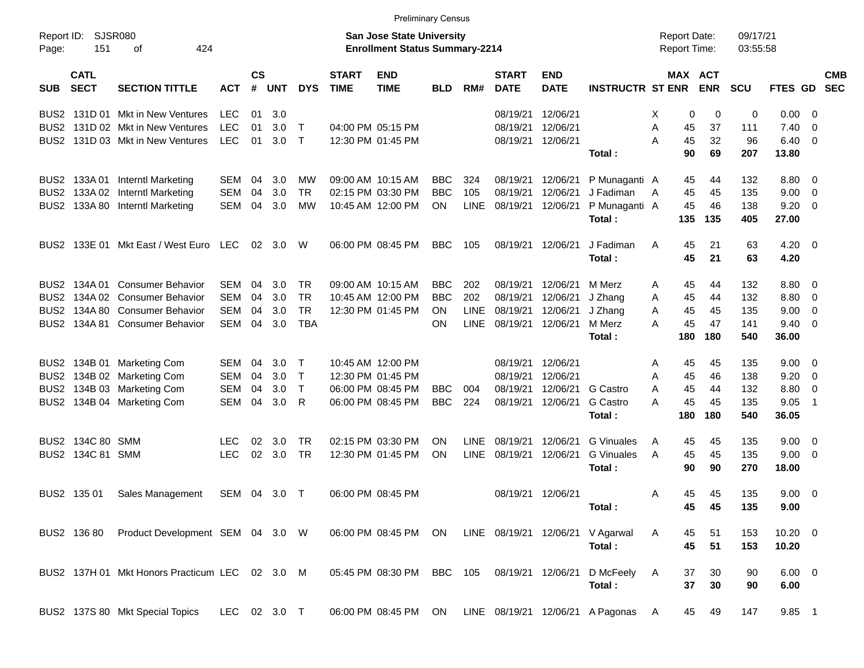|                     |                            |                                                |              |                |            |              |                             | <b>Preliminary Census</b>                                                 |            |             |                             |                           |                                                         |                                     |                              |                      |                |                          |                          |
|---------------------|----------------------------|------------------------------------------------|--------------|----------------|------------|--------------|-----------------------------|---------------------------------------------------------------------------|------------|-------------|-----------------------------|---------------------------|---------------------------------------------------------|-------------------------------------|------------------------------|----------------------|----------------|--------------------------|--------------------------|
| Report ID:<br>Page: | SJSR080<br>151             | 424<br>оf                                      |              |                |            |              |                             | <b>San Jose State University</b><br><b>Enrollment Status Summary-2214</b> |            |             |                             |                           |                                                         | <b>Report Date:</b><br>Report Time: |                              | 09/17/21<br>03:55:58 |                |                          |                          |
| <b>SUB</b>          | <b>CATL</b><br><b>SECT</b> | <b>SECTION TITTLE</b>                          | <b>ACT</b>   | <b>CS</b><br># | <b>UNT</b> | <b>DYS</b>   | <b>START</b><br><b>TIME</b> | <b>END</b><br><b>TIME</b>                                                 | <b>BLD</b> | RM#         | <b>START</b><br><b>DATE</b> | <b>END</b><br><b>DATE</b> | <b>INSTRUCTR ST ENR</b>                                 |                                     | <b>MAX ACT</b><br><b>ENR</b> | <b>SCU</b>           | <b>FTES GD</b> |                          | <b>CMB</b><br><b>SEC</b> |
|                     |                            | BUS2 131D 01 Mkt in New Ventures               | <b>LEC</b>   | 01             | 3.0        |              |                             |                                                                           |            |             | 08/19/21                    | 12/06/21                  |                                                         | Χ                                   | 0<br>0                       | 0                    | 0.00           | - 0                      |                          |
|                     |                            | BUS2 131D 02 Mkt in New Ventures               | <b>LEC</b>   | 01             | 3.0        | Т            |                             | 04:00 PM 05:15 PM                                                         |            |             | 08/19/21                    | 12/06/21                  |                                                         | A                                   | 45<br>37                     | 111                  | 7.40           | - 0                      |                          |
|                     |                            | BUS2 131D 03 Mkt in New Ventures               | <b>LEC</b>   | 01             | 3.0        | $\mathsf{T}$ |                             | 12:30 PM 01:45 PM                                                         |            |             | 08/19/21                    | 12/06/21                  |                                                         | А                                   | 45<br>32                     | 96                   | 6.40           | $\overline{\phantom{0}}$ |                          |
|                     |                            |                                                |              |                |            |              |                             |                                                                           |            |             |                             |                           | Total:                                                  |                                     | 90<br>69                     | 207                  | 13.80          |                          |                          |
|                     |                            | BUS2 133A 01 Interntl Marketing                | <b>SEM</b>   | 04             | 3.0        | MW           |                             | 09:00 AM 10:15 AM                                                         | <b>BBC</b> | 324         | 08/19/21                    | 12/06/21                  | P Munaganti A                                           |                                     | 44<br>45                     | 132                  | 8.80           | - 0                      |                          |
|                     |                            | BUS2 133A 02 Interntl Marketing                | <b>SEM</b>   | 04             | 3.0        | <b>TR</b>    |                             | 02:15 PM 03:30 PM                                                         | <b>BBC</b> | 105         | 08/19/21                    | 12/06/21                  | J Fadiman                                               | A                                   | 45<br>45                     | 135                  | 9.00           | $\overline{\mathbf{0}}$  |                          |
|                     |                            | BUS2 133A 80 Interntl Marketing                | <b>SEM</b>   | 04             | 3.0        | <b>MW</b>    |                             | 10:45 AM 12:00 PM                                                         | <b>ON</b>  | <b>LINE</b> | 08/19/21                    | 12/06/21                  | P Munaganti A<br>Total:                                 | 135                                 | 45<br>46<br>135              | 138<br>405           | 9.20<br>27.00  | $\overline{\phantom{0}}$ |                          |
|                     |                            | BUS2 133E 01 Mkt East / West Euro LEC          |              |                | 02 3.0     | W            |                             | 06:00 PM 08:45 PM                                                         | BBC        | 105         |                             | 08/19/21 12/06/21         | J Fadiman                                               | A                                   | 45<br>21                     | 63                   | $4.20 \ 0$     |                          |                          |
|                     |                            |                                                |              |                |            |              |                             |                                                                           |            |             |                             |                           | Total:                                                  |                                     | 45<br>21                     | 63                   | 4.20           |                          |                          |
|                     | BUS2 134A 01               | <b>Consumer Behavior</b>                       | <b>SEM</b>   | 04             | 3.0        | <b>TR</b>    |                             | 09:00 AM 10:15 AM                                                         | BBC        | 202         | 08/19/21                    | 12/06/21                  | M Merz                                                  | A                                   | 45<br>44                     | 132                  | 8.80           | $\overline{\phantom{0}}$ |                          |
|                     |                            | BUS2 134A 02 Consumer Behavior                 | <b>SEM</b>   | 04             | 3.0        | <b>TR</b>    |                             | 10:45 AM 12:00 PM                                                         | <b>BBC</b> | 202         | 08/19/21                    | 12/06/21                  | J Zhang                                                 | A                                   | 45<br>44                     | 132                  | 8.80           | - 0                      |                          |
|                     |                            | BUS2 134A 80 Consumer Behavior                 | <b>SEM</b>   | 04             | 3.0        | <b>TR</b>    |                             | 12:30 PM 01:45 PM                                                         | ΟN         | <b>LINE</b> | 08/19/21                    | 12/06/21                  | J Zhang                                                 | Α                                   | 45<br>45                     | 135                  | 9.00           | $\overline{\mathbf{0}}$  |                          |
|                     |                            | BUS2 134A 81 Consumer Behavior                 | SEM          | 04             | 3.0        | <b>TBA</b>   |                             |                                                                           | ΟN         | <b>LINE</b> | 08/19/21                    | 12/06/21                  | M Merz                                                  | A                                   | 45<br>47                     | 141                  | 9.40           | $\overline{\mathbf{0}}$  |                          |
|                     |                            |                                                |              |                |            |              |                             |                                                                           |            |             |                             |                           | Total:                                                  | 180                                 | 180                          | 540                  | 36.00          |                          |                          |
|                     |                            | BUS2 134B 01 Marketing Com                     | SEM          | 04             | 3.0        | Т            |                             | 10:45 AM 12:00 PM                                                         |            |             | 08/19/21                    | 12/06/21                  |                                                         | A                                   | 45<br>45                     | 135                  | 9.00           | $\overline{\phantom{0}}$ |                          |
|                     |                            | BUS2 134B 02 Marketing Com                     | <b>SEM</b>   | 04             | 3.0        | $\top$       |                             | 12:30 PM 01:45 PM                                                         |            |             | 08/19/21                    | 12/06/21                  |                                                         | A                                   | 45<br>46                     | 138                  | 9.20           | $\overline{\mathbf{0}}$  |                          |
| BUS2                |                            | 134B 03 Marketing Com                          | SEM          | 04             | 3.0        | $\mathsf{T}$ |                             | 06:00 PM 08:45 PM                                                         | <b>BBC</b> | 004         | 08/19/21                    | 12/06/21                  | G Castro                                                | A                                   | 45<br>44                     | 132                  | 8.80           | 0                        |                          |
|                     |                            | BUS2 134B 04 Marketing Com                     | <b>SEM</b>   | 04             | 3.0        | R            |                             | 06:00 PM 08:45 PM                                                         | <b>BBC</b> | 224         | 08/19/21                    | 12/06/21                  | G Castro                                                | А                                   | 45<br>45                     | 135                  | 9.05           | -1                       |                          |
|                     |                            |                                                |              |                |            |              |                             |                                                                           |            |             |                             |                           | Total:                                                  | 180                                 | 180                          | 540                  | 36.05          |                          |                          |
|                     | BUS2 134C 80 SMM           |                                                | LEC          | 02             | 3.0        | TR           |                             | 02:15 PM 03:30 PM                                                         | ON         | <b>LINE</b> | 08/19/21                    | 12/06/21                  | <b>G</b> Vinuales                                       | A                                   | 45<br>45                     | 135                  | 9.00           | $\overline{\phantom{0}}$ |                          |
|                     | BUS2 134C 81 SMM           |                                                | <b>LEC</b>   | 02             | 3.0        | <b>TR</b>    |                             | 12:30 PM 01:45 PM                                                         | <b>ON</b>  | <b>LINE</b> | 08/19/21                    | 12/06/21                  | <b>G</b> Vinuales                                       | A                                   | 45<br>45                     | 135                  | 9.00           | $\overline{\phantom{0}}$ |                          |
|                     |                            |                                                |              |                |            |              |                             |                                                                           |            |             |                             |                           | Total:                                                  |                                     | 90<br>90                     | 270                  | 18.00          |                          |                          |
|                     | BUS2 135 01                | Sales Management                               | SEM 04 3.0 T |                |            |              |                             | 06:00 PM 08:45 PM                                                         |            |             | 08/19/21 12/06/21           |                           |                                                         | A                                   | 45<br>45                     | 135                  | $9.00 \quad 0$ |                          |                          |
|                     |                            |                                                |              |                |            |              |                             |                                                                           |            |             |                             |                           | Total :                                                 |                                     | 45<br>45                     | 135                  | 9.00           |                          |                          |
|                     |                            | BUS2 136 80 Product Development SEM 04 3.0 W   |              |                |            |              |                             | 06:00 PM 08:45 PM ON LINE 08/19/21 12/06/21                               |            |             |                             |                           | V Agarwal                                               | A                                   | 45<br>51                     | 153                  | $10.20 \t 0$   |                          |                          |
|                     |                            |                                                |              |                |            |              |                             |                                                                           |            |             |                             |                           | Total:                                                  |                                     | 45<br>51                     | 153                  | 10.20          |                          |                          |
|                     |                            | BUS2 137H 01 Mkt Honors Practicum LEC 02 3.0 M |              |                |            |              |                             | 05:45 PM 08:30 PM                                                         | BBC 105    |             | 08/19/21 12/06/21           |                           | D McFeely                                               | A                                   | 37<br>30                     | 90                   | $6.00 \quad 0$ |                          |                          |
|                     |                            |                                                |              |                |            |              |                             |                                                                           |            |             |                             |                           | Total:                                                  |                                     | 37<br>30                     | 90                   | 6.00           |                          |                          |
|                     |                            | BUS2 137S 80 Mkt Special Topics                | LEC 02 3.0 T |                |            |              |                             |                                                                           |            |             |                             |                           | 06:00 PM 08:45 PM ON LINE 08/19/21 12/06/21 A Pagonas A |                                     | 49<br>45                     | 147                  | $9.85$ 1       |                          |                          |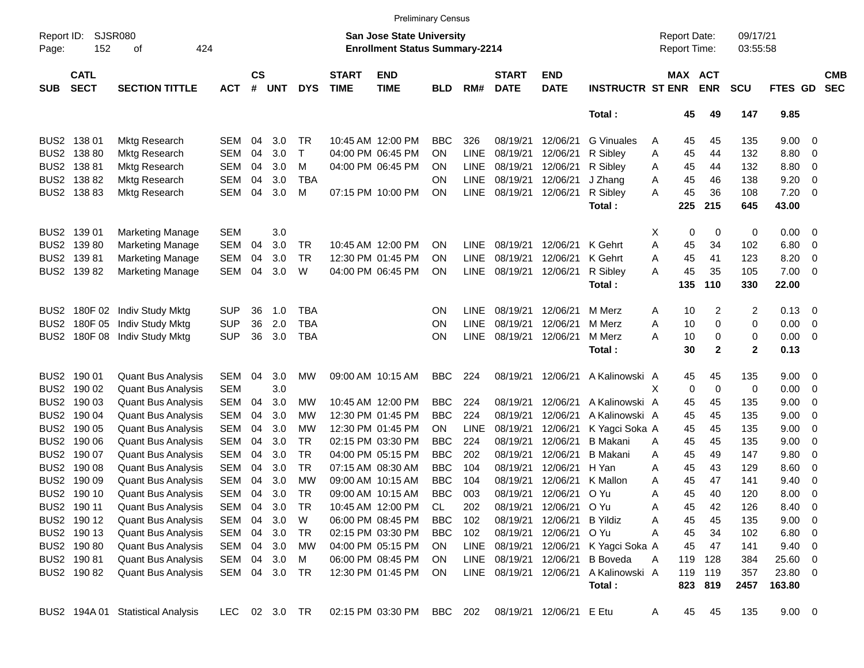|                     |                            |                             |               |                    |            |            |                             | <b>Preliminary Census</b>                                          |            |             |                             |                           |                         |   |                                     |              |                      |             |                          |                          |
|---------------------|----------------------------|-----------------------------|---------------|--------------------|------------|------------|-----------------------------|--------------------------------------------------------------------|------------|-------------|-----------------------------|---------------------------|-------------------------|---|-------------------------------------|--------------|----------------------|-------------|--------------------------|--------------------------|
| Report ID:<br>Page: | 152                        | SJSR080<br>424<br>οf        |               |                    |            |            |                             | San Jose State University<br><b>Enrollment Status Summary-2214</b> |            |             |                             |                           |                         |   | <b>Report Date:</b><br>Report Time: |              | 09/17/21<br>03:55:58 |             |                          |                          |
| <b>SUB</b>          | <b>CATL</b><br><b>SECT</b> | <b>SECTION TITTLE</b>       | <b>ACT</b>    | $\mathsf{cs}$<br># | <b>UNT</b> | <b>DYS</b> | <b>START</b><br><b>TIME</b> | <b>END</b><br><b>TIME</b>                                          | <b>BLD</b> | RM#         | <b>START</b><br><b>DATE</b> | <b>END</b><br><b>DATE</b> | <b>INSTRUCTR ST ENR</b> |   | MAX ACT                             | <b>ENR</b>   | <b>SCU</b>           | FTES GD     |                          | <b>CMB</b><br><b>SEC</b> |
|                     |                            |                             |               |                    |            |            |                             |                                                                    |            |             |                             |                           | Total:                  |   | 45                                  | 49           | 147                  | 9.85        |                          |                          |
|                     | BUS2 138 01                | <b>Mktg Research</b>        | SEM           | 04                 | 3.0        | TR.        |                             | 10:45 AM 12:00 PM                                                  | <b>BBC</b> | 326         | 08/19/21                    | 12/06/21                  | <b>G</b> Vinuales       | Α | 45                                  | 45           | 135                  | 9.00        | 0                        |                          |
|                     | BUS2 138 80                | Mktg Research               | <b>SEM</b>    | 04                 | 3.0        | Т          |                             | 04:00 PM 06:45 PM                                                  | <b>ON</b>  | <b>LINE</b> | 08/19/21                    | 12/06/21                  | R Sibley                | Α | 45                                  | 44           | 132                  | 8.80        | 0                        |                          |
|                     | BUS2 138 81                | <b>Mktg Research</b>        | <b>SEM</b>    | 04                 | 3.0        | M          |                             | 04:00 PM 06:45 PM                                                  | <b>ON</b>  | <b>LINE</b> | 08/19/21                    | 12/06/21                  | R Sibley                | Α | 45                                  | 44           | 132                  | 8.80        | 0                        |                          |
|                     | BUS2 138 82                | <b>Mktg Research</b>        | <b>SEM</b>    | 04                 | 3.0        | <b>TBA</b> |                             |                                                                    | <b>ON</b>  | <b>LINE</b> | 08/19/21                    | 12/06/21                  | J Zhang                 | Α | 45                                  | 46           | 138                  | 9.20        | 0                        |                          |
|                     | BUS2 138 83                | <b>Mktg Research</b>        | <b>SEM</b>    | 04                 | 3.0        | M          |                             | 07:15 PM 10:00 PM                                                  | <b>ON</b>  | LINE        | 08/19/21                    | 12/06/21                  | R Sibley                | A | 45                                  | 36           | 108                  | 7.20        | $\overline{0}$           |                          |
|                     |                            |                             |               |                    |            |            |                             |                                                                    |            |             |                             |                           | Total:                  |   | 225                                 | 215          | 645                  | 43.00       |                          |                          |
|                     | BUS2 139 01                | <b>Marketing Manage</b>     | <b>SEM</b>    |                    | 3.0        |            |                             |                                                                    |            |             |                             |                           |                         | Х | 0                                   | 0            | 0                    | 0.00        | - 0                      |                          |
|                     | BUS2 139 80                | <b>Marketing Manage</b>     | <b>SEM</b>    | 04                 | 3.0        | TR         |                             | 10:45 AM 12:00 PM                                                  | <b>ON</b>  | LINE        | 08/19/21                    | 12/06/21                  | K Gehrt                 | A | 45                                  | 34           | 102                  | 6.80        | 0                        |                          |
|                     | BUS2 139 81                | <b>Marketing Manage</b>     | <b>SEM</b>    | 04                 | 3.0        | <b>TR</b>  |                             | 12:30 PM 01:45 PM                                                  | <b>ON</b>  | <b>LINE</b> | 08/19/21                    | 12/06/21                  | K Gehrt                 | A | 45                                  | 41           | 123                  | 8.20        | 0                        |                          |
|                     | BUS2 139 82                | <b>Marketing Manage</b>     | SEM           | 04                 | 3.0        | W          |                             | 04:00 PM 06:45 PM                                                  | ON         | LINE        | 08/19/21                    | 12/06/21                  | R Sibley                | A | 45                                  | 35           | 105                  | 7.00        | $\overline{0}$           |                          |
|                     |                            |                             |               |                    |            |            |                             |                                                                    |            |             |                             |                           | Total:                  |   | 135                                 | 110          | 330                  | 22.00       |                          |                          |
| BUS <sub>2</sub>    |                            | 180F 02 Indiv Study Mktg    | SUP           | 36                 | 1.0        | TBA        |                             |                                                                    | <b>ON</b>  | <b>LINE</b> | 08/19/21                    | 12/06/21                  | M Merz                  | Α | 10                                  | 2            | 2                    | 0.13        | $\overline{\mathbf{0}}$  |                          |
| BUS <sub>2</sub>    | 180F 05                    | Indiv Study Mktg            | <b>SUP</b>    | 36                 | 2.0        | <b>TBA</b> |                             |                                                                    | <b>ON</b>  | LINE        | 08/19/21                    | 12/06/21                  | M Merz                  | A | 10                                  | 0            | 0                    | 0.00        | 0                        |                          |
| BUS <sub>2</sub>    | 180F 08                    | Indiv Study Mktg            | <b>SUP</b>    | 36                 | 3.0        | <b>TBA</b> |                             |                                                                    | ON         | <b>LINE</b> | 08/19/21                    | 12/06/21                  | M Merz                  | A | 10                                  | 0            | 0                    | 0.00        | 0                        |                          |
|                     |                            |                             |               |                    |            |            |                             |                                                                    |            |             |                             |                           | Total:                  |   | 30                                  | $\mathbf{2}$ | $\mathbf{2}$         | 0.13        |                          |                          |
|                     | BUS2 190 01                | <b>Quant Bus Analysis</b>   | SEM           | 04                 | 3.0        | MW         |                             | 09:00 AM 10:15 AM                                                  | <b>BBC</b> | 224         | 08/19/21                    | 12/06/21                  | A Kalinowski A          |   | 45                                  | 45           | 135                  | 9.00        | $\overline{\mathbf{0}}$  |                          |
| BUS2                | 190 02                     | <b>Quant Bus Analysis</b>   | <b>SEM</b>    |                    | 3.0        |            |                             |                                                                    |            |             |                             |                           |                         | X | $\mathbf 0$                         | 0            | 0                    | 0.00        | 0                        |                          |
|                     | BUS2 190 03                | <b>Quant Bus Analysis</b>   | <b>SEM</b>    | 04                 | 3.0        | MW         |                             | 10:45 AM 12:00 PM                                                  | <b>BBC</b> | 224         | 08/19/21                    | 12/06/21                  | A Kalinowski A          |   | 45                                  | 45           | 135                  | 9.00        | 0                        |                          |
|                     | BUS2 190 04                | <b>Quant Bus Analysis</b>   | <b>SEM</b>    | 04                 | 3.0        | МW         |                             | 12:30 PM 01:45 PM                                                  | <b>BBC</b> | 224         | 08/19/21                    | 12/06/21                  | A Kalinowski A          |   | 45                                  | 45           | 135                  | 9.00        | 0                        |                          |
|                     | BUS2 190 05                | <b>Quant Bus Analysis</b>   | <b>SEM</b>    | 04                 | 3.0        | МW         |                             | 12:30 PM 01:45 PM                                                  | <b>ON</b>  | <b>LINE</b> | 08/19/21                    | 12/06/21                  | K Yagci Soka A          |   | 45                                  | 45           | 135                  | 9.00        | 0                        |                          |
|                     | BUS2 190 06                | <b>Quant Bus Analysis</b>   | <b>SEM</b>    | 04                 | 3.0        | TR         |                             | 02:15 PM 03:30 PM                                                  | <b>BBC</b> | 224         | 08/19/21                    | 12/06/21                  | B Makani                | A | 45                                  | 45           | 135                  | 9.00        | 0                        |                          |
|                     | BUS2 190 07                | <b>Quant Bus Analysis</b>   | <b>SEM</b>    | 04                 | 3.0        | <b>TR</b>  |                             | 04:00 PM 05:15 PM                                                  | <b>BBC</b> | 202         | 08/19/21                    | 12/06/21                  | <b>B</b> Makani         | A | 45                                  | 49           | 147                  | 9.80        | 0                        |                          |
|                     | BUS2 190 08                | <b>Quant Bus Analysis</b>   | <b>SEM</b>    | 04                 | 3.0        | <b>TR</b>  |                             | 07:15 AM 08:30 AM                                                  | <b>BBC</b> | 104         | 08/19/21                    | 12/06/21                  | H Yan                   | A | 45                                  | 43           | 129                  | 8.60        | 0                        |                          |
| BUS <sub>2</sub>    | 190 09                     | <b>Quant Bus Analysis</b>   | <b>SEM</b>    | 04                 | 3.0        | <b>MW</b>  |                             | 09:00 AM 10:15 AM                                                  | <b>BBC</b> | 104         | 08/19/21                    | 12/06/21                  | K Mallon                | A | 45                                  | 47           | 141                  | 9.40        | 0                        |                          |
|                     | BUS2 190 10                | <b>Quant Bus Analysis</b>   | <b>SEM</b>    | 04                 | 3.0        | TR         |                             | 09:00 AM 10:15 AM                                                  | <b>BBC</b> | 003         | 08/19/21                    | 12/06/21                  | O Yu                    | A | 45                                  | 40           | 120                  | 8.00        | 0                        |                          |
|                     | BUS2 190 11                | <b>Quant Bus Analysis</b>   | SEM           | 04                 | 3.0        | TR         |                             | 10:45 AM 12:00 PM                                                  | <b>CL</b>  | 202         | 08/19/21                    | 12/06/21 O Yu             |                         | Α | 45                                  | 42           | 126                  | 8.40        | $\overline{\mathbf{0}}$  |                          |
|                     | BUS2 190 12                | <b>Quant Bus Analysis</b>   | SEM           | 04                 | 3.0        | W          |                             | 06:00 PM 08:45 PM                                                  | <b>BBC</b> | 102         | 08/19/21                    | 12/06/21                  | <b>B</b> Yildiz         | A | 45                                  | 45           | 135                  | 9.00        | $\overline{\phantom{0}}$ |                          |
|                     | BUS2 190 13                | <b>Quant Bus Analysis</b>   | SEM 04        |                    | 3.0        | TR         |                             | 02:15 PM 03:30 PM                                                  | <b>BBC</b> | 102         | 08/19/21                    | 12/06/21                  | O Yu                    | Α | 45                                  | 34           | 102                  | 6.80        | $\overline{\phantom{0}}$ |                          |
|                     | BUS2 190 80                | <b>Quant Bus Analysis</b>   | SEM 04        |                    | 3.0        | МW         |                             | 04:00 PM 05:15 PM                                                  | ON.        | LINE        | 08/19/21                    | 12/06/21                  | K Yagci Soka A          |   | 45                                  | 47           | 141                  | 9.40        | $\overline{\phantom{0}}$ |                          |
|                     | BUS2 190 81                | <b>Quant Bus Analysis</b>   | SEM 04        |                    | 3.0        | M          |                             | 06:00 PM 08:45 PM                                                  | <b>ON</b>  |             | LINE 08/19/21               | 12/06/21                  | <b>B</b> Boveda         | Α | 119                                 | 128          | 384                  | 25.60       | $\overline{\phantom{0}}$ |                          |
|                     | BUS2 190 82                | <b>Quant Bus Analysis</b>   | SEM 04 3.0    |                    |            | TR         |                             | 12:30 PM 01:45 PM                                                  | <b>ON</b>  |             | LINE 08/19/21               | 12/06/21                  | A Kalinowski A          |   |                                     | 119 119      | 357                  | 23.80 0     |                          |                          |
|                     |                            |                             |               |                    |            |            |                             |                                                                    |            |             |                             |                           | Total:                  |   |                                     | 823 819      | 2457                 | 163.80      |                          |                          |
|                     | BUS2 194A 01               | <b>Statistical Analysis</b> | LEC 02 3.0 TR |                    |            |            |                             | 02:15 PM 03:30 PM                                                  | BBC 202    |             |                             | 08/19/21 12/06/21 E Etu   |                         | A | 45                                  | 45           | 135                  | $9.00 \t 0$ |                          |                          |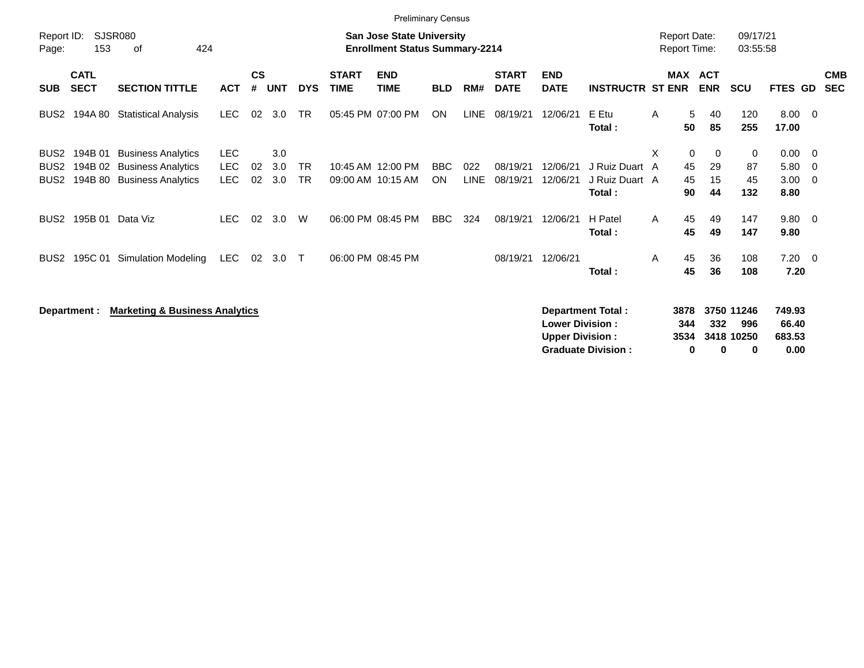|                                                           | <b>Preliminary Census</b>  |                                                                                      |                           |                    |                   |                        |                             |                                                                           |                         |                        |                             |                           |                                            |     |                                            |                     |                                |                              |                              |                          |
|-----------------------------------------------------------|----------------------------|--------------------------------------------------------------------------------------|---------------------------|--------------------|-------------------|------------------------|-----------------------------|---------------------------------------------------------------------------|-------------------------|------------------------|-----------------------------|---------------------------|--------------------------------------------|-----|--------------------------------------------|---------------------|--------------------------------|------------------------------|------------------------------|--------------------------|
| Report ID:<br>Page:                                       | 153                        | <b>SJSR080</b><br>424<br>οf                                                          |                           |                    |                   |                        |                             | <b>San Jose State University</b><br><b>Enrollment Status Summary-2214</b> |                         |                        |                             |                           |                                            |     | <b>Report Date:</b><br><b>Report Time:</b> |                     | 09/17/21<br>03:55:58           |                              |                              |                          |
| <b>SUB</b>                                                | <b>CATL</b><br><b>SECT</b> | <b>SECTION TITTLE</b>                                                                | <b>ACT</b>                | $\mathsf{cs}$<br># | <b>UNT</b>        | <b>DYS</b>             | <b>START</b><br><b>TIME</b> | <b>END</b><br><b>TIME</b>                                                 | <b>BLD</b>              | RM#                    | <b>START</b><br><b>DATE</b> | <b>END</b><br><b>DATE</b> | <b>INSTRUCTR ST ENR</b>                    | MAX | <b>ACT</b><br><b>ENR</b>                   |                     | <b>SCU</b>                     | FTES GD                      |                              | <b>CMB</b><br><b>SEC</b> |
| BUS <sub>2</sub>                                          | 194A 80                    | <b>Statistical Analysis</b>                                                          | LEC.                      | 02                 | 3.0               | <b>TR</b>              |                             | 05:45 PM 07:00 PM                                                         | ON                      | <b>LINE</b>            | 08/19/21                    | 12/06/21                  | E Etu<br>Total:                            | A   | 5<br>50                                    | 40<br>85            | 120<br>255                     | 8.00<br>17.00                | $\overline{\mathbf{0}}$      |                          |
| BUS <sub>2</sub><br>BUS <sub>2</sub><br>BUS <sub>2</sub>  | 194B 01<br>194B 02         | <b>Business Analytics</b><br><b>Business Analytics</b><br>194B 80 Business Analytics | <b>LEC</b><br>LEC<br>LEC. | 02<br>02           | 3.0<br>3.0<br>3.0 | <b>TR</b><br><b>TR</b> |                             | 10:45 AM 12:00 PM<br>09:00 AM 10:15 AM                                    | <b>BBC</b><br><b>ON</b> | 022<br><b>LINE</b>     | 08/19/21<br>08/19/21        | 12/06/21<br>12/06/21      | J Ruiz Duart A<br>J Ruiz Duart A<br>Total: | X   | $\mathbf 0$<br>45<br>45<br>90              | 0<br>29<br>15<br>44 | $\mathbf 0$<br>87<br>45<br>132 | 0.00<br>5.80<br>3.00<br>8.80 | - 0<br>$\overline{0}$<br>- 0 |                          |
| BUS <sub>2</sub>                                          | 195B 01                    | Data Viz                                                                             | LEC.                      | 02                 | 3.0               | W                      |                             | 06:00 PM 08:45 PM                                                         | <b>BBC</b>              | 324                    | 08/19/21                    | 12/06/21                  | H Patel<br>Total:                          | A   | 45<br>45                                   | 49<br>49            | 147<br>147                     | $9.80 \quad 0$<br>9.80       |                              |                          |
| BUS <sub>2</sub>                                          | 195C 01                    | <b>Simulation Modeling</b>                                                           | <b>LEC</b>                | 02                 | 3.0               | $\top$                 |                             | 06:00 PM 08:45 PM                                                         |                         |                        | 08/19/21                    | 12/06/21                  | Total:                                     | A   | 45<br>45                                   | 36<br>36            | 108<br>108                     | 7.20<br>7.20                 | $\overline{\mathbf{0}}$      |                          |
| <b>Marketing &amp; Business Analytics</b><br>Department : |                            |                                                                                      |                           |                    |                   |                        |                             |                                                                           |                         | <b>Lower Division:</b> | Department Total:           | 3878                      | 344                                        | 332 | 3750 11246<br>996                          | 749.93<br>66.40     |                                |                              |                              |                          |

**Upper Division : 3534 3418 10250 683.53**

Graduate Division : 0 0 0